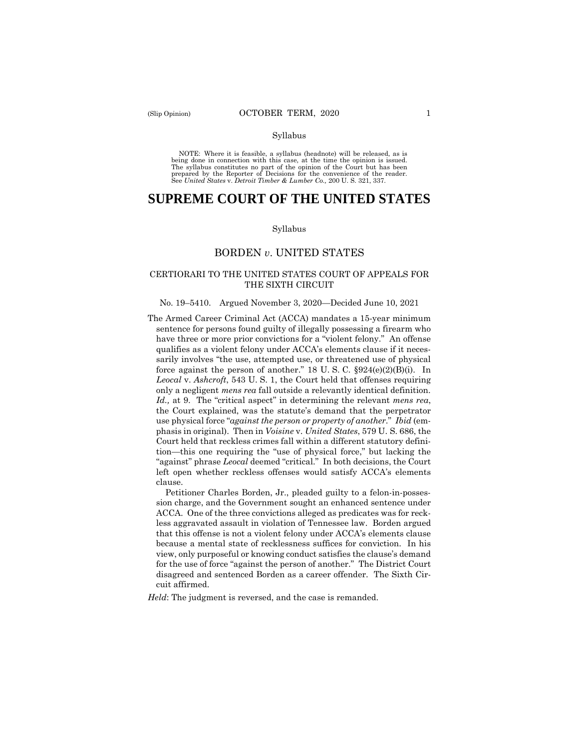#### Syllabus

 NOTE: Where it is feasible, a syllabus (headnote) will be released, as is being done in connection with this case, at the time the opinion is issued. The syllabus constitutes no part of the opinion of the Court but has been<br>prepared by the Reporter of Decisions for the convenience of the reader.<br>See United States v. Detroit Timber & Lumber Co., 200 U.S. 321, 337.

# **SUPREME COURT OF THE UNITED STATES**

#### Syllabus

### BORDEN *v*. UNITED STATES

### CERTIORARI TO THE UNITED STATES COURT OF APPEALS FOR THE SIXTH CIRCUIT

#### No. 19–5410. Argued November 3, 2020—Decided June 10, 2021

 only a negligent *mens rea* fall outside a relevantly identical definition. The Armed Career Criminal Act (ACCA) mandates a 15-year minimum sentence for persons found guilty of illegally possessing a firearm who have three or more prior convictions for a "violent felony." An offense qualifies as a violent felony under ACCA's elements clause if it necessarily involves "the use, attempted use, or threatened use of physical force against the person of another." 18 U. S. C. §924(e)(2)(B)(i). In *Leocal* v. *Ashcroft*, 543 U. S. 1, the Court held that offenses requiring *Id.,* at 9. The "critical aspect" in determining the relevant *mens rea*, the Court explained, was the statute's demand that the perpetrator use physical force "*against the person or property of another*." *Ibid* (emphasis in original). Then in *Voisine* v. *United States*, 579 U. S. 686, the Court held that reckless crimes fall within a different statutory definition—this one requiring the "use of physical force," but lacking the "against" phrase *Leocal* deemed "critical." In both decisions, the Court left open whether reckless offenses would satisfy ACCA's elements clause.

Petitioner Charles Borden, Jr., pleaded guilty to a felon-in-possession charge, and the Government sought an enhanced sentence under ACCA. One of the three convictions alleged as predicates was for reckless aggravated assault in violation of Tennessee law. Borden argued that this offense is not a violent felony under ACCA's elements clause because a mental state of recklessness suffices for conviction. In his view, only purposeful or knowing conduct satisfies the clause's demand for the use of force "against the person of another." The District Court disagreed and sentenced Borden as a career offender. The Sixth Circuit affirmed.

*Held*: The judgment is reversed, and the case is remanded.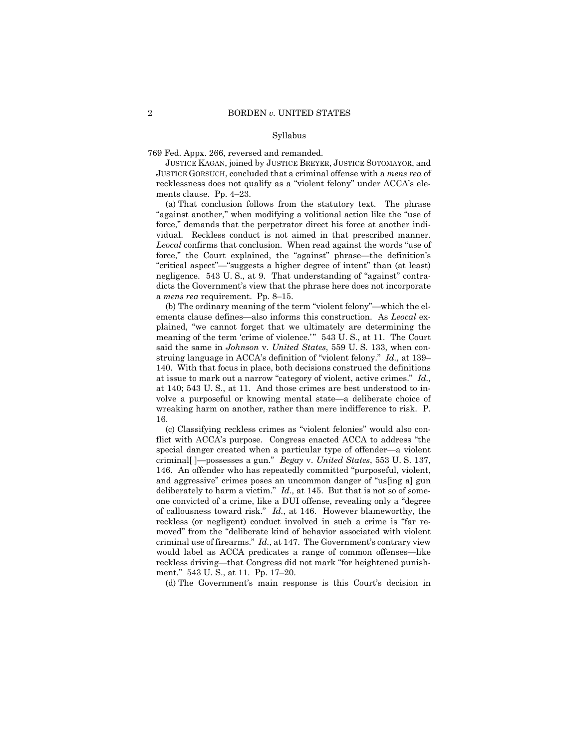#### Syllabus

769 Fed. Appx. 266, reversed and remanded.

JUSTICE KAGAN, joined by JUSTICE BREYER, JUSTICE SOTOMAYOR, and JUSTICE GORSUCH, concluded that a criminal offense with a *mens rea* of recklessness does not qualify as a "violent felony" under ACCA's elements clause. Pp. 4–23.

 vidual. Reckless conduct is not aimed in that prescribed manner. (a) That conclusion follows from the statutory text. The phrase "against another," when modifying a volitional action like the "use of force," demands that the perpetrator direct his force at another indi-*Leocal* confirms that conclusion. When read against the words "use of force," the Court explained, the "against" phrase—the definition's "critical aspect"—"suggests a higher degree of intent" than (at least) negligence. 543 U. S., at 9. That understanding of "against" contradicts the Government's view that the phrase here does not incorporate a *mens rea* requirement. Pp. 8–15.

 ements clause defines—also informs this construction. As *Leocal* ex-(b) The ordinary meaning of the term "violent felony"—which the elplained, "we cannot forget that we ultimately are determining the meaning of the term 'crime of violence.'" 543 U.S., at 11. The Court said the same in *Johnson* v. *United States*, 559 U. S. 133, when construing language in ACCA's definition of "violent felony." *Id.,* at 139– 140. With that focus in place, both decisions construed the definitions at issue to mark out a narrow "category of violent, active crimes." *Id.,*  at 140; 543 U. S., at 11. And those crimes are best understood to involve a purposeful or knowing mental state—a deliberate choice of wreaking harm on another, rather than mere indifference to risk. P. 16.

 of callousness toward risk." *Id.*, at 146. However blameworthy, the criminal use of firearms." *Id.*, at 147. The Government's contrary view (c) Classifying reckless crimes as "violent felonies" would also conflict with ACCA's purpose. Congress enacted ACCA to address "the special danger created when a particular type of offender—a violent criminal[ ]—possesses a gun." *Begay* v. *United States*, 553 U. S. 137, 146. An offender who has repeatedly committed "purposeful, violent, and aggressive" crimes poses an uncommon danger of "us[ing a] gun deliberately to harm a victim." *Id.,* at 145. But that is not so of someone convicted of a crime, like a DUI offense, revealing only a "degree reckless (or negligent) conduct involved in such a crime is "far removed" from the "deliberate kind of behavior associated with violent would label as ACCA predicates a range of common offenses—like reckless driving—that Congress did not mark "for heightened punishment." 543 U. S., at 11. Pp. 17–20.

(d) The Government's main response is this Court's decision in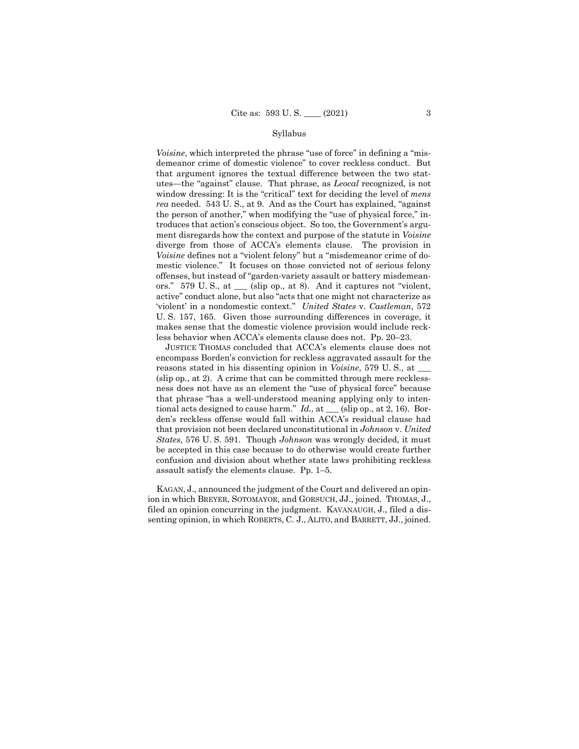#### Syllabus

 utes—the "against" clause. That phrase, as *Leocal* recognized, is not *Voisine*, which interpreted the phrase "use of force" in defining a "misdemeanor crime of domestic violence" to cover reckless conduct. But that argument ignores the textual difference between the two statwindow dressing: It is the "critical" text for deciding the level of *mens rea* needed. 543 U. S., at 9. And as the Court has explained, "against the person of another," when modifying the "use of physical force," introduces that action's conscious object. So too, the Government's argument disregards how the context and purpose of the statute in *Voisine*  diverge from those of ACCA's elements clause. The provision in *Voisine* defines not a "violent felony" but a "misdemeanor crime of domestic violence." It focuses on those convicted not of serious felony offenses, but instead of "garden-variety assault or battery misdemeanors." 579 U. S., at \_\_\_ (slip op., at 8). And it captures not "violent, active" conduct alone, but also "acts that one might not characterize as 'violent' in a nondomestic context." *United States* v. *Castleman*, 572 U. S. 157, 165. Given those surrounding differences in coverage, it makes sense that the domestic violence provision would include reckless behavior when ACCA's elements clause does not. Pp. 20–23.

JUSTICE THOMAS concluded that ACCA's elements clause does not encompass Borden's conviction for reckless aggravated assault for the reasons stated in his dissenting opinion in *Voisine*, 579 U. S., at \_\_\_ (slip op., at 2). A crime that can be committed through mere recklessness does not have as an element the "use of physical force" because that phrase "has a well-understood meaning applying only to intentional acts designed to cause harm." *Id.,* at \_\_\_ (slip op., at 2, 16). Borden's reckless offense would fall within ACCA's residual clause had that provision not been declared unconstitutional in *Johnson* v. *United States*, 576 U. S. 591. Though *Johnson* was wrongly decided, it must be accepted in this case because to do otherwise would create further confusion and division about whether state laws prohibiting reckless assault satisfy the elements clause. Pp. 1–5.

 senting opinion, in which ROBERTS, C. J., ALITO, and BARRETT, JJ., joined. KAGAN, J., announced the judgment of the Court and delivered an opinion in which BREYER, SOTOMAYOR, and GORSUCH, JJ., joined. THOMAS, J., filed an opinion concurring in the judgment. KAVANAUGH, J., filed a dis-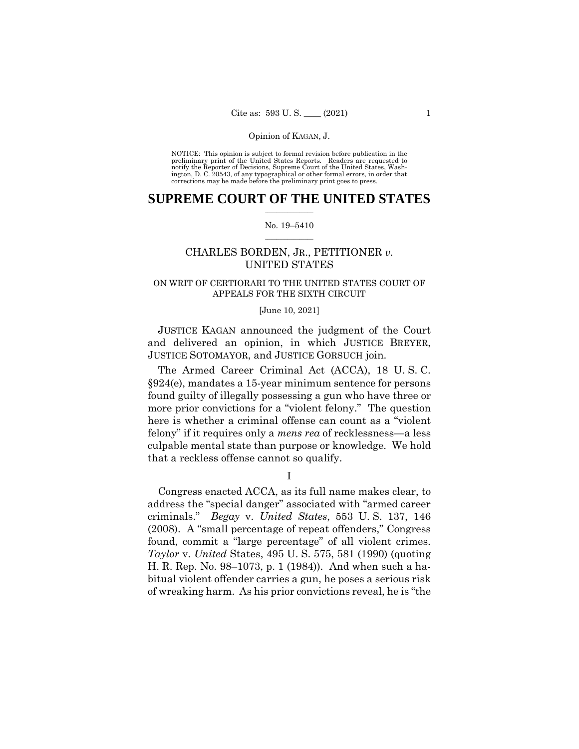Opinion of KAGAN, J.<br>NOTICE: This opinion is subject to formal revision before publication in the preliminary print of the United States Reports. Readers are requested to notify the Reporter of Decisions, Supreme Court of the United States, Wash-ington, D. C. 20543, of any typographical or other formal errors, in order that corrections may be made before the preliminary print goes to press.

### $\frac{1}{2}$  ,  $\frac{1}{2}$  ,  $\frac{1}{2}$  ,  $\frac{1}{2}$  ,  $\frac{1}{2}$  ,  $\frac{1}{2}$  ,  $\frac{1}{2}$ **SUPREME COURT OF THE UNITED STATES**

#### $\frac{1}{2}$  ,  $\frac{1}{2}$  ,  $\frac{1}{2}$  ,  $\frac{1}{2}$  ,  $\frac{1}{2}$  ,  $\frac{1}{2}$ No. 19–5410

## CHARLES BORDEN, JR., PETITIONER *v.*  UNITED STATES

## ON WRIT OF CERTIORARI TO THE UNITED STATES COURT OF APPEALS FOR THE SIXTH CIRCUIT

#### [June 10, 2021]

JUSTICE KAGAN announced the judgment of the Court and delivered an opinion, in which JUSTICE BREYER, JUSTICE SOTOMAYOR, and JUSTICE GORSUCH join.

The Armed Career Criminal Act (ACCA), 18 U. S. C. §924(e), mandates a 15-year minimum sentence for persons found guilty of illegally possessing a gun who have three or more prior convictions for a "violent felony." The question here is whether a criminal offense can count as a "violent felony" if it requires only a *mens rea* of recklessness—a less culpable mental state than purpose or knowledge. We hold that a reckless offense cannot so qualify.

I

 found, commit a "large percentage" of all violent crimes. Congress enacted ACCA, as its full name makes clear, to address the "special danger" associated with "armed career criminals." *Begay* v. *United States*, 553 U. S. 137, 146 (2008). A "small percentage of repeat offenders," Congress *Taylor* v. *United* States, 495 U. S. 575, 581 (1990) (quoting H. R. Rep. No. 98–1073, p. 1 (1984)). And when such a habitual violent offender carries a gun, he poses a serious risk of wreaking harm. As his prior convictions reveal, he is "the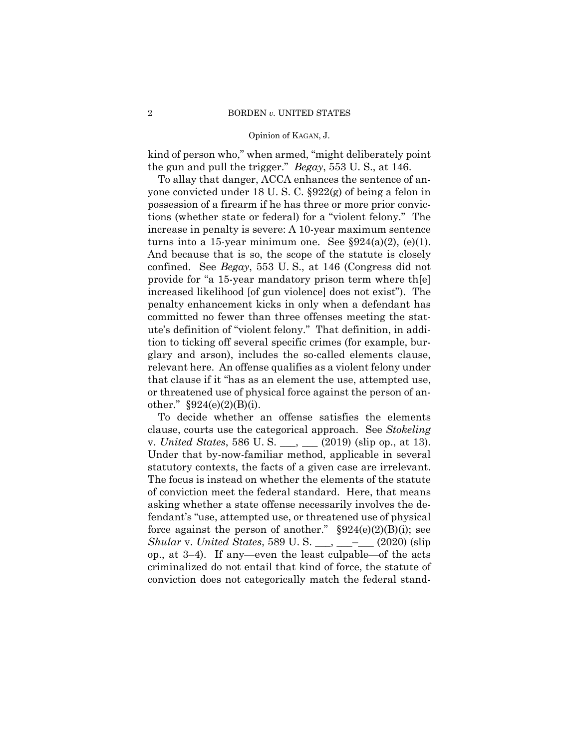kind of person who," when armed, "might deliberately point the gun and pull the trigger." *Begay*, 553 U. S., at 146.

To allay that danger, ACCA enhances the sentence of anyone convicted under 18 U. S. C. §922(g) of being a felon in possession of a firearm if he has three or more prior convictions (whether state or federal) for a "violent felony." The increase in penalty is severe: A 10-year maximum sentence turns into a 15-year minimum one. See  $\S 924(a)(2)$ , (e)(1). And because that is so, the scope of the statute is closely confined. See *Begay*, 553 U. S., at 146 (Congress did not provide for "a 15-year mandatory prison term where th[e] increased likelihood [of gun violence] does not exist"). The penalty enhancement kicks in only when a defendant has committed no fewer than three offenses meeting the statute's definition of "violent felony." That definition, in addition to ticking off several specific crimes (for example, burglary and arson), includes the so-called elements clause, relevant here. An offense qualifies as a violent felony under that clause if it "has as an element the use, attempted use, or threatened use of physical force against the person of another." §924(e)(2)(B)(i).

To decide whether an offense satisfies the elements clause, courts use the categorical approach. See *Stokeling*  v. *United States*, 586 U. S. \_\_\_, \_\_\_ (2019) (slip op., at 13). Under that by-now-familiar method, applicable in several statutory contexts, the facts of a given case are irrelevant. The focus is instead on whether the elements of the statute of conviction meet the federal standard. Here, that means asking whether a state offense necessarily involves the defendant's "use, attempted use, or threatened use of physical force against the person of another."  $\S 924(e)(2)(B)(i)$ ; see *Shular* v. *United States*, 589 U. S. \_\_\_, \_\_\_–\_\_\_ (2020) (slip op., at 3–4). If any—even the least culpable—of the acts criminalized do not entail that kind of force, the statute of conviction does not categorically match the federal stand-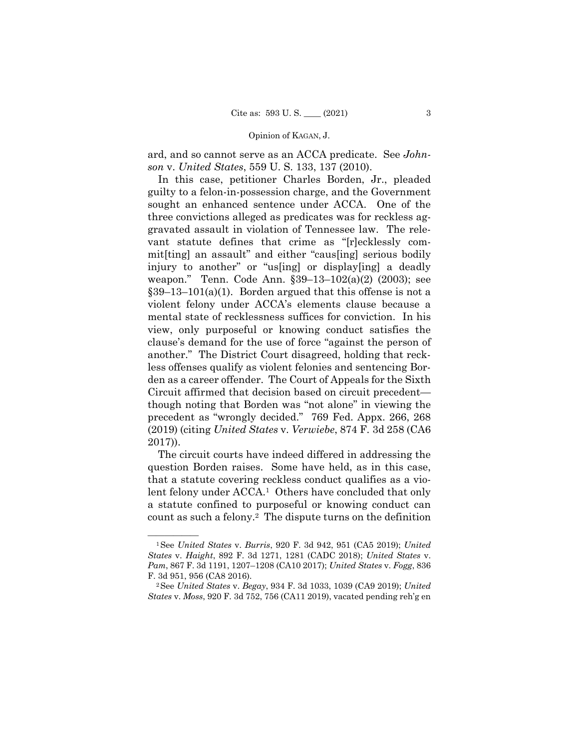ard, and so cannot serve as an ACCA predicate. See *Johnson* v. *United States*, 559 U. S. 133, 137 (2010).

 $$39-13-101(a)(1)$ . Borden argued that this offense is not a In this case, petitioner Charles Borden, Jr., pleaded guilty to a felon-in-possession charge, and the Government sought an enhanced sentence under ACCA. One of the three convictions alleged as predicates was for reckless aggravated assault in violation of Tennessee law. The relevant statute defines that crime as "[r]ecklessly commit[ting] an assault" and either "caus[ing] serious bodily injury to another" or "us[ing] or display[ing] a deadly weapon." Tenn. Code Ann. §39–13–102(a)(2) (2003); see violent felony under ACCA's elements clause because a mental state of recklessness suffices for conviction. In his view, only purposeful or knowing conduct satisfies the clause's demand for the use of force "against the person of another." The District Court disagreed, holding that reckless offenses qualify as violent felonies and sentencing Borden as a career offender. The Court of Appeals for the Sixth Circuit affirmed that decision based on circuit precedent though noting that Borden was "not alone" in viewing the precedent as "wrongly decided." 769 Fed. Appx. 266, 268 (2019) (citing *United States* v. *Verwiebe*, 874 F. 3d 258 (CA6 2017)).

The circuit courts have indeed differed in addressing the question Borden raises. Some have held, as in this case, that a statute covering reckless conduct qualifies as a violent felony under ACCA.<sup>1</sup> Others have concluded that only a statute confined to purposeful or knowing conduct can count as such a felony.2 The dispute turns on the definition

<sup>—————— 1</sup>See *United States* v. *Burris*, 920 F. 3d 942, 951 (CA5 2019); *United States* v. *Haight*, 892 F. 3d 1271, 1281 (CADC 2018); *United States* v. *Pam*, 867 F. 3d 1191, 1207–1208 (CA10 2017); *United States* v. *Fogg*, 836 F. 3d 951, 956 (CA8 2016). 2See *United States* v. *Begay*, 934 F. 3d 1033, 1039 (CA9 2019); *United* 

*States* v. *Moss*, 920 F. 3d 752, 756 (CA11 2019), vacated pending reh'g en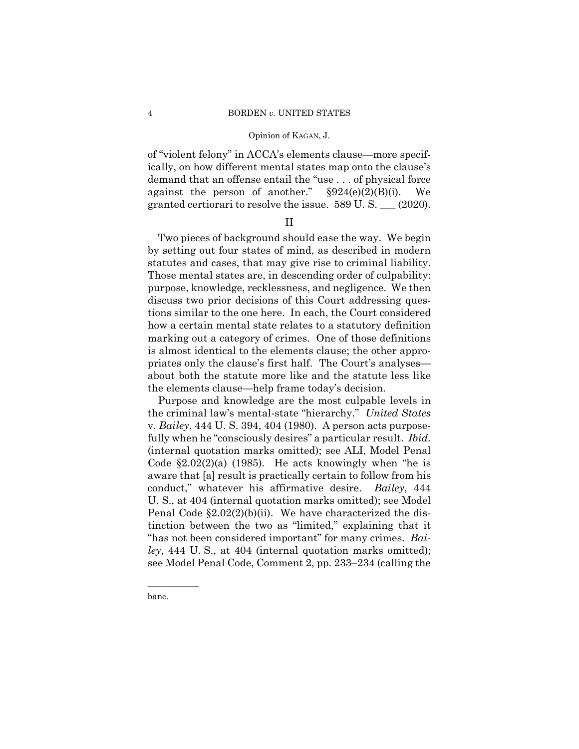of "violent felony" in ACCA's elements clause—more specifically, on how different mental states map onto the clause's demand that an offense entail the "use . . . of physical force against the person of another."  $\S 924(e)(2)(B)(i)$ . We granted certiorari to resolve the issue. 589 U. S. \_\_\_ (2020).

## II

Two pieces of background should ease the way. We begin by setting out four states of mind, as described in modern statutes and cases, that may give rise to criminal liability. Those mental states are, in descending order of culpability: purpose, knowledge, recklessness, and negligence. We then discuss two prior decisions of this Court addressing questions similar to the one here. In each, the Court considered how a certain mental state relates to a statutory definition marking out a category of crimes. One of those definitions is almost identical to the elements clause; the other appropriates only the clause's first half. The Court's analyses about both the statute more like and the statute less like the elements clause—help frame today's decision.

 the criminal law's mental-state "hierarchy." *United States*  Purpose and knowledge are the most culpable levels in v. *Bailey*, 444 U. S. 394, 404 (1980). A person acts purposefully when he "consciously desires" a particular result. *Ibid.*  (internal quotation marks omitted); see ALI, Model Penal Code  $\S2.02(2)(a)$  (1985). He acts knowingly when "he is aware that [a] result is practically certain to follow from his conduct," whatever his affirmative desire. *Bailey*, 444 U. S., at 404 (internal quotation marks omitted); see Model Penal Code §2.02(2)(b)(ii). We have characterized the distinction between the two as "limited," explaining that it "has not been considered important" for many crimes. *Bailey*, 444 U. S., at 404 (internal quotation marks omitted); see Model Penal Code, Comment 2, pp. 233–234 (calling the

banc.

——————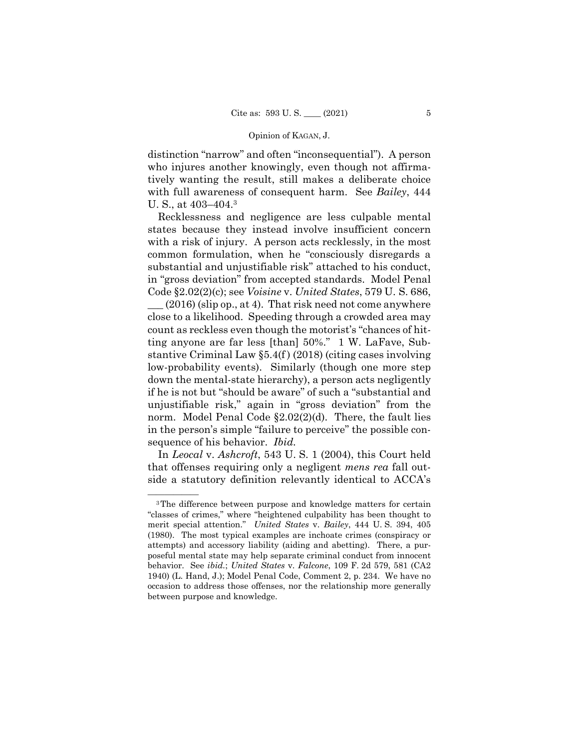distinction "narrow" and often "inconsequential"). A person who injures another knowingly, even though not affirmatively wanting the result, still makes a deliberate choice with full awareness of consequent harm. See *Bailey*, 444 U. S., at 403–404.3

Recklessness and negligence are less culpable mental states because they instead involve insufficient concern with a risk of injury. A person acts recklessly, in the most common formulation, when he "consciously disregards a substantial and unjustifiable risk" attached to his conduct, in "gross deviation" from accepted standards. Model Penal Code §2.02(2)(c); see *Voisine* v. *United States*, 579 U. S. 686,  $(2016)$  (slip op., at 4). That risk need not come anywhere close to a likelihood. Speeding through a crowded area may count as reckless even though the motorist's "chances of hitting anyone are far less [than] 50%." 1 W. LaFave, Substantive Criminal Law  $\S$ 5.4(f) (2018) (citing cases involving low-probability events). Similarly (though one more step down the mental-state hierarchy), a person acts negligently if he is not but "should be aware" of such a "substantial and unjustifiable risk," again in "gross deviation" from the norm. Model Penal Code §2.02(2)(d). There, the fault lies in the person's simple "failure to perceive" the possible consequence of his behavior. *Ibid.*

 In *Leocal* v. *Ashcroft*, 543 U. S. 1 (2004), this Court held that offenses requiring only a negligent *mens rea* fall outside a statutory definition relevantly identical to ACCA's

 1940) (L. Hand, J.); Model Penal Code, Comment 2, p. 234. We have no <sup>3</sup>The difference between purpose and knowledge matters for certain "classes of crimes," where "heightened culpability has been thought to merit special attention." *United States* v. *Bailey*, 444 U. S. 394, 405 (1980). The most typical examples are inchoate crimes (conspiracy or attempts) and accessory liability (aiding and abetting). There, a purposeful mental state may help separate criminal conduct from innocent behavior. See *ibid.*; *United States* v. *Falcone*, 109 F. 2d 579, 581 (CA2 occasion to address those offenses, nor the relationship more generally between purpose and knowledge.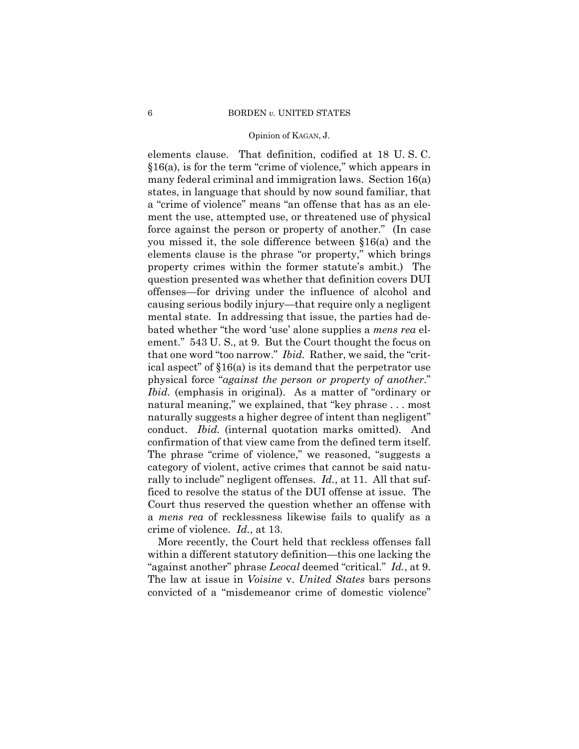that one word "too narrow." *Ibid.* Rather, we said, the "critconduct. *Ibid.* (internal quotation marks omitted). And elements clause. That definition, codified at 18 U. S. C. §16(a), is for the term "crime of violence," which appears in many federal criminal and immigration laws. Section 16(a) states, in language that should by now sound familiar, that a "crime of violence" means "an offense that has as an element the use, attempted use, or threatened use of physical force against the person or property of another." (In case you missed it, the sole difference between §16(a) and the elements clause is the phrase "or property," which brings property crimes within the former statute's ambit.) The question presented was whether that definition covers DUI offenses—for driving under the influence of alcohol and causing serious bodily injury—that require only a negligent mental state. In addressing that issue, the parties had debated whether "the word 'use' alone supplies a *mens rea* element." 543 U. S., at 9. But the Court thought the focus on ical aspect" of §16(a) is its demand that the perpetrator use physical force "*against the person or property of another*." *Ibid.* (emphasis in original). As a matter of "ordinary or natural meaning," we explained, that "key phrase . . . most naturally suggests a higher degree of intent than negligent" confirmation of that view came from the defined term itself. The phrase "crime of violence," we reasoned, "suggests a category of violent, active crimes that cannot be said naturally to include" negligent offenses. *Id.*, at 11. All that sufficed to resolve the status of the DUI offense at issue. The Court thus reserved the question whether an offense with a *mens rea* of recklessness likewise fails to qualify as a crime of violence. *Id.*, at 13.

 "against another" phrase *Leocal* deemed "critical." *Id.*, at 9. The law at issue in *Voisine* v. *United States* bars persons More recently, the Court held that reckless offenses fall within a different statutory definition—this one lacking the convicted of a "misdemeanor crime of domestic violence"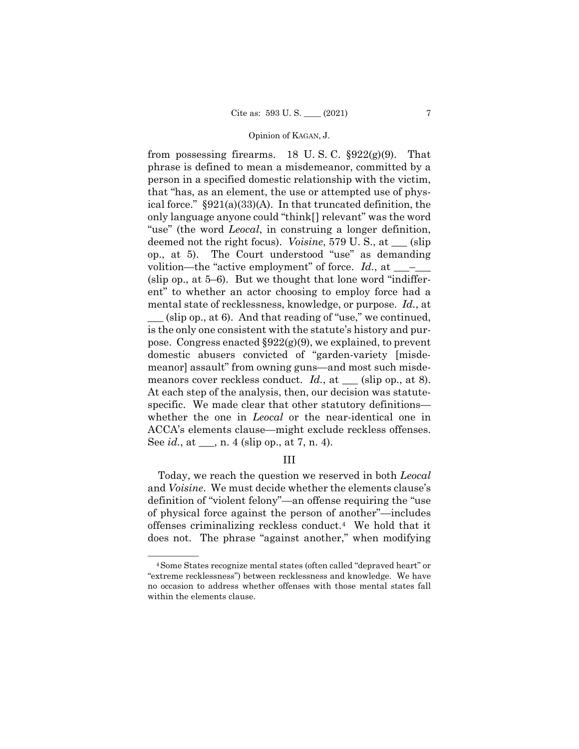from possessing firearms. 18 U.S.C.  $\S 922(g)(9)$ . That phrase is defined to mean a misdemeanor, committed by a person in a specified domestic relationship with the victim, that "has, as an element, the use or attempted use of physical force." §921(a)(33)(A). In that truncated definition, the only language anyone could "think[] relevant" was the word "use" (the word *Leocal*, in construing a longer definition, deemed not the right focus). *Voisine*, 579 U. S., at \_\_\_ (slip op., at 5). The Court understood "use" as demanding volition—the "active employment" of force.  $Id$ , at  $\_\_$ (slip op., at 5–6). But we thought that lone word "indifferent" to whether an actor choosing to employ force had a mental state of recklessness, knowledge, or purpose. *Id.*, at  $(\text{slip op.}, \text{at 6})$ . And that reading of "use," we continued, is the only one consistent with the statute's history and purpose. Congress enacted §922(g)(9), we explained, to prevent domestic abusers convicted of "garden-variety [misdemeanor] assault" from owning guns—and most such misdemeanors cover reckless conduct. *Id.*, at <u>section</u> (slip op., at 8). At each step of the analysis, then, our decision was statutespecific. We made clear that other statutory definitions whether the one in *Leocal* or the near-identical one in ACCA's elements clause—might exclude reckless offenses. See *id.*, at \_\_\_, n. 4 (slip op., at 7, n. 4).

## III

Today, we reach the question we reserved in both *Leocal*  and *Voisine*. We must decide whether the elements clause's definition of "violent felony"—an offense requiring the "use of physical force against the person of another"—includes offenses criminalizing reckless conduct.4 We hold that it does not. The phrase "against another," when modifying

<sup>&</sup>lt;sup>4</sup> Some States recognize mental states (often called "depraved heart" or "extreme recklessness") between recklessness and knowledge. We have no occasion to address whether offenses with those mental states fall within the elements clause.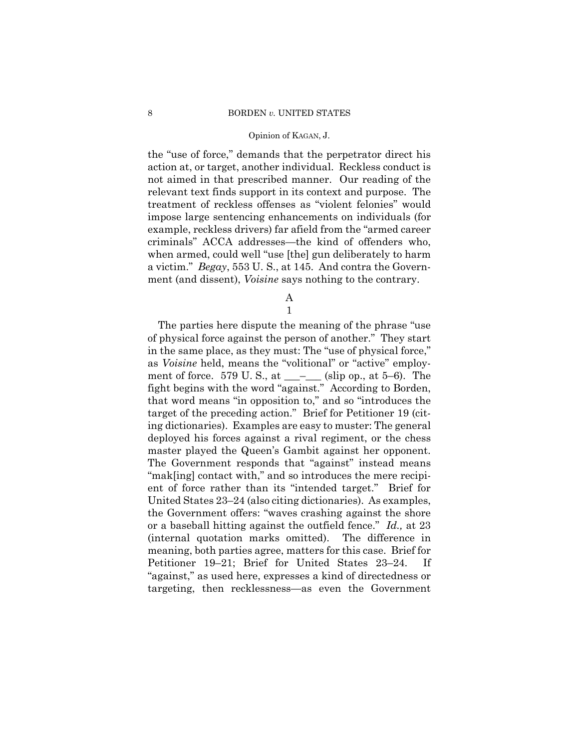the "use of force," demands that the perpetrator direct his action at, or target, another individual. Reckless conduct is not aimed in that prescribed manner. Our reading of the relevant text finds support in its context and purpose. The treatment of reckless offenses as "violent felonies" would impose large sentencing enhancements on individuals (for example, reckless drivers) far afield from the "armed career criminals" ACCA addresses—the kind of offenders who, when armed, could well "use [the] gun deliberately to harm a victim." *Begay*, 553 U. S., at 145. And contra the Government (and dissent), *Voisine* says nothing to the contrary.

A

1

The parties here dispute the meaning of the phrase "use of physical force against the person of another." They start in the same place, as they must: The "use of physical force," as *Voisine* held, means the "volitional" or "active" employment of force. 579 U.S., at \_\_\_\_\_\_ (slip op., at 5–6). The fight begins with the word "against." According to Borden, that word means "in opposition to," and so "introduces the target of the preceding action." Brief for Petitioner 19 (citing dictionaries). Examples are easy to muster: The general deployed his forces against a rival regiment, or the chess master played the Queen's Gambit against her opponent. The Government responds that "against" instead means "mak[ing] contact with," and so introduces the mere recipient of force rather than its "intended target." Brief for United States 23–24 (also citing dictionaries). As examples, the Government offers: "waves crashing against the shore or a baseball hitting against the outfield fence." *Id.,* at 23 (internal quotation marks omitted). The difference in meaning, both parties agree, matters for this case. Brief for Petitioner 19–21; Brief for United States 23–24. If "against," as used here, expresses a kind of directedness or targeting, then recklessness—as even the Government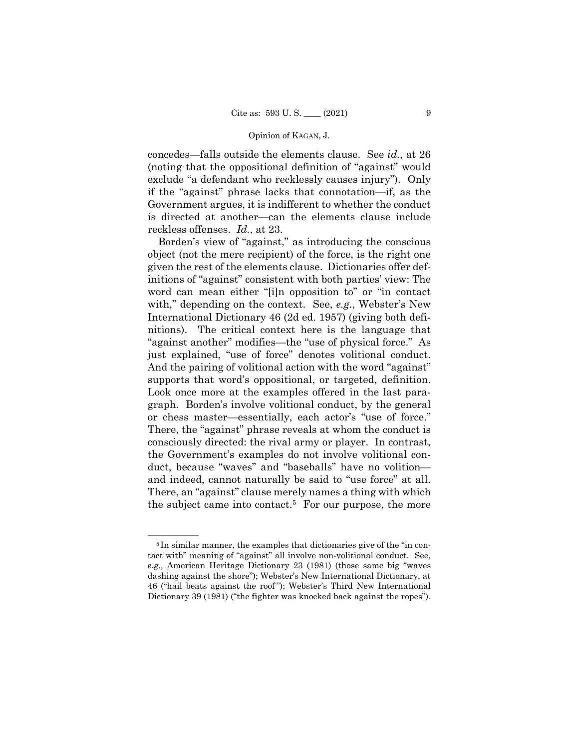concedes—falls outside the elements clause. See *id.*, at 26 (noting that the oppositional definition of "against" would exclude "a defendant who recklessly causes injury"). Only if the "against" phrase lacks that connotation—if, as the Government argues, it is indifferent to whether the conduct is directed at another—can the elements clause include reckless offenses. *Id.*, at 23.

 just explained, "use of force" denotes volitional conduct. and indeed, cannot naturally be said to "use force" at all. Borden's view of "against," as introducing the conscious object (not the mere recipient) of the force, is the right one given the rest of the elements clause. Dictionaries offer definitions of "against" consistent with both parties' view: The word can mean either "[i]n opposition to" or "in contact with," depending on the context. See, *e.g.*, Webster's New International Dictionary 46 (2d ed. 1957) (giving both definitions). The critical context here is the language that "against another" modifies—the "use of physical force." As And the pairing of volitional action with the word "against" supports that word's oppositional, or targeted, definition. Look once more at the examples offered in the last paragraph. Borden's involve volitional conduct, by the general or chess master—essentially, each actor's "use of force." There, the "against" phrase reveals at whom the conduct is consciously directed: the rival army or player. In contrast, the Government's examples do not involve volitional conduct, because "waves" and "baseballs" have no volition— There, an "against" clause merely names a thing with which the subject came into contact.<sup>5</sup> For our purpose, the more

<sup>&</sup>lt;sup>5</sup>In similar manner, the examples that dictionaries give of the "in contact with" meaning of "against" all involve non-volitional conduct. See, *e.g.*, American Heritage Dictionary 23 (1981) (those same big "waves dashing against the shore"); Webster's New International Dictionary, at 46 ("hail beats against the roof "); Webster's Third New International Dictionary 39 (1981) ("the fighter was knocked back against the ropes").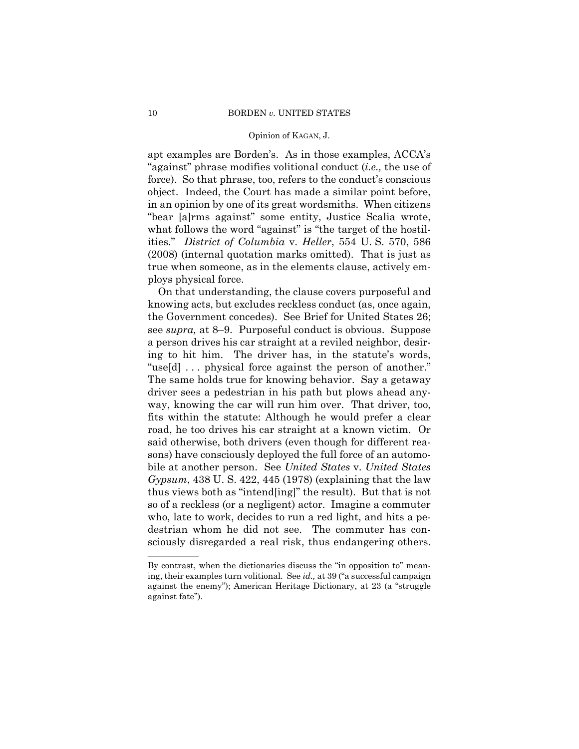apt examples are Borden's. As in those examples, ACCA's "against" phrase modifies volitional conduct (*i.e.,* the use of force). So that phrase, too, refers to the conduct's conscious object. Indeed, the Court has made a similar point before, in an opinion by one of its great wordsmiths. When citizens "bear [a]rms against" some entity, Justice Scalia wrote, what follows the word "against" is "the target of the hostilities." *District of Columbia* v. *Heller*, 554 U. S. 570, 586 (2008) (internal quotation marks omitted). That is just as true when someone, as in the elements clause, actively employs physical force.

On that understanding, the clause covers purposeful and knowing acts, but excludes reckless conduct (as, once again, the Government concedes). See Brief for United States 26; see *supra,* at 8–9. Purposeful conduct is obvious. Suppose a person drives his car straight at a reviled neighbor, desiring to hit him. The driver has, in the statute's words, "use[d] . . . physical force against the person of another." The same holds true for knowing behavior. Say a getaway driver sees a pedestrian in his path but plows ahead anyway, knowing the car will run him over. That driver, too, fits within the statute: Although he would prefer a clear road, he too drives his car straight at a known victim. Or said otherwise, both drivers (even though for different reasons) have consciously deployed the full force of an automobile at another person. See *United States* v. *United States Gypsum*, 438 U. S. 422, 445 (1978) (explaining that the law thus views both as "intend[ing]" the result). But that is not so of a reckless (or a negligent) actor. Imagine a commuter who, late to work, decides to run a red light, and hits a pedestrian whom he did not see. The commuter has consciously disregarded a real risk, thus endangering others.

——————

By contrast, when the dictionaries discuss the "in opposition to" meaning, their examples turn volitional. See *id.,* at 39 ("a successful campaign against the enemy"); American Heritage Dictionary, at 23 (a "struggle against fate").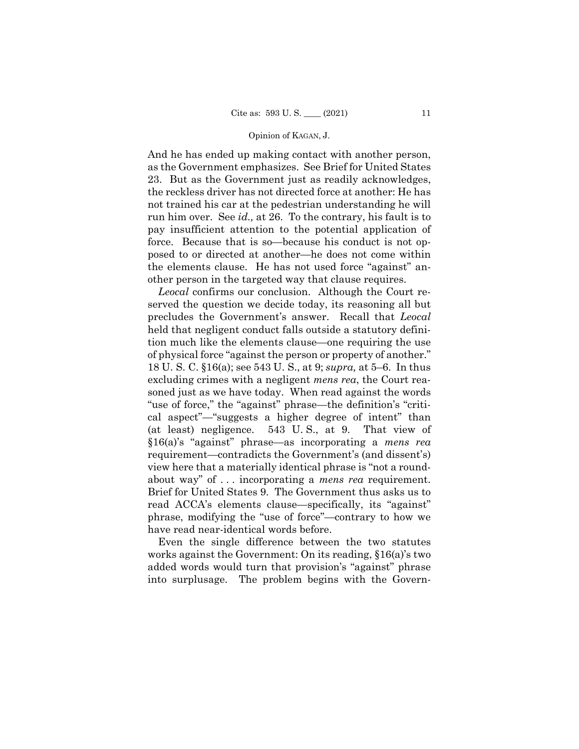And he has ended up making contact with another person, as the Government emphasizes. See Brief for United States 23. But as the Government just as readily acknowledges, the reckless driver has not directed force at another: He has not trained his car at the pedestrian understanding he will run him over. See *id.,* at 26. To the contrary, his fault is to pay insufficient attention to the potential application of force. Because that is so—because his conduct is not opposed to or directed at another—he does not come within the elements clause. He has not used force "against" another person in the targeted way that clause requires.

 about way" of . . . incorporating a *mens rea* requirement. Brief for United States 9. The Government thus asks us to *Leocal* confirms our conclusion. Although the Court reserved the question we decide today, its reasoning all but precludes the Government's answer. Recall that *Leocal*  held that negligent conduct falls outside a statutory definition much like the elements clause—one requiring the use of physical force "against the person or property of another." 18 U. S. C. §16(a); see 543 U. S., at 9; *supra,* at 5–6. In thus excluding crimes with a negligent *mens rea*, the Court reasoned just as we have today. When read against the words "use of force," the "against" phrase—the definition's "critical aspect"—"suggests a higher degree of intent" than (at least) negligence. 543 U. S., at 9. That view of §16(a)'s "against" phrase—as incorporating a *mens rea*  requirement—contradicts the Government's (and dissent's) view here that a materially identical phrase is "not a roundread ACCA's elements clause—specifically, its "against" phrase, modifying the "use of force"—contrary to how we have read near-identical words before.

Even the single difference between the two statutes works against the Government: On its reading, §16(a)'s two added words would turn that provision's "against" phrase into surplusage. The problem begins with the Govern-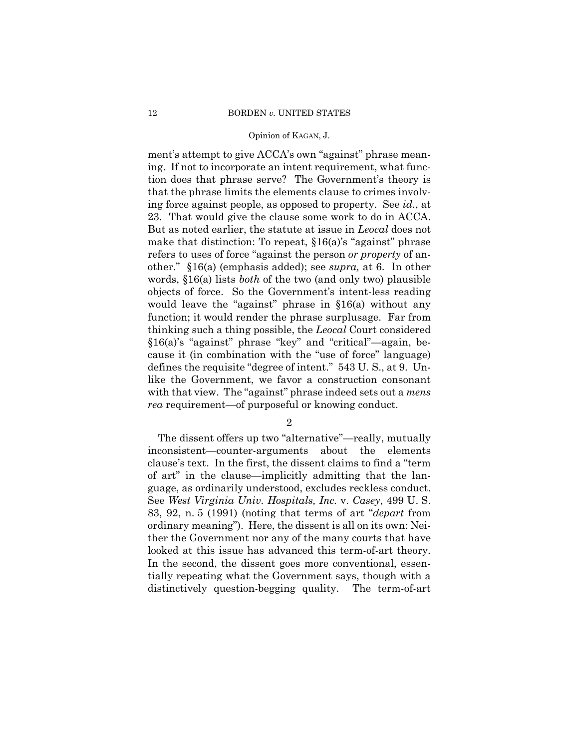ment's attempt to give ACCA's own "against" phrase meaning. If not to incorporate an intent requirement, what function does that phrase serve? The Government's theory is that the phrase limits the elements clause to crimes involving force against people, as opposed to property. See *id.*, at 23. That would give the clause some work to do in ACCA. But as noted earlier, the statute at issue in *Leocal* does not make that distinction: To repeat, §16(a)'s "against" phrase refers to uses of force "against the person *or property* of another." §16(a) (emphasis added); see *supra,* at 6. In other words, §16(a) lists *both* of the two (and only two) plausible objects of force. So the Government's intent-less reading would leave the "against" phrase in §16(a) without any function; it would render the phrase surplusage. Far from thinking such a thing possible, the *Leocal* Court considered §16(a)'s "against" phrase "key" and "critical"—again, because it (in combination with the "use of force" language) defines the requisite "degree of intent." 543 U. S., at 9. Unlike the Government, we favor a construction consonant with that view. The "against" phrase indeed sets out a *mens rea* requirement—of purposeful or knowing conduct.

2

The dissent offers up two "alternative"—really, mutually inconsistent—counter-arguments about the elements clause's text. In the first, the dissent claims to find a "term of art" in the clause—implicitly admitting that the language, as ordinarily understood, excludes reckless conduct. See *West Virginia Univ. Hospitals, Inc.* v. *Casey*, 499 U. S. 83, 92, n. 5 (1991) (noting that terms of art "*depart* from ordinary meaning"). Here, the dissent is all on its own: Neither the Government nor any of the many courts that have looked at this issue has advanced this term-of-art theory. In the second, the dissent goes more conventional, essentially repeating what the Government says, though with a distinctively question-begging quality. The term-of-art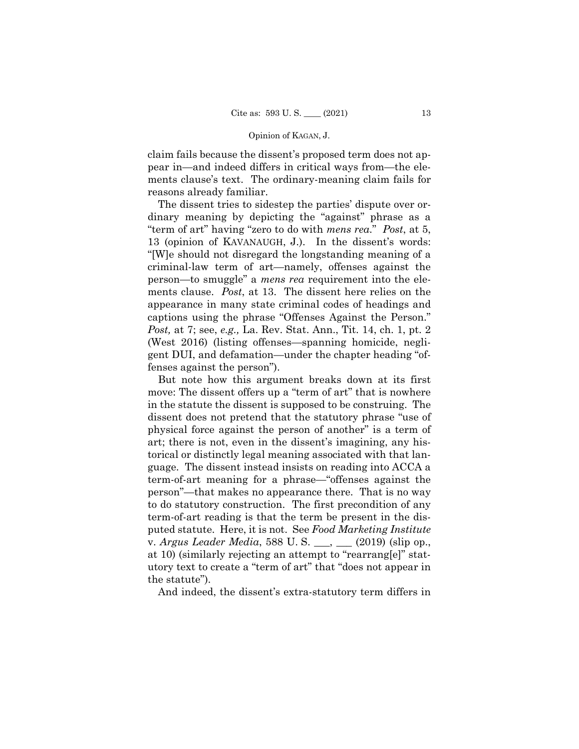claim fails because the dissent's proposed term does not appear in—and indeed differs in critical ways from—the elements clause's text. The ordinary-meaning claim fails for reasons already familiar.

 "term of art" having "zero to do with *mens rea*." *Post*, at 5, The dissent tries to sidestep the parties' dispute over ordinary meaning by depicting the "against" phrase as a 13 (opinion of KAVANAUGH, J.). In the dissent's words: "[W]e should not disregard the longstanding meaning of a criminal-law term of art—namely, offenses against the person—to smuggle" a *mens rea* requirement into the elements clause. *Post*, at 13. The dissent here relies on the appearance in many state criminal codes of headings and captions using the phrase "Offenses Against the Person." *Post,* at 7; see, *e.g.,* La. Rev. Stat. Ann., Tit. 14, ch. 1, pt. 2 (West 2016) (listing offenses—spanning homicide, negligent DUI, and defamation—under the chapter heading "offenses against the person").

But note how this argument breaks down at its first move: The dissent offers up a "term of art" that is nowhere in the statute the dissent is supposed to be construing. The dissent does not pretend that the statutory phrase "use of physical force against the person of another" is a term of art; there is not, even in the dissent's imagining, any historical or distinctly legal meaning associated with that language. The dissent instead insists on reading into ACCA a term-of-art meaning for a phrase—"offenses against the person"—that makes no appearance there. That is no way to do statutory construction. The first precondition of any term-of-art reading is that the term be present in the disputed statute. Here, it is not. See *Food Marketing Institute*  v. *Argus Leader Media*, 588 U. S. \_\_\_, \_\_\_ (2019) (slip op., at 10) (similarly rejecting an attempt to "rearrang[e]" statutory text to create a "term of art" that "does not appear in the statute").

And indeed, the dissent's extra-statutory term differs in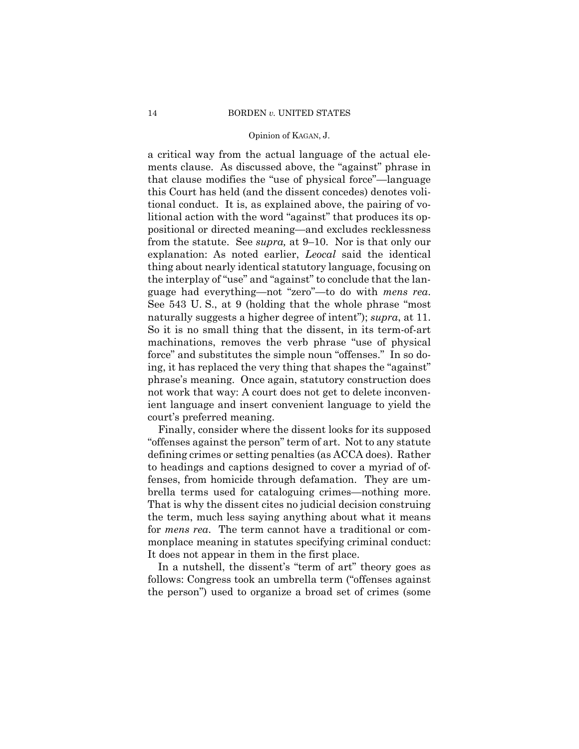naturally suggests a higher degree of intent"); *supra*, at 11. So it is no small thing that the dissent, in its term-of-art a critical way from the actual language of the actual elements clause. As discussed above, the "against" phrase in that clause modifies the "use of physical force"—language this Court has held (and the dissent concedes) denotes volitional conduct. It is, as explained above, the pairing of volitional action with the word "against" that produces its oppositional or directed meaning—and excludes recklessness from the statute. See *supra,* at 9–10. Nor is that only our explanation: As noted earlier, *Leocal* said the identical thing about nearly identical statutory language, focusing on the interplay of "use" and "against" to conclude that the language had everything—not "zero"—to do with *mens rea*. See 543 U. S., at 9 (holding that the whole phrase "most machinations, removes the verb phrase "use of physical force" and substitutes the simple noun "offenses." In so doing, it has replaced the very thing that shapes the "against" phrase's meaning. Once again, statutory construction does not work that way: A court does not get to delete inconvenient language and insert convenient language to yield the court's preferred meaning.

Finally, consider where the dissent looks for its supposed "offenses against the person" term of art. Not to any statute defining crimes or setting penalties (as ACCA does). Rather to headings and captions designed to cover a myriad of offenses, from homicide through defamation. They are umbrella terms used for cataloguing crimes—nothing more. That is why the dissent cites no judicial decision construing the term, much less saying anything about what it means for *mens rea*. The term cannot have a traditional or commonplace meaning in statutes specifying criminal conduct: It does not appear in them in the first place.

In a nutshell, the dissent's "term of art" theory goes as follows: Congress took an umbrella term ("offenses against the person") used to organize a broad set of crimes (some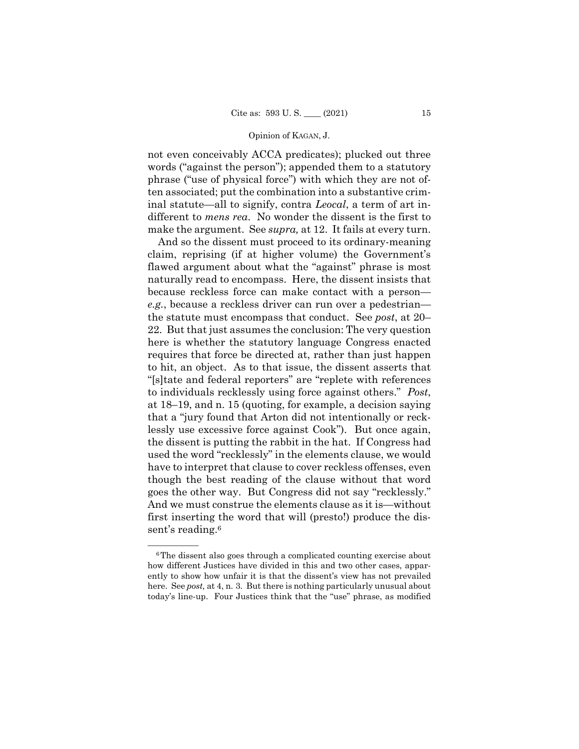not even conceivably ACCA predicates); plucked out three words ("against the person"); appended them to a statutory phrase ("use of physical force") with which they are not often associated; put the combination into a substantive criminal statute—all to signify, contra *Leocal*, a term of art indifferent to *mens rea*. No wonder the dissent is the first to make the argument. See *supra,* at 12. It fails at every turn.

And so the dissent must proceed to its ordinary-meaning claim, reprising (if at higher volume) the Government's flawed argument about what the "against" phrase is most naturally read to encompass. Here, the dissent insists that because reckless force can make contact with a person *e.g.*, because a reckless driver can run over a pedestrian the statute must encompass that conduct. See *post*, at 20– 22. But that just assumes the conclusion: The very question here is whether the statutory language Congress enacted requires that force be directed at, rather than just happen to hit, an object. As to that issue, the dissent asserts that "[s]tate and federal reporters" are "replete with references to individuals recklessly using force against others." *Post*, at 18–19, and n. 15 (quoting, for example, a decision saying that a "jury found that Arton did not intentionally or recklessly use excessive force against Cook"). But once again, the dissent is putting the rabbit in the hat. If Congress had used the word "recklessly" in the elements clause, we would have to interpret that clause to cover reckless offenses, even though the best reading of the clause without that word goes the other way. But Congress did not say "recklessly." And we must construe the elements clause as it is—without first inserting the word that will (presto!) produce the dissent's reading.<sup>6</sup>

 ${}^6$ The dissent also goes through a complicated counting exercise about how different Justices have divided in this and two other cases, apparently to show how unfair it is that the dissent's view has not prevailed here. See *post*, at 4, n. 3. But there is nothing particularly unusual about today's line-up. Four Justices think that the "use" phrase, as modified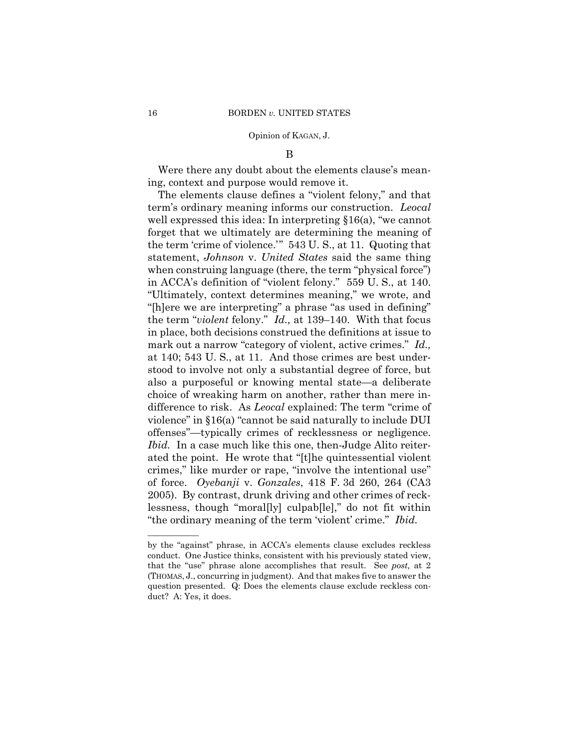#### B

Were there any doubt about the elements clause's meaning, context and purpose would remove it.

The elements clause defines a "violent felony," and that term's ordinary meaning informs our construction. *Leocal*  well expressed this idea: In interpreting §16(a), "we cannot forget that we ultimately are determining the meaning of the term 'crime of violence.'" 543 U. S., at 11. Quoting that statement, *Johnson* v. *United States* said the same thing when construing language (there, the term "physical force") in ACCA's definition of "violent felony." 559 U. S., at 140. "Ultimately, context determines meaning," we wrote, and "[h]ere we are interpreting" a phrase "as used in defining" the term "*violent* felony." *Id.,* at 139–140. With that focus in place, both decisions construed the definitions at issue to mark out a narrow "category of violent, active crimes." *Id.,*  at 140; 543 U. S., at 11. And those crimes are best understood to involve not only a substantial degree of force, but also a purposeful or knowing mental state—a deliberate choice of wreaking harm on another, rather than mere indifference to risk. As *Leocal* explained: The term "crime of violence" in §16(a) "cannot be said naturally to include DUI offenses"—typically crimes of recklessness or negligence. *Ibid.* In a case much like this one, then-Judge Alito reiterated the point. He wrote that "[t]he quintessential violent crimes," like murder or rape, "involve the intentional use" of force. *Oyebanji* v. *Gonzales*, 418 F. 3d 260, 264 (CA3 2005). By contrast, drunk driving and other crimes of recklessness, though "moral[ly] culpab[le]," do not fit within "the ordinary meaning of the term 'violent' crime." *Ibid.* 

——————

 conduct. One Justice thinks, consistent with his previously stated view, by the "against" phrase, in ACCA's elements clause excludes reckless that the "use" phrase alone accomplishes that result. See *post,* at 2 (THOMAS, J., concurring in judgment). And that makes five to answer the question presented. Q: Does the elements clause exclude reckless conduct? A: Yes, it does.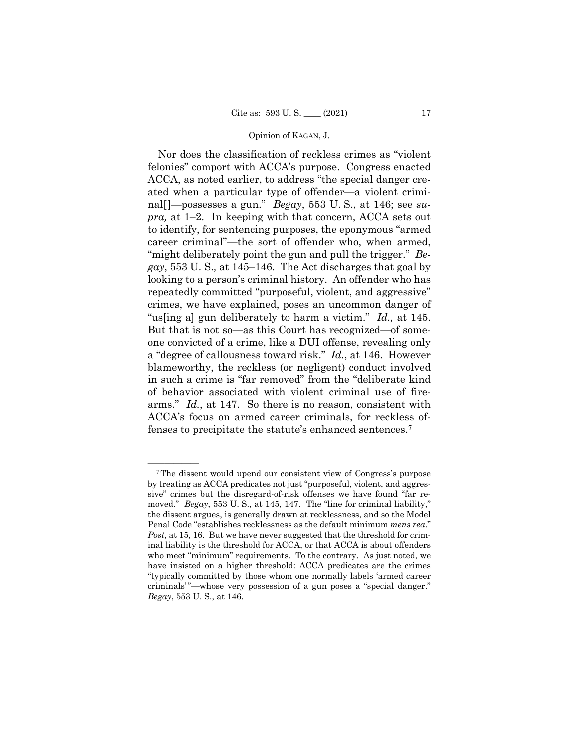Nor does the classification of reckless crimes as "violent felonies" comport with ACCA's purpose. Congress enacted ACCA, as noted earlier, to address "the special danger created when a particular type of offender—a violent criminal[]—possesses a gun." *Begay*, 553 U. S., at 146; see *supra,* at 1–2. In keeping with that concern, ACCA sets out to identify, for sentencing purposes, the eponymous "armed career criminal"—the sort of offender who, when armed, "might deliberately point the gun and pull the trigger." *Begay*, 553 U. S.*,* at 145–146. The Act discharges that goal by looking to a person's criminal history. An offender who has repeatedly committed "purposeful, violent, and aggressive" crimes, we have explained, poses an uncommon danger of "us[ing a] gun deliberately to harm a victim." *Id.,* at 145. But that is not so—as this Court has recognized—of someone convicted of a crime, like a DUI offense, revealing only a "degree of callousness toward risk." *Id.*, at 146. However blameworthy, the reckless (or negligent) conduct involved in such a crime is "far removed" from the "deliberate kind of behavior associated with violent criminal use of firearms." *Id.*, at 147. So there is no reason, consistent with ACCA's focus on armed career criminals, for reckless offenses to precipitate the statute's enhanced sentences.7

<sup>&</sup>lt;sup>7</sup>The dissent would upend our consistent view of Congress's purpose by treating as ACCA predicates not just "purposeful, violent, and aggressive" crimes but the disregard-of-risk offenses we have found "far removed." *Begay*, 553 U. S., at 145, 147. The "line for criminal liability," the dissent argues, is generally drawn at recklessness, and so the Model Penal Code "establishes recklessness as the default minimum *mens rea*." *Post*, at 15, 16. But we have never suggested that the threshold for criminal liability is the threshold for ACCA, or that ACCA is about offenders who meet "minimum" requirements. To the contrary. As just noted, we have insisted on a higher threshold: ACCA predicates are the crimes "typically committed by those whom one normally labels 'armed career criminals'"—whose very possession of a gun poses a "special danger." *Begay*, 553 U. S., at 146.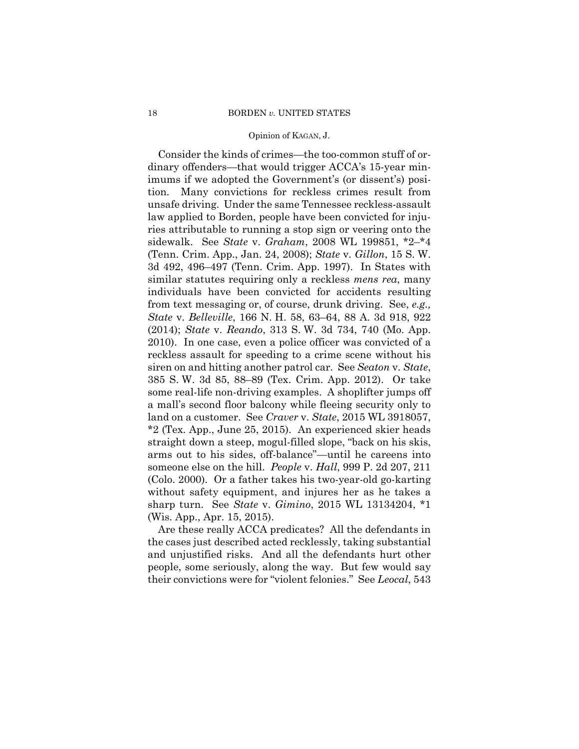Consider the kinds of crimes—the too-common stuff of ordinary offenders—that would trigger ACCA's 15-year minimums if we adopted the Government's (or dissent's) position. Many convictions for reckless crimes result from unsafe driving. Under the same Tennessee reckless-assault law applied to Borden, people have been convicted for injuries attributable to running a stop sign or veering onto the sidewalk. See *State* v. *Graham*, 2008 WL 199851, \*2–\*4 (Tenn. Crim. App., Jan. 24, 2008); *State* v. *Gillon*, 15 S. W. 3d 492, 496–497 (Tenn. Crim. App. 1997). In States with similar statutes requiring only a reckless *mens rea*, many individuals have been convicted for accidents resulting from text messaging or, of course, drunk driving. See, *e.g., State* v. *Belleville*, 166 N. H. 58, 63–64, 88 A. 3d 918, 922 (2014); *State* v. *Reando*, 313 S. W. 3d 734, 740 (Mo. App. 2010). In one case, even a police officer was convicted of a reckless assault for speeding to a crime scene without his siren on and hitting another patrol car. See *Seaton* v. *State*, 385 S. W. 3d 85, 88–89 (Tex. Crim. App. 2012). Or take some real-life non-driving examples. A shoplifter jumps off a mall's second floor balcony while fleeing security only to land on a customer. See *Craver* v. *State*, 2015 WL 3918057, \*2 (Tex. App., June 25, 2015). An experienced skier heads straight down a steep, mogul-filled slope, "back on his skis, arms out to his sides, off-balance"—until he careens into someone else on the hill. *People* v. *Hall*, 999 P. 2d 207, 211 (Colo. 2000). Or a father takes his two-year-old go-karting without safety equipment, and injures her as he takes a sharp turn. See *State* v. *Gimino*, 2015 WL 13134204, \*1 (Wis. App., Apr. 15, 2015).

Are these really ACCA predicates? All the defendants in the cases just described acted recklessly, taking substantial and unjustified risks. And all the defendants hurt other people, some seriously, along the way. But few would say their convictions were for "violent felonies." See *Leocal*, 543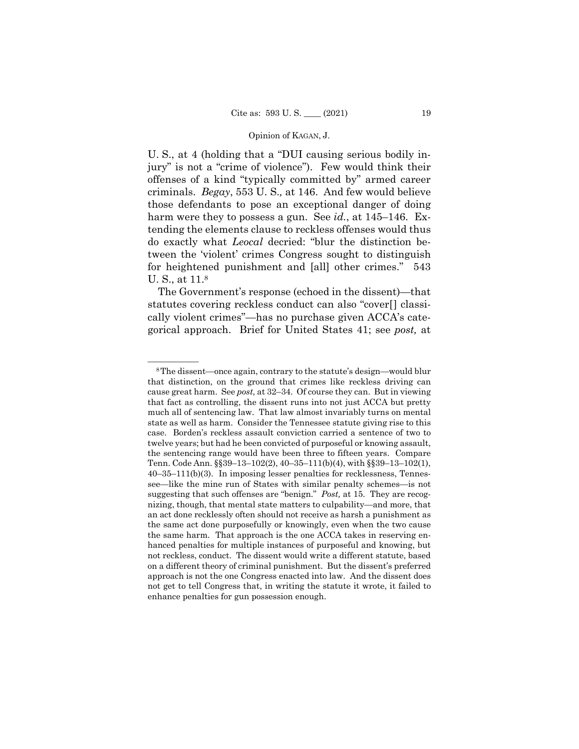jury" is not a "crime of violence"). Few would think their U. S., at 4 (holding that a "DUI causing serious bodily inoffenses of a kind "typically committed by" armed career criminals. *Begay*, 553 U. S.*,* at 146. And few would believe those defendants to pose an exceptional danger of doing harm were they to possess a gun. See *id.*, at 145–146. Extending the elements clause to reckless offenses would thus do exactly what *Leocal* decried: "blur the distinction between the 'violent' crimes Congress sought to distinguish for heightened punishment and [all] other crimes." 543 U. S., at 11.8

The Government's response (echoed in the dissent)—that statutes covering reckless conduct can also "cover[] classically violent crimes"—has no purchase given ACCA's categorical approach. Brief for United States 41; see *post,* at

 cause great harm. See *post,* at 32–34. Of course they can. But in viewing <sup>8</sup>The dissent—once again, contrary to the statute's design—would blur that distinction, on the ground that crimes like reckless driving can that fact as controlling, the dissent runs into not just ACCA but pretty much all of sentencing law. That law almost invariably turns on mental state as well as harm. Consider the Tennessee statute giving rise to this case. Borden's reckless assault conviction carried a sentence of two to twelve years; but had he been convicted of purposeful or knowing assault, the sentencing range would have been three to fifteen years. Compare Tenn. Code Ann. §§39–13–102(2), 40–35–111(b)(4), with §§39–13–102(1), 40–35–111(b)(3). In imposing lesser penalties for recklessness, Tennessee—like the mine run of States with similar penalty schemes—is not suggesting that such offenses are "benign." *Post,* at 15. They are recognizing, though, that mental state matters to culpability—and more, that an act done recklessly often should not receive as harsh a punishment as the same act done purposefully or knowingly, even when the two cause the same harm. That approach is the one ACCA takes in reserving enhanced penalties for multiple instances of purposeful and knowing, but not reckless, conduct. The dissent would write a different statute, based on a different theory of criminal punishment. But the dissent's preferred approach is not the one Congress enacted into law. And the dissent does not get to tell Congress that, in writing the statute it wrote, it failed to enhance penalties for gun possession enough.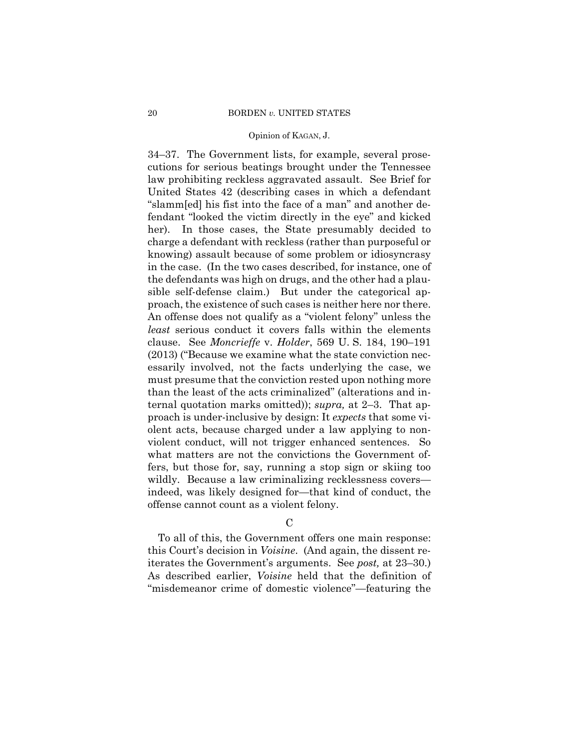34–37. The Government lists, for example, several prosecutions for serious beatings brought under the Tennessee law prohibiting reckless aggravated assault. See Brief for United States 42 (describing cases in which a defendant "slamm[ed] his fist into the face of a man" and another defendant "looked the victim directly in the eye" and kicked her). In those cases, the State presumably decided to charge a defendant with reckless (rather than purposeful or knowing) assault because of some problem or idiosyncrasy in the case. (In the two cases described, for instance, one of the defendants was high on drugs, and the other had a plausible self-defense claim.) But under the categorical approach, the existence of such cases is neither here nor there. An offense does not qualify as a "violent felony" unless the *least* serious conduct it covers falls within the elements clause. See *Moncrieffe* v. *Holder*, 569 U. S. 184, 190–191 (2013) ("Because we examine what the state conviction necessarily involved, not the facts underlying the case, we must presume that the conviction rested upon nothing more than the least of the acts criminalized" (alterations and internal quotation marks omitted)); *supra,* at 2–3. That approach is under-inclusive by design: It *expects* that some violent acts, because charged under a law applying to nonviolent conduct, will not trigger enhanced sentences. So what matters are not the convictions the Government offers, but those for, say, running a stop sign or skiing too wildly. Because a law criminalizing recklessness covers indeed, was likely designed for—that kind of conduct, the offense cannot count as a violent felony.

 $\mathcal{C}$ 

To all of this, the Government offers one main response: this Court's decision in *Voisine*. (And again, the dissent reiterates the Government's arguments. See *post,* at 23–30.) As described earlier, *Voisine* held that the definition of "misdemeanor crime of domestic violence"—featuring the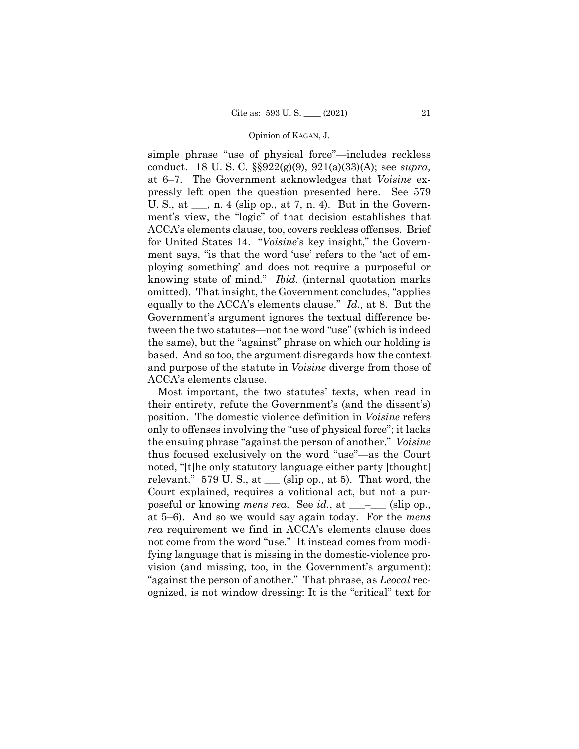simple phrase "use of physical force"—includes reckless conduct. 18 U. S. C. §§922(g)(9), 921(a)(33)(A); see *supra,* at 6–7. The Government acknowledges that *Voisine* expressly left open the question presented here. See 579 U. S., at  $\_\_$ , n. 4 (slip op., at 7, n. 4). But in the Government's view, the "logic" of that decision establishes that ACCA's elements clause, too, covers reckless offenses. Brief for United States 14. "*Voisine*'s key insight," the Government says, "is that the word 'use' refers to the 'act of employing something' and does not require a purposeful or knowing state of mind." *Ibid.* (internal quotation marks omitted). That insight, the Government concludes, "applies equally to the ACCA's elements clause." *Id.,* at 8. But the Government's argument ignores the textual difference between the two statutes—not the word "use" (which is indeed the same), but the "against" phrase on which our holding is based. And so too, the argument disregards how the context and purpose of the statute in *Voisine* diverge from those of ACCA's elements clause.

Most important, the two statutes' texts, when read in their entirety, refute the Government's (and the dissent's) position. The domestic violence definition in *Voisine* refers only to offenses involving the "use of physical force"; it lacks the ensuing phrase "against the person of another." *Voisine*  thus focused exclusively on the word "use"—as the Court noted, "[t]he only statutory language either party [thought] relevant." 579 U.S., at  $\_\_$  (slip op., at 5). That word, the Court explained, requires a volitional act, but not a purposeful or knowing *mens rea*. See *id.*, at \_\_\_\_\_\_ (slip op., at 5–6). And so we would say again today. For the *mens rea* requirement we find in ACCA's elements clause does not come from the word "use." It instead comes from modifying language that is missing in the domestic-violence provision (and missing, too, in the Government's argument): "against the person of another." That phrase, as *Leocal* recognized, is not window dressing: It is the "critical" text for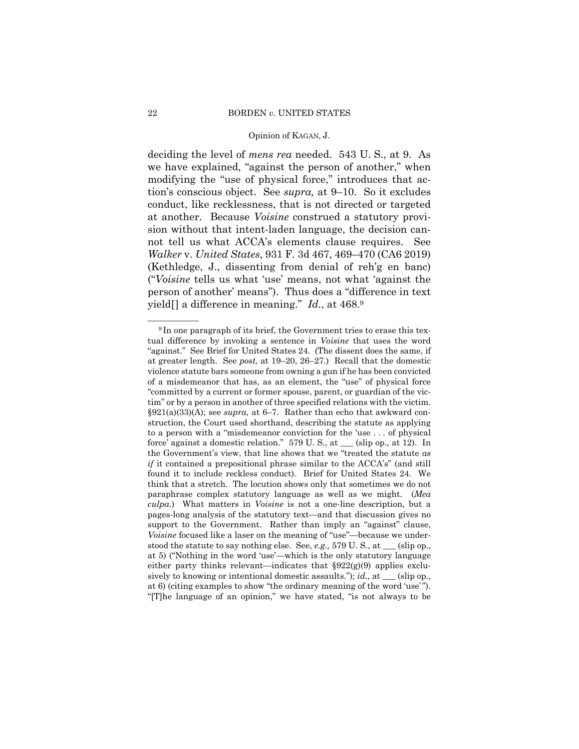deciding the level of *mens rea* needed. 543 U. S., at 9. As we have explained, "against the person of another," when modifying the "use of physical force," introduces that action's conscious object. See *supra,* at 9–10. So it excludes conduct, like recklessness, that is not directed or targeted at another. Because *Voisine* construed a statutory provision without that intent-laden language, the decision cannot tell us what ACCA's elements clause requires. See *Walker* v. *United States*, 931 F. 3d 467, 469–470 (CA6 2019) (Kethledge, J., dissenting from denial of reh'g en banc) ("*Voisine* tells us what 'use' means, not what 'against the person of another' means"). Thus does a "difference in text yield[] a difference in meaning." *Id.*, at 468.9

 violence statute bars someone from owning a gun if he has been convicted struction, the Court used shorthand, describing the statute as applying <sup>9</sup>In one paragraph of its brief, the Government tries to erase this textual difference by invoking a sentence in *Voisine* that uses the word "against." See Brief for United States 24. (The dissent does the same, if at greater length. See *post,* at 19–20, 26–27.) Recall that the domestic of a misdemeanor that has, as an element, the "use" of physical force "committed by a current or former spouse, parent, or guardian of the victim" or by a person in another of three specified relations with the victim. §921(a)(33)(A); see *supra,* at 6–7. Rather than echo that awkward conto a person with a "misdemeanor conviction for the 'use . . . of physical force' against a domestic relation." 579 U. S., at \_\_\_ (slip op., at 12). In the Government's view, that line shows that we "treated the statute *as if* it contained a prepositional phrase similar to the ACCA's" (and still found it to include reckless conduct). Brief for United States 24. We think that a stretch. The locution shows only that sometimes we do not paraphrase complex statutory language as well as we might. (*Mea culpa*.) What matters in *Voisine* is not a one-line description, but a pages-long analysis of the statutory text—and that discussion gives no support to the Government. Rather than imply an "against" clause, *Voisine* focused like a laser on the meaning of "use"—because we understood the statute to say nothing else. See, *e.g.,* 579 U. S., at \_\_\_ (slip op., at 5) ("Nothing in the word 'use'—which is the only statutory language either party thinks relevant—indicates that §922(g)(9) applies exclusively to knowing or intentional domestic assaults."); *id.*, at \_\_\_ (slip op., at 6) (citing examples to show "the ordinary meaning of the word 'use' "). "[T]he language of an opinion," we have stated, "is not always to be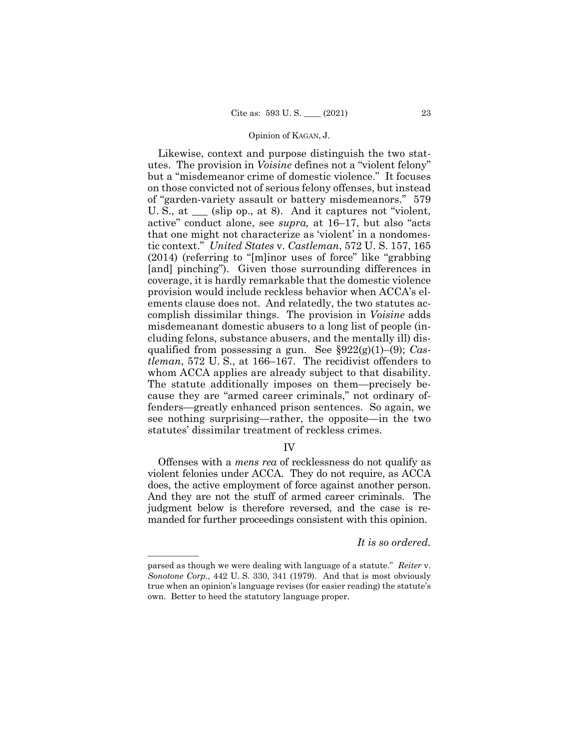tic context." *United States* v. *Castleman*, 572 U. S. 157, 165 Likewise, context and purpose distinguish the two statutes. The provision in *Voisine* defines not a "violent felony" but a "misdemeanor crime of domestic violence." It focuses on those convicted not of serious felony offenses, but instead of "garden-variety assault or battery misdemeanors." 579 U. S., at  $\Box$  (slip op., at 8). And it captures not "violent, active" conduct alone, see *supra,* at 16–17, but also "acts that one might not characterize as 'violent' in a nondomes-(2014) (referring to "[m]inor uses of force" like "grabbing [and] pinching"). Given those surrounding differences in coverage, it is hardly remarkable that the domestic violence provision would include reckless behavior when ACCA's elements clause does not. And relatedly, the two statutes accomplish dissimilar things. The provision in *Voisine* adds misdemeanant domestic abusers to a long list of people (including felons, substance abusers, and the mentally ill) disqualified from possessing a gun. See §922(g)(1)–(9); *Castleman*, 572 U. S., at 166–167. The recidivist offenders to whom ACCA applies are already subject to that disability. The statute additionally imposes on them—precisely because they are "armed career criminals," not ordinary offenders—greatly enhanced prison sentences. So again, we see nothing surprising—rather, the opposite—in the two statutes' dissimilar treatment of reckless crimes.

## IV

 does, the active employment of force against another person. Offenses with a *mens rea* of recklessness do not qualify as violent felonies under ACCA. They do not require, as ACCA And they are not the stuff of armed career criminals. The judgment below is therefore reversed, and the case is remanded for further proceedings consistent with this opinion.

## *It is so ordered.*

——————

parsed as though we were dealing with language of a statute." *Reiter* v. *Sonotone Corp.*, 442 U. S. 330, 341 (1979). And that is most obviously true when an opinion's language revises (for easier reading) the statute's own. Better to heed the statutory language proper.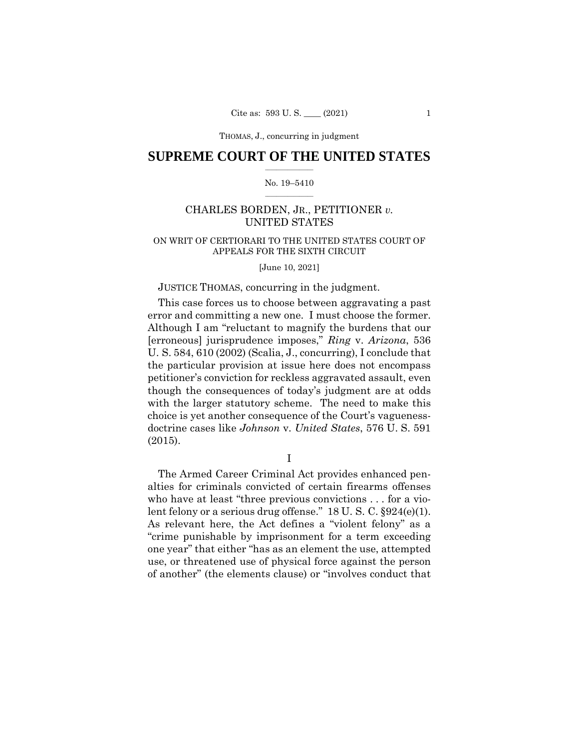THOMAS, J., concurring THOMAS, J., concurring in judgment

## $\frac{1}{2}$  ,  $\frac{1}{2}$  ,  $\frac{1}{2}$  ,  $\frac{1}{2}$  ,  $\frac{1}{2}$  ,  $\frac{1}{2}$  ,  $\frac{1}{2}$ **SUPREME COURT OF THE UNITED STATES**

#### $\frac{1}{2}$  ,  $\frac{1}{2}$  ,  $\frac{1}{2}$  ,  $\frac{1}{2}$  ,  $\frac{1}{2}$  ,  $\frac{1}{2}$ No. 19–5410

## CHARLES BORDEN, JR., PETITIONER *v.*  UNITED STATES

## ON WRIT OF CERTIORARI TO THE UNITED STATES COURT OF APPEALS FOR THE SIXTH CIRCUIT

[June 10, 2021]

### JUSTICE THOMAS, concurring in the judgment.

This case forces us to choose between aggravating a past error and committing a new one. I must choose the former. Although I am "reluctant to magnify the burdens that our [erroneous] jurisprudence imposes," *Ring* v. *Arizona*, 536 U. S. 584, 610 (2002) (Scalia, J., concurring), I conclude that the particular provision at issue here does not encompass petitioner's conviction for reckless aggravated assault, even though the consequences of today's judgment are at odds with the larger statutory scheme. The need to make this choice is yet another consequence of the Court's vaguenessdoctrine cases like *Johnson* v. *United States*, 576 U. S. 591 (2015).

I

The Armed Career Criminal Act provides enhanced penalties for criminals convicted of certain firearms offenses who have at least "three previous convictions . . . for a violent felony or a serious drug offense." 18 U. S. C. §924(e)(1). As relevant here, the Act defines a "violent felony" as a "crime punishable by imprisonment for a term exceeding one year" that either "has as an element the use, attempted use, or threatened use of physical force against the person of another" (the elements clause) or "involves conduct that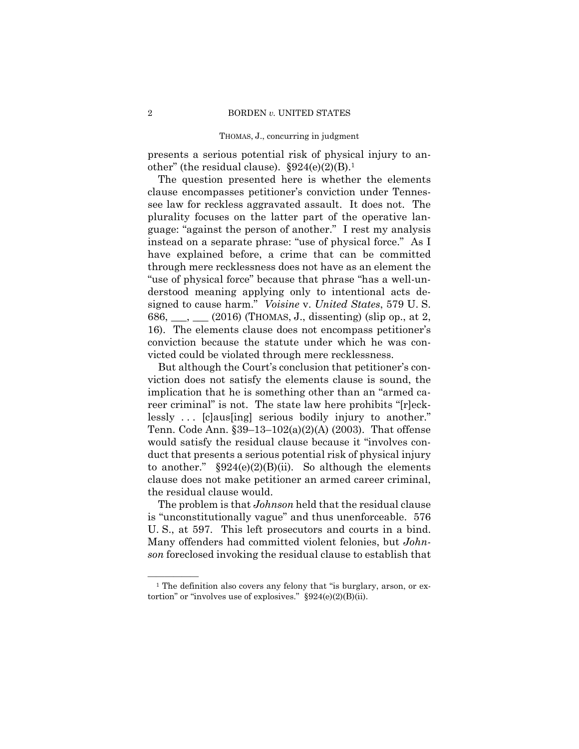presents a serious potential risk of physical injury to another" (the residual clause).  $$924(e)(2)(B).<sup>1</sup>$ 

The question presented here is whether the elements clause encompasses petitioner's conviction under Tennessee law for reckless aggravated assault. It does not. The plurality focuses on the latter part of the operative language: "against the person of another." I rest my analysis instead on a separate phrase: "use of physical force." As I have explained before, a crime that can be committed through mere recklessness does not have as an element the "use of physical force" because that phrase "has a well-understood meaning applying only to intentional acts designed to cause harm." *Voisine* v. *United States*, 579 U. S. 686,  $\_\_$ ,  $\_\_$  (2016) (THOMAS, J., dissenting) (slip op., at 2, 16). The elements clause does not encompass petitioner's conviction because the statute under which he was convicted could be violated through mere recklessness.

But although the Court's conclusion that petitioner's conviction does not satisfy the elements clause is sound, the implication that he is something other than an "armed career criminal" is not. The state law here prohibits "[r]ecklessly ... [c]aus[ing] serious bodily injury to another." Tenn. Code Ann. §39–13–102(a)(2)(A) (2003). That offense would satisfy the residual clause because it "involves conduct that presents a serious potential risk of physical injury to another."  $§924(e)(2)(B)(ii)$ . So although the elements clause does not make petitioner an armed career criminal, the residual clause would.

The problem is that *Johnson* held that the residual clause is "unconstitutionally vague" and thus unenforceable. 576 U. S., at 597. This left prosecutors and courts in a bind. Many offenders had committed violent felonies, but *Johnson* foreclosed invoking the residual clause to establish that

 $^1$  The definition also covers any felony that "is burglary, arson, or extortion" or "involves use of explosives."  $\S 924(e)(2)(B)(ii)$ .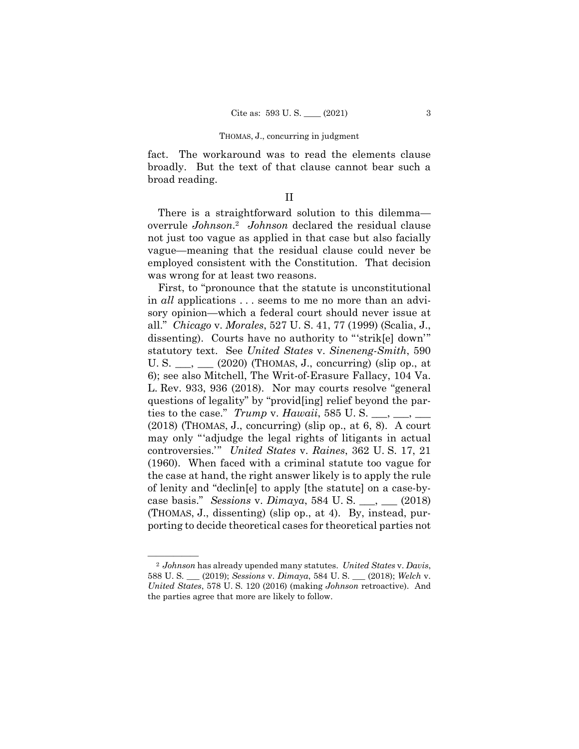fact. The workaround was to read the elements clause broadly. But the text of that clause cannot bear such a broad reading.

II

 overrule *Johnson*.2 *Johnson* declared the residual clause There is a straightforward solution to this dilemma not just too vague as applied in that case but also facially vague—meaning that the residual clause could never be employed consistent with the Constitution. That decision was wrong for at least two reasons.

First, to "pronounce that the statute is unconstitutional in *all* applications . . . seems to me no more than an advisory opinion—which a federal court should never issue at all." *Chicago* v. *Morales*, 527 U. S. 41, 77 (1999) (Scalia, J., dissenting). Courts have no authority to "'strik[e] down'" statutory text. See *United States* v. *Sineneng-Smith*, 590 U. S.  $\_\_\_\_\_\_\_\_\_\$  (2020) (THOMAS, J., concurring) (slip op., at 6); see also Mitchell, The Writ-of-Erasure Fallacy, 104 Va. L. Rev. 933, 936 (2018). Nor may courts resolve "general questions of legality" by "provid[ing] relief beyond the parties to the case." *Trump* v. *Hawaii*, 585 U. S.  $\_\_\_\_\_\_\_\_\_\_$ (2018) (THOMAS, J., concurring) (slip op., at 6, 8). A court may only "'adjudge the legal rights of litigants in actual controversies.'" *United States* v. *Raines*, 362 U. S. 17, 21 (1960). When faced with a criminal statute too vague for the case at hand, the right answer likely is to apply the rule of lenity and "declin[e] to apply [the statute] on a case-bycase basis." *Sessions* v. *Dimaya*, 584 U. S. \_\_\_, \_\_\_ (2018) (THOMAS, J., dissenting) (slip op., at 4). By, instead, purporting to decide theoretical cases for theoretical parties not

<sup>—————— 2</sup> *Johnson* has already upended many statutes. *United States* v. *Davis*, 588 U. S. \_\_\_ (2019); *Sessions* v. *Dimaya*, 584 U. S. \_\_\_ (2018); *Welch* v. *United States*, 578 U. S. 120 (2016) (making *Johnson* retroactive). And the parties agree that more are likely to follow.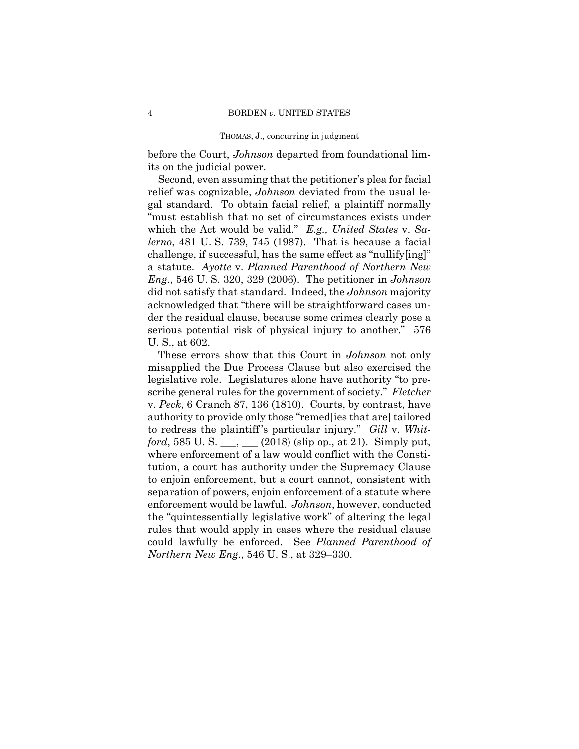before the Court, *Johnson* departed from foundational limits on the judicial power.

Second, even assuming that the petitioner's plea for facial relief was cognizable, *Johnson* deviated from the usual legal standard. To obtain facial relief, a plaintiff normally "must establish that no set of circumstances exists under which the Act would be valid." *E.g., United States* v. *Salerno*, 481 U. S. 739, 745 (1987). That is because a facial challenge, if successful, has the same effect as "nullify[ing]" a statute. *Ayotte* v. *Planned Parenthood of Northern New Eng.*, 546 U. S. 320, 329 (2006). The petitioner in *Johnson*  did not satisfy that standard. Indeed, the *Johnson* majority acknowledged that "there will be straightforward cases under the residual clause, because some crimes clearly pose a serious potential risk of physical injury to another." 576 U. S., at 602.

 to redress the plaintiff 's particular injury." *Gill* v. *Whit-*These errors show that this Court in *Johnson* not only misapplied the Due Process Clause but also exercised the legislative role. Legislatures alone have authority "to prescribe general rules for the government of society." *Fletcher*  v. *Peck*, 6 Cranch 87, 136 (1810). Courts, by contrast, have authority to provide only those "remed[ies that are] tailored *ford*, 585 U. S. \_\_\_, \_\_\_ (2018) (slip op., at 21). Simply put, where enforcement of a law would conflict with the Constitution, a court has authority under the Supremacy Clause to enjoin enforcement, but a court cannot, consistent with separation of powers, enjoin enforcement of a statute where enforcement would be lawful. *Johnson*, however, conducted the "quintessentially legislative work" of altering the legal rules that would apply in cases where the residual clause could lawfully be enforced. See *Planned Parenthood of Northern New Eng.*, 546 U. S., at 329–330.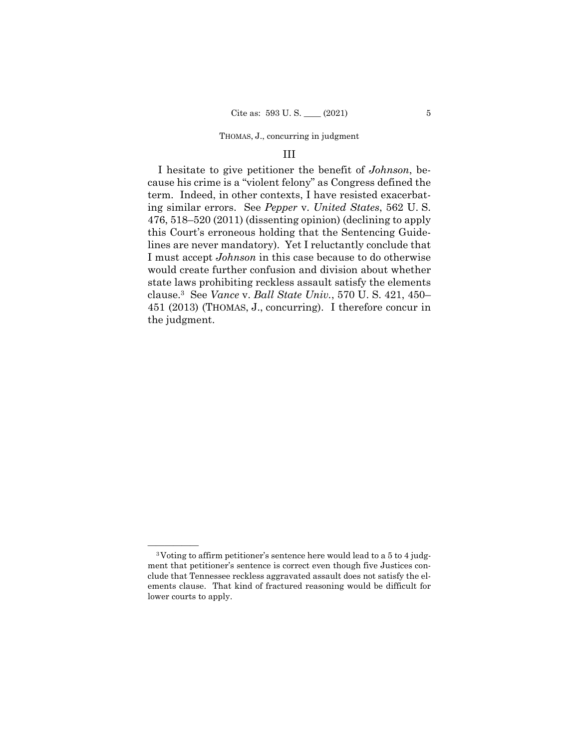#### III

 451 (2013) (THOMAS, J., concurring). I therefore concur in I hesitate to give petitioner the benefit of *Johnson*, because his crime is a "violent felony" as Congress defined the term. Indeed, in other contexts, I have resisted exacerbating similar errors. See *Pepper* v. *United States*, 562 U. S. 476, 518–520 (2011) (dissenting opinion) (declining to apply this Court's erroneous holding that the Sentencing Guidelines are never mandatory). Yet I reluctantly conclude that I must accept *Johnson* in this case because to do otherwise would create further confusion and division about whether state laws prohibiting reckless assault satisfy the elements clause.3 See *Vance* v. *Ball State Univ.*, 570 U. S. 421, 450– the judgment.

 $3$ Voting to affirm petitioner's sentence here would lead to a 5 to 4 judgment that petitioner's sentence is correct even though five Justices conclude that Tennessee reckless aggravated assault does not satisfy the elements clause. That kind of fractured reasoning would be difficult for lower courts to apply.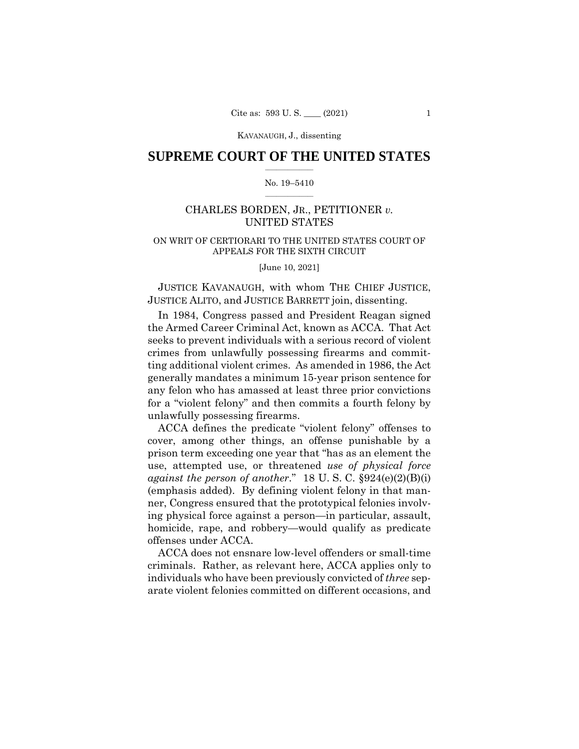## $\frac{1}{2}$  ,  $\frac{1}{2}$  ,  $\frac{1}{2}$  ,  $\frac{1}{2}$  ,  $\frac{1}{2}$  ,  $\frac{1}{2}$  ,  $\frac{1}{2}$ **SUPREME COURT OF THE UNITED STATES**

#### $\frac{1}{2}$  ,  $\frac{1}{2}$  ,  $\frac{1}{2}$  ,  $\frac{1}{2}$  ,  $\frac{1}{2}$  ,  $\frac{1}{2}$ No. 19–5410

## CHARLES BORDEN, JR., PETITIONER *v.*  UNITED STATES

## ON WRIT OF CERTIORARI TO THE UNITED STATES COURT OF APPEALS FOR THE SIXTH CIRCUIT

[June 10, 2021]

 JUSTICE ALITO, and JUSTICE BARRETT join, dissenting. JUSTICE KAVANAUGH, with whom THE CHIEF JUSTICE,

In 1984, Congress passed and President Reagan signed the Armed Career Criminal Act, known as ACCA. That Act seeks to prevent individuals with a serious record of violent crimes from unlawfully possessing firearms and committing additional violent crimes. As amended in 1986, the Act generally mandates a minimum 15-year prison sentence for any felon who has amassed at least three prior convictions for a "violent felony" and then commits a fourth felony by unlawfully possessing firearms.

ACCA defines the predicate "violent felony" offenses to cover, among other things, an offense punishable by a prison term exceeding one year that "has as an element the use, attempted use, or threatened *use of physical force against the person of another*." 18 U. S. C. §924(e)(2)(B)(i) (emphasis added). By defining violent felony in that manner, Congress ensured that the prototypical felonies involving physical force against a person—in particular, assault, homicide, rape, and robbery—would qualify as predicate offenses under ACCA.

ACCA does not ensnare low-level offenders or small-time criminals. Rather, as relevant here, ACCA applies only to individuals who have been previously convicted of *three* separate violent felonies committed on different occasions, and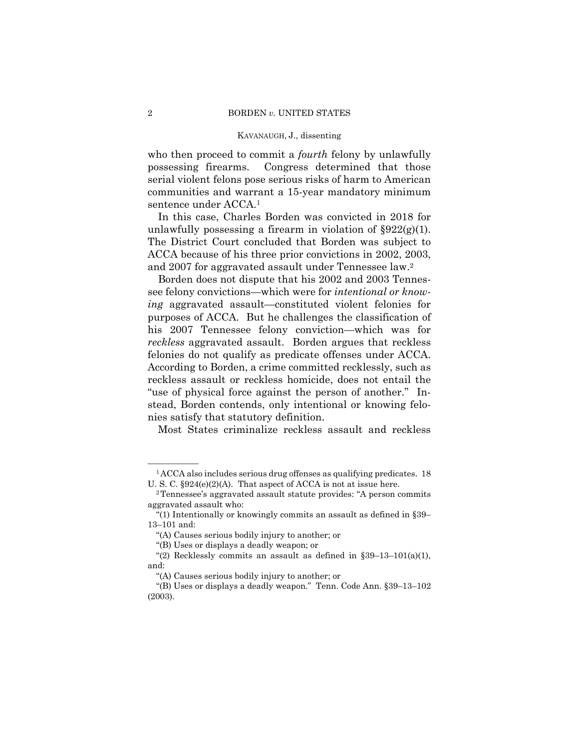who then proceed to commit a *fourth* felony by unlawfully possessing firearms. Congress determined that those serial violent felons pose serious risks of harm to American communities and warrant a 15-year mandatory minimum sentence under ACCA.1

In this case, Charles Borden was convicted in 2018 for unlawfully possessing a firearm in violation of  $\S 922(g)(1)$ . The District Court concluded that Borden was subject to ACCA because of his three prior convictions in 2002, 2003, and 2007 for aggravated assault under Tennessee law.2

Borden does not dispute that his 2002 and 2003 Tennessee felony convictions—which were for *intentional or knowing* aggravated assault—constituted violent felonies for purposes of ACCA. But he challenges the classification of his 2007 Tennessee felony conviction—which was for *reckless* aggravated assault. Borden argues that reckless felonies do not qualify as predicate offenses under ACCA. According to Borden, a crime committed recklessly, such as reckless assault or reckless homicide, does not entail the "use of physical force against the person of another." Instead, Borden contends, only intentional or knowing felonies satisfy that statutory definition.

Most States criminalize reckless assault and reckless

 $1$ ACCA also includes serious drug offenses as qualifying predicates. 18 U. S. C. §924(e)(2)(A). That aspect of ACCA is not at issue here.

<sup>2</sup>Tennessee's aggravated assault statute provides: "A person commits aggravated assault who:

<sup>&</sup>quot;(1) Intentionally or knowingly commits an assault as defined in §39– 13–101 and:

<sup>&</sup>quot;(A) Causes serious bodily injury to another; or

<sup>&</sup>quot;(B) Uses or displays a deadly weapon; or

<sup>&</sup>quot;(2) Recklessly commits an assault as defined in  $\S 39-13-101(a)(1)$ , and:

<sup>&</sup>quot;(A) Causes serious bodily injury to another; or

<sup>&</sup>quot;(B) Uses or displays a deadly weapon." Tenn. Code Ann. §39–13–102 (2003).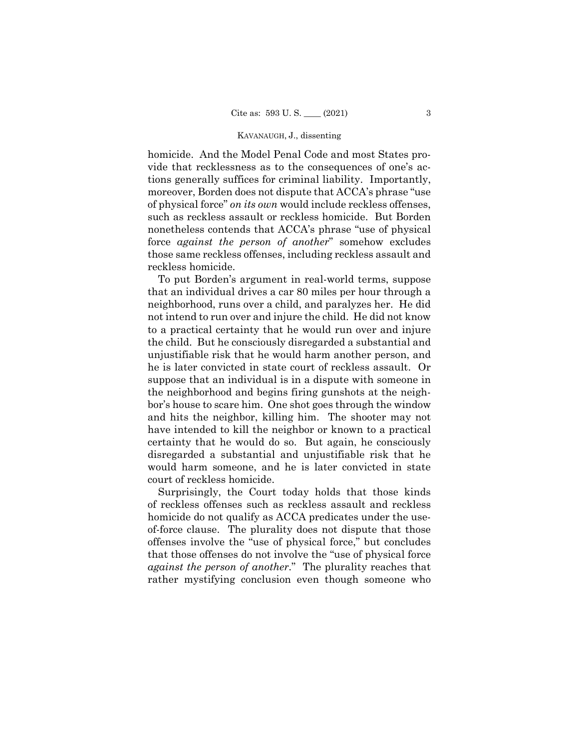homicide. And the Model Penal Code and most States provide that recklessness as to the consequences of one's actions generally suffices for criminal liability. Importantly, moreover, Borden does not dispute that ACCA's phrase "use of physical force" *on its own* would include reckless offenses, such as reckless assault or reckless homicide. But Borden nonetheless contends that ACCA's phrase "use of physical force *against the person of another*" somehow excludes those same reckless offenses, including reckless assault and reckless homicide.

To put Borden's argument in real-world terms, suppose that an individual drives a car 80 miles per hour through a neighborhood, runs over a child, and paralyzes her. He did not intend to run over and injure the child. He did not know to a practical certainty that he would run over and injure the child. But he consciously disregarded a substantial and unjustifiable risk that he would harm another person, and he is later convicted in state court of reckless assault. Or suppose that an individual is in a dispute with someone in the neighborhood and begins firing gunshots at the neighbor's house to scare him. One shot goes through the window and hits the neighbor, killing him. The shooter may not have intended to kill the neighbor or known to a practical certainty that he would do so. But again, he consciously disregarded a substantial and unjustifiable risk that he would harm someone, and he is later convicted in state court of reckless homicide.

Surprisingly, the Court today holds that those kinds of reckless offenses such as reckless assault and reckless homicide do not qualify as ACCA predicates under the useof-force clause. The plurality does not dispute that those offenses involve the "use of physical force," but concludes that those offenses do not involve the "use of physical force *against the person of another*." The plurality reaches that rather mystifying conclusion even though someone who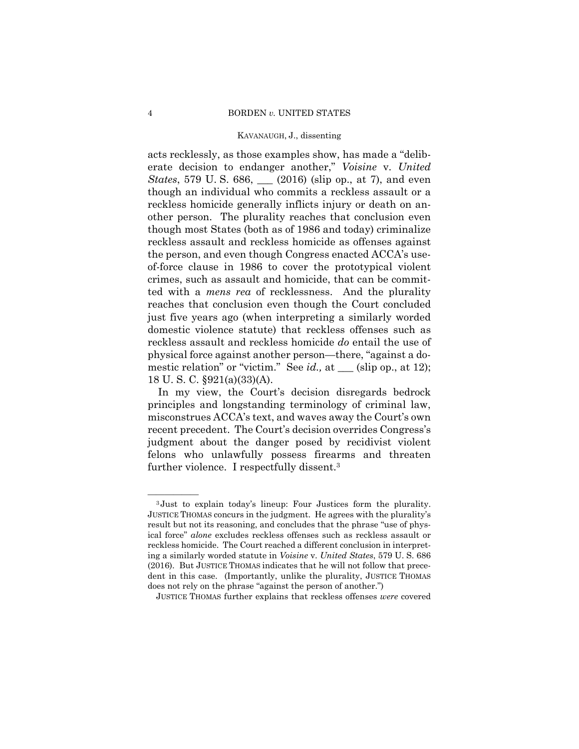acts recklessly, as those examples show, has made a "deliberate decision to endanger another," *Voisine* v. *United States*, 579 U.S. 686, <u>(2016</u>) (slip op., at 7), and even though an individual who commits a reckless assault or a reckless homicide generally inflicts injury or death on another person. The plurality reaches that conclusion even though most States (both as of 1986 and today) criminalize reckless assault and reckless homicide as offenses against the person, and even though Congress enacted ACCA's useof-force clause in 1986 to cover the prototypical violent crimes, such as assault and homicide, that can be committed with a *mens rea* of recklessness. And the plurality reaches that conclusion even though the Court concluded just five years ago (when interpreting a similarly worded domestic violence statute) that reckless offenses such as reckless assault and reckless homicide *do* entail the use of physical force against another person—there, "against a domestic relation" or "victim." See *id.*, at \_\_\_ (slip op., at 12); 18 U. S. C. §921(a)(33)(A).

In my view, the Court's decision disregards bedrock principles and longstanding terminology of criminal law, misconstrues ACCA's text, and waves away the Court's own recent precedent. The Court's decision overrides Congress's judgment about the danger posed by recidivist violent felons who unlawfully possess firearms and threaten further violence. I respectfully dissent.3

<sup>&</sup>lt;sup>3</sup>Just to explain today's lineup: Four Justices form the plurality. JUSTICE THOMAS concurs in the judgment. He agrees with the plurality's result but not its reasoning, and concludes that the phrase "use of physical force" *alone* excludes reckless offenses such as reckless assault or reckless homicide. The Court reached a different conclusion in interpreting a similarly worded statute in *Voisine* v. *United States*, 579 U. S. 686 (2016). But JUSTICE THOMAS indicates that he will not follow that precedent in this case. (Importantly, unlike the plurality, JUSTICE THOMAS does not rely on the phrase "against the person of another.")

JUSTICE THOMAS further explains that reckless offenses *were* covered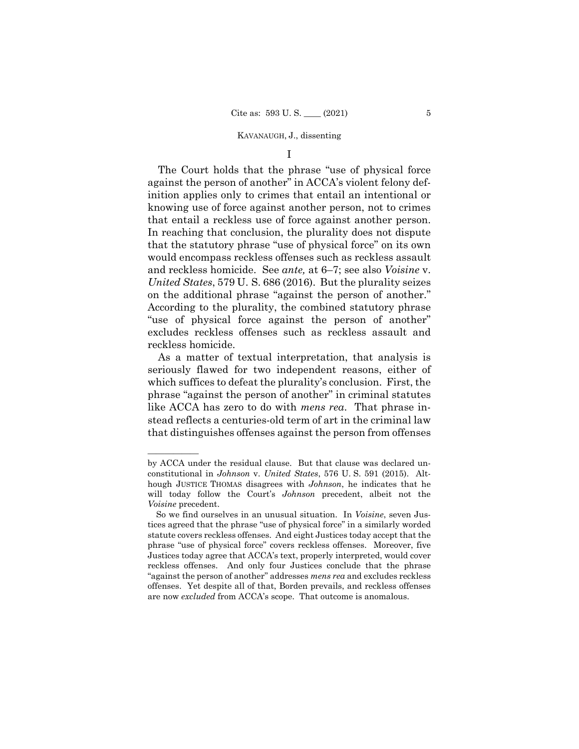I

The Court holds that the phrase "use of physical force against the person of another" in ACCA's violent felony definition applies only to crimes that entail an intentional or knowing use of force against another person, not to crimes that entail a reckless use of force against another person. In reaching that conclusion, the plurality does not dispute that the statutory phrase "use of physical force" on its own would encompass reckless offenses such as reckless assault and reckless homicide. See *ante,* at 6–7; see also *Voisine* v. *United States*, 579 U. S. 686 (2016). But the plurality seizes on the additional phrase "against the person of another." According to the plurality, the combined statutory phrase "use of physical force against the person of another" excludes reckless offenses such as reckless assault and reckless homicide.

As a matter of textual interpretation, that analysis is seriously flawed for two independent reasons, either of which suffices to defeat the plurality's conclusion. First, the phrase "against the person of another" in criminal statutes like ACCA has zero to do with *mens rea*. That phrase instead reflects a centuries-old term of art in the criminal law that distinguishes offenses against the person from offenses

——————

by ACCA under the residual clause. But that clause was declared unconstitutional in *Johnson* v. *United States*, 576 U. S. 591 (2015). Although JUSTICE THOMAS disagrees with *Johnson*, he indicates that he will today follow the Court's *Johnson* precedent, albeit not the *Voisine* precedent.

So we find ourselves in an unusual situation. In *Voisine*, seven Justices agreed that the phrase "use of physical force" in a similarly worded statute covers reckless offenses. And eight Justices today accept that the phrase "use of physical force" covers reckless offenses. Moreover, five Justices today agree that ACCA's text, properly interpreted, would cover reckless offenses. And only four Justices conclude that the phrase "against the person of another" addresses *mens rea* and excludes reckless offenses. Yet despite all of that, Borden prevails, and reckless offenses are now *excluded* from ACCA's scope. That outcome is anomalous.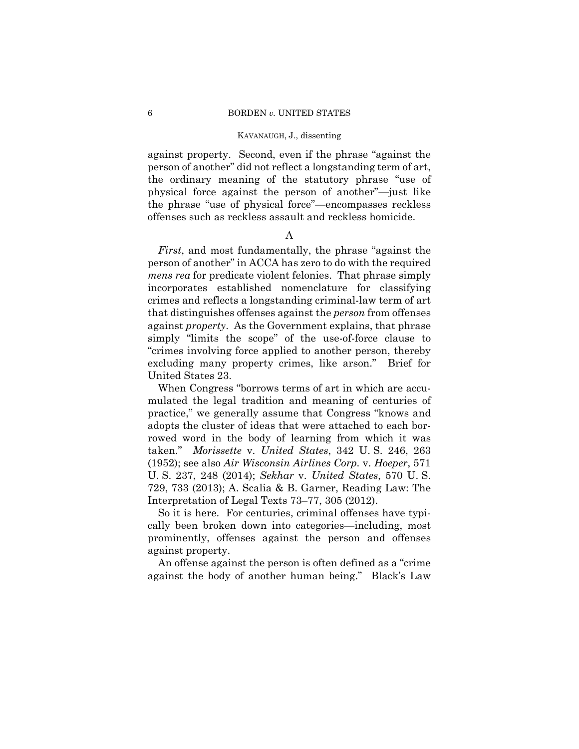against property. Second, even if the phrase "against the person of another" did not reflect a longstanding term of art, the ordinary meaning of the statutory phrase "use of physical force against the person of another"—just like the phrase "use of physical force"—encompasses reckless offenses such as reckless assault and reckless homicide.

## A

*First*, and most fundamentally, the phrase "against the person of another" in ACCA has zero to do with the required *mens rea* for predicate violent felonies. That phrase simply incorporates established nomenclature for classifying crimes and reflects a longstanding criminal-law term of art that distinguishes offenses against the *person* from offenses against *property*. As the Government explains, that phrase simply "limits the scope" of the use-of-force clause to "crimes involving force applied to another person, thereby excluding many property crimes, like arson." Brief for United States 23.

When Congress "borrows terms of art in which are accumulated the legal tradition and meaning of centuries of practice," we generally assume that Congress "knows and adopts the cluster of ideas that were attached to each borrowed word in the body of learning from which it was taken." *Morissette* v. *United States*, 342 U. S. 246, 263 (1952); see also *Air Wisconsin Airlines Corp.* v. *Hoeper*, 571 U. S. 237, 248 (2014); *Sekhar* v. *United States*, 570 U. S. 729, 733 (2013); A. Scalia & B. Garner, Reading Law: The Interpretation of Legal Texts 73–77, 305 (2012).

So it is here. For centuries, criminal offenses have typically been broken down into categories—including, most prominently, offenses against the person and offenses against property.

An offense against the person is often defined as a "crime against the body of another human being." Black's Law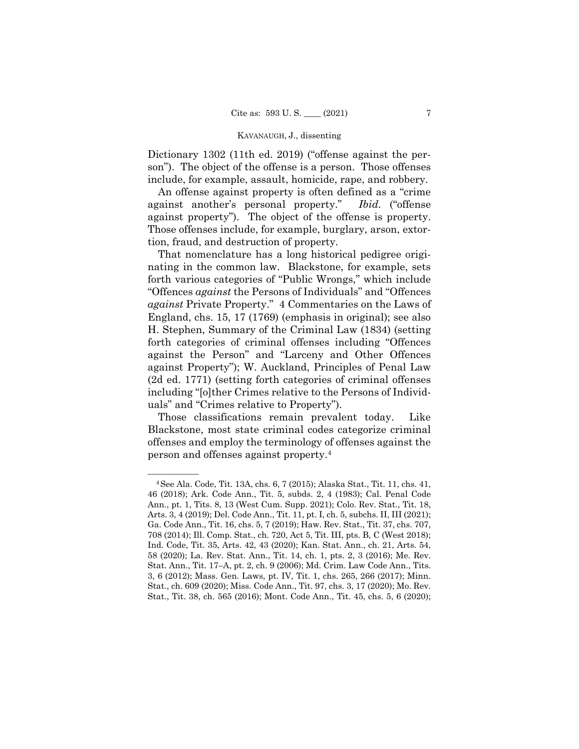Dictionary 1302 (11th ed. 2019) ("offense against the person"). The object of the offense is a person. Those offenses include, for example, assault, homicide, rape, and robbery.

An offense against property is often defined as a "crime against another's personal property." *Ibid.* ("offense against property"). The object of the offense is property. Those offenses include, for example, burglary, arson, extortion, fraud, and destruction of property.

That nomenclature has a long historical pedigree originating in the common law. Blackstone, for example, sets forth various categories of "Public Wrongs," which include "Offences *against* the Persons of Individuals" and "Offences *against* Private Property." 4 Commentaries on the Laws of England, chs. 15, 17 (1769) (emphasis in original); see also H. Stephen, Summary of the Criminal Law (1834) (setting forth categories of criminal offenses including "Offences against the Person" and "Larceny and Other Offences against Property"); W. Auckland, Principles of Penal Law (2d ed. 1771) (setting forth categories of criminal offenses including "[o]ther Crimes relative to the Persons of Individuals" and "Crimes relative to Property").

 person and offenses against property.4 Those classifications remain prevalent today. Like Blackstone, most state criminal codes categorize criminal offenses and employ the terminology of offenses against the

<sup>—————— 4</sup>See Ala. Code, Tit. 13A, chs. 6, 7 (2015); Alaska Stat., Tit. 11, chs. 41, 46 (2018); Ark. Code Ann., Tit. 5, subds. 2, 4 (1983); Cal. Penal Code Ann., pt. 1, Tits. 8, 13 (West Cum. Supp. 2021); Colo. Rev. Stat., Tit. 18, Arts. 3, 4 (2019); Del. Code Ann., Tit. 11, pt. I, ch. 5, subchs. II, III (2021); Ga. Code Ann., Tit. 16, chs. 5, 7 (2019); Haw. Rev. Stat., Tit. 37, chs. 707, 708 (2014); Ill. Comp. Stat., ch. 720, Act 5, Tit. III, pts. B, C (West 2018); Ind. Code, Tit. 35, Arts. 42, 43 (2020); Kan. Stat. Ann., ch. 21, Arts. 54, 58 (2020); La. Rev. Stat. Ann., Tit. 14, ch. 1, pts. 2, 3 (2016); Me. Rev. Stat. Ann., Tit. 17–A, pt. 2, ch. 9 (2006); Md. Crim. Law Code Ann., Tits. 3, 6 (2012); Mass. Gen. Laws, pt. IV, Tit. 1, chs. 265, 266 (2017); Minn. Stat., ch. 609 (2020); Miss. Code Ann., Tit. 97, chs. 3, 17 (2020); Mo. Rev. Stat., Tit. 38, ch. 565 (2016); Mont. Code Ann., Tit. 45, chs. 5, 6 (2020);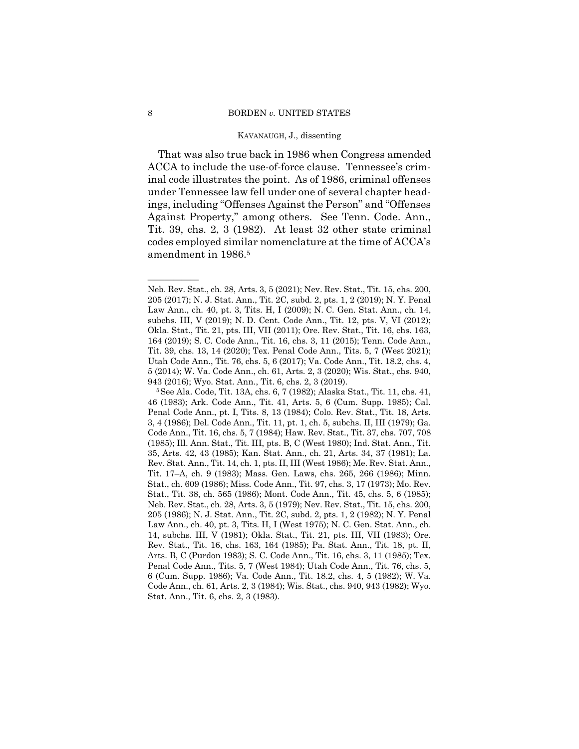That was also true back in 1986 when Congress amended ACCA to include the use-of-force clause. Tennessee's criminal code illustrates the point. As of 1986, criminal offenses under Tennessee law fell under one of several chapter headings, including "Offenses Against the Person" and "Offenses Against Property," among others. See Tenn. Code. Ann., Tit. 39, chs. 2, 3 (1982). At least 32 other state criminal codes employed similar nomenclature at the time of ACCA's amendment in 1986.5

——————

Neb. Rev. Stat., ch. 28, Arts. 3, 5 (2021); Nev. Rev. Stat., Tit. 15, chs. 200, 205 (2017); N. J. Stat. Ann., Tit. 2C, subd. 2, pts. 1, 2 (2019); N. Y. Penal Law Ann., ch. 40, pt. 3, Tits. H, I (2009); N. C. Gen. Stat. Ann., ch. 14, subchs. III, V (2019); N. D. Cent. Code Ann., Tit. 12, pts. V, VI (2012); Okla. Stat., Tit. 21, pts. III, VII (2011); Ore. Rev. Stat., Tit. 16, chs. 163, 164 (2019); S. C. Code Ann., Tit. 16, chs. 3, 11 (2015); Tenn. Code Ann., Tit. 39, chs. 13, 14 (2020); Tex. Penal Code Ann., Tits. 5, 7 (West 2021); Utah Code Ann., Tit. 76, chs. 5, 6 (2017); Va. Code Ann., Tit. 18.2, chs. 4, 5 (2014); W. Va. Code Ann., ch. 61, Arts. 2, 3 (2020); Wis. Stat., chs. 940,

<sup>943 (2016);</sup> Wyo. Stat. Ann., Tit. 6, chs. 2, 3 (2019). 5See Ala. Code, Tit. 13A, chs. 6, 7 (1982); Alaska Stat., Tit. 11, chs. 41, 46 (1983); Ark. Code Ann., Tit. 41, Arts. 5, 6 (Cum. Supp. 1985); Cal. Penal Code Ann., pt. I, Tits. 8, 13 (1984); Colo. Rev. Stat., Tit. 18, Arts. 3, 4 (1986); Del. Code Ann., Tit. 11, pt. 1, ch. 5, subchs. II, III (1979); Ga. Code Ann., Tit. 16, chs. 5, 7 (1984); Haw. Rev. Stat., Tit. 37, chs. 707, 708 (1985); Ill. Ann. Stat., Tit. III, pts. B, C (West 1980); Ind. Stat. Ann., Tit. 35, Arts. 42, 43 (1985); Kan. Stat. Ann., ch. 21, Arts. 34, 37 (1981); La. Rev. Stat. Ann., Tit. 14, ch. 1, pts. II, III (West 1986); Me. Rev. Stat. Ann., Tit. 17–A, ch. 9 (1983); Mass. Gen. Laws, chs. 265, 266 (1986); Minn. Stat., ch. 609 (1986); Miss. Code Ann., Tit. 97, chs. 3, 17 (1973); Mo. Rev. Stat., Tit. 38, ch. 565 (1986); Mont. Code Ann., Tit. 45, chs. 5, 6 (1985); Neb. Rev. Stat., ch. 28, Arts. 3, 5 (1979); Nev. Rev. Stat., Tit. 15, chs. 200, 205 (1986); N. J. Stat. Ann., Tit. 2C, subd. 2, pts. 1, 2 (1982); N. Y. Penal Law Ann., ch. 40, pt. 3, Tits. H, I (West 1975); N. C. Gen. Stat. Ann., ch. 14, subchs. III, V (1981); Okla. Stat., Tit. 21, pts. III, VII (1983); Ore. Rev. Stat., Tit. 16, chs. 163, 164 (1985); Pa. Stat. Ann., Tit. 18, pt. II, Arts. B, C (Purdon 1983); S. C. Code Ann., Tit. 16, chs. 3, 11 (1985); Tex. Penal Code Ann., Tits. 5, 7 (West 1984); Utah Code Ann., Tit. 76, chs. 5, 6 (Cum. Supp. 1986); Va. Code Ann., Tit. 18.2, chs. 4, 5 (1982); W. Va. Code Ann., ch. 61, Arts. 2, 3 (1984); Wis. Stat., chs. 940, 943 (1982); Wyo. Stat. Ann., Tit. 6, chs. 2, 3 (1983).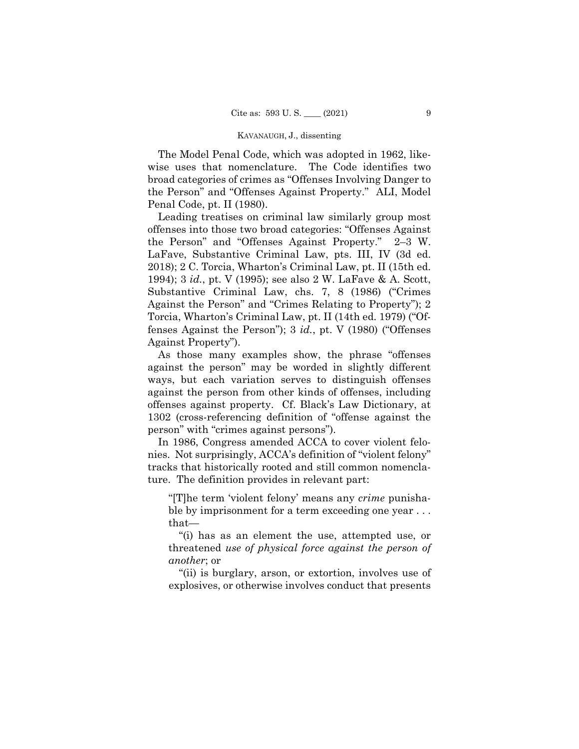The Model Penal Code, which was adopted in 1962, likewise uses that nomenclature. The Code identifies two broad categories of crimes as "Offenses Involving Danger to the Person" and "Offenses Against Property." ALI, Model Penal Code, pt. II (1980).

Leading treatises on criminal law similarly group most offenses into those two broad categories: "Offenses Against the Person" and "Offenses Against Property." 2–3 W. LaFave, Substantive Criminal Law, pts. III, IV (3d ed. 2018); 2 C. Torcia, Wharton's Criminal Law, pt. II (15th ed. 1994); 3 *id.*, pt. V (1995); see also 2 W. LaFave & A. Scott, Substantive Criminal Law, chs. 7, 8 (1986) ("Crimes Against the Person" and "Crimes Relating to Property"); 2 Torcia, Wharton's Criminal Law, pt. II (14th ed. 1979) ("Offenses Against the Person"); 3 *id.*, pt. V (1980) ("Offenses Against Property").

As those many examples show, the phrase "offenses against the person" may be worded in slightly different ways, but each variation serves to distinguish offenses against the person from other kinds of offenses, including offenses against property. Cf. Black's Law Dictionary, at 1302 (cross-referencing definition of "offense against the person" with "crimes against persons").

ture. The definition provides in relevant part: In 1986, Congress amended ACCA to cover violent felonies. Not surprisingly, ACCA's definition of "violent felony" tracks that historically rooted and still common nomencla-

"[T]he term 'violent felony' means any *crime* punishable by imprisonment for a term exceeding one year ... that—

"(i) has as an element the use, attempted use, or threatened *use of physical force against the person of another*; or

"(ii) is burglary, arson, or extortion, involves use of explosives, or otherwise involves conduct that presents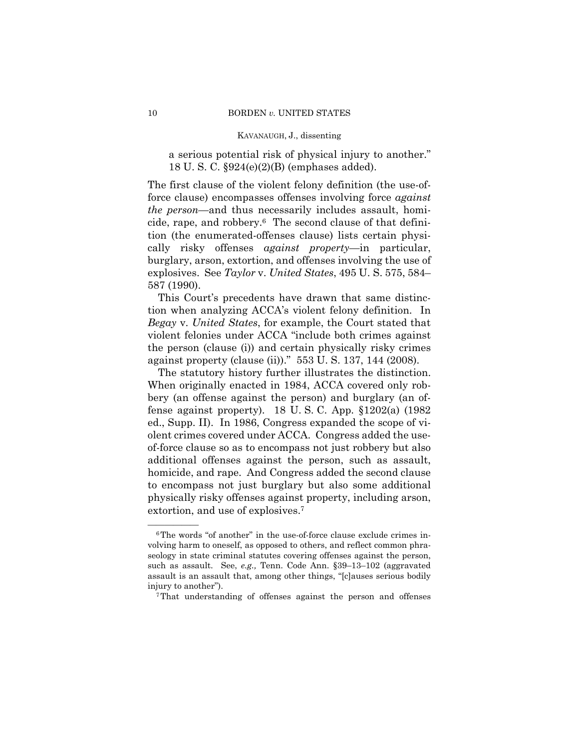a serious potential risk of physical injury to another." 18 U. S. C. §924(e)(2)(B) (emphases added).

The first clause of the violent felony definition (the use-offorce clause) encompasses offenses involving force *against the person*—and thus necessarily includes assault, homicide, rape, and robbery.6 The second clause of that definition (the enumerated-offenses clause) lists certain physically risky offenses *against property*—in particular, burglary, arson, extortion, and offenses involving the use of explosives. See *Taylor* v. *United States*, 495 U. S. 575, 584– 587 (1990).

This Court's precedents have drawn that same distinction when analyzing ACCA's violent felony definition. In *Begay* v. *United States*, for example, the Court stated that violent felonies under ACCA "include both crimes against the person (clause (i)) and certain physically risky crimes against property (clause (ii))." 553 U. S. 137, 144 (2008).

The statutory history further illustrates the distinction. When originally enacted in 1984, ACCA covered only robbery (an offense against the person) and burglary (an offense against property). 18 U. S. C. App. §1202(a) (1982 ed., Supp. II). In 1986, Congress expanded the scope of violent crimes covered under ACCA. Congress added the useof-force clause so as to encompass not just robbery but also additional offenses against the person, such as assault, homicide, and rape. And Congress added the second clause to encompass not just burglary but also some additional physically risky offenses against property, including arson, extortion, and use of explosives.7

 $6$ The words "of another" in the use-of-force clause exclude crimes involving harm to oneself, as opposed to others, and reflect common phraseology in state criminal statutes covering offenses against the person, such as assault. See, *e.g.,* Tenn. Code Ann. §39–13–102 (aggravated assault is an assault that, among other things, "[c]auses serious bodily injury to another"). 7That understanding of offenses against the person and offenses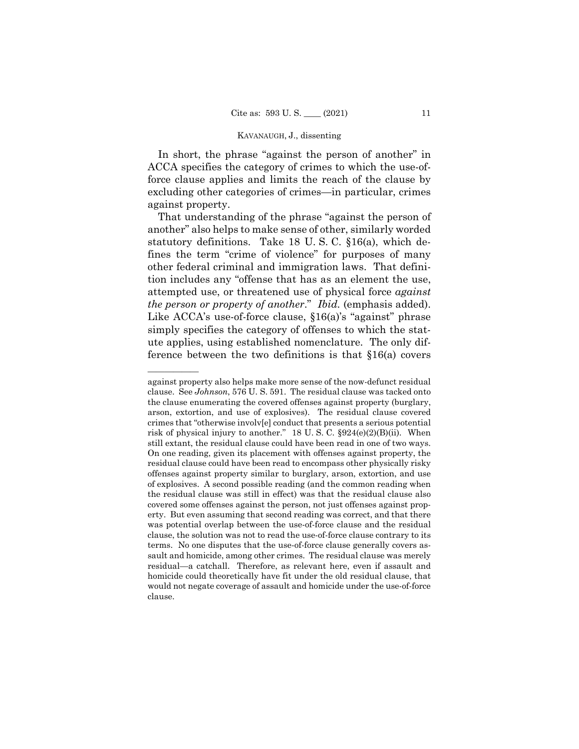In short, the phrase "against the person of another" in ACCA specifies the category of crimes to which the use-offorce clause applies and limits the reach of the clause by excluding other categories of crimes—in particular, crimes against property.

That understanding of the phrase "against the person of another" also helps to make sense of other, similarly worded statutory definitions. Take 18 U. S. C. §16(a), which defines the term "crime of violence" for purposes of many other federal criminal and immigration laws. That definition includes any "offense that has as an element the use, attempted use, or threatened use of physical force *against the person or property of another*." *Ibid.* (emphasis added). Like ACCA's use-of-force clause, §16(a)'s "against" phrase simply specifies the category of offenses to which the statute applies, using established nomenclature. The only difference between the two definitions is that §16(a) covers

——————

against property also helps make more sense of the now-defunct residual clause. See *Johnson*, 576 U. S. 591. The residual clause was tacked onto the clause enumerating the covered offenses against property (burglary, arson, extortion, and use of explosives). The residual clause covered crimes that "otherwise involv[e] conduct that presents a serious potential risk of physical injury to another." 18 U. S. C. §924(e)(2)(B)(ii). When still extant, the residual clause could have been read in one of two ways. On one reading, given its placement with offenses against property, the residual clause could have been read to encompass other physically risky offenses against property similar to burglary, arson, extortion, and use of explosives. A second possible reading (and the common reading when the residual clause was still in effect) was that the residual clause also covered some offenses against the person, not just offenses against property. But even assuming that second reading was correct, and that there was potential overlap between the use-of-force clause and the residual clause, the solution was not to read the use-of-force clause contrary to its terms. No one disputes that the use-of-force clause generally covers assault and homicide, among other crimes. The residual clause was merely residual—a catchall. Therefore, as relevant here, even if assault and homicide could theoretically have fit under the old residual clause, that would not negate coverage of assault and homicide under the use-of-force clause.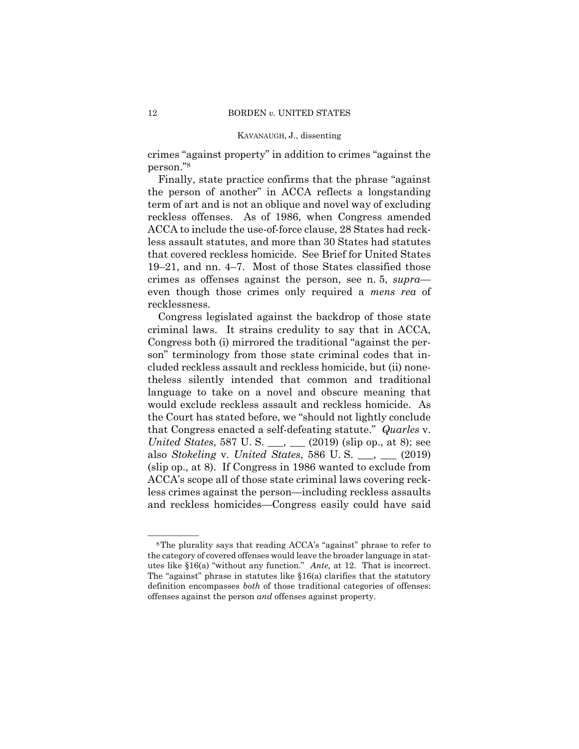crimes "against property" in addition to crimes "against the person."8

Finally, state practice confirms that the phrase "against the person of another" in ACCA reflects a longstanding term of art and is not an oblique and novel way of excluding reckless offenses. As of 1986, when Congress amended ACCA to include the use-of-force clause, 28 States had reckless assault statutes, and more than 30 States had statutes that covered reckless homicide. See Brief for United States 19–21, and nn. 4–7. Most of those States classified those crimes as offenses against the person, see n. 5, *supra* even though those crimes only required a *mens rea* of recklessness.

Congress legislated against the backdrop of those state criminal laws. It strains credulity to say that in ACCA, Congress both (i) mirrored the traditional "against the person" terminology from those state criminal codes that included reckless assault and reckless homicide, but (ii) nonetheless silently intended that common and traditional language to take on a novel and obscure meaning that would exclude reckless assault and reckless homicide. As the Court has stated before, we "should not lightly conclude that Congress enacted a self-defeating statute." *Quarles* v. *United States*, 587 U.S. \_\_, \_\_ (2019) (slip op., at 8); see also *Stokeling* v. *United States*, 586 U. S. \_\_\_, \_\_\_ (2019) (slip op., at 8). If Congress in 1986 wanted to exclude from ACCA's scope all of those state criminal laws covering reckless crimes against the person—including reckless assaults and reckless homicides—Congress easily could have said

<sup>&</sup>lt;sup>8</sup>The plurality says that reading ACCA's "against" phrase to refer to the category of covered offenses would leave the broader language in statutes like §16(a) "without any function." *Ante,* at 12. That is incorrect. The "against" phrase in statutes like §16(a) clarifies that the statutory definition encompasses *both* of those traditional categories of offenses: offenses against the person *and* offenses against property.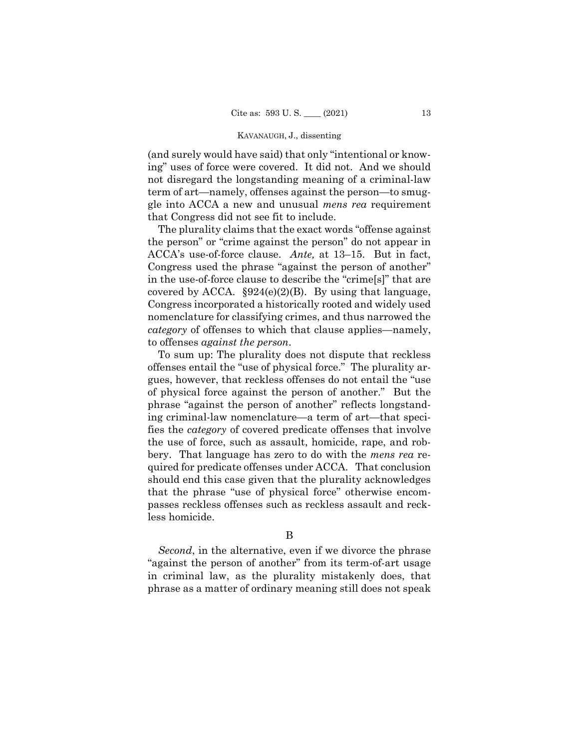(and surely would have said) that only "intentional or knowing" uses of force were covered. It did not. And we should not disregard the longstanding meaning of a criminal-law term of art—namely, offenses against the person—to smuggle into ACCA a new and unusual *mens rea* requirement that Congress did not see fit to include.

covered by ACCA.  $§924(e)(2)(B)$ . By using that language, The plurality claims that the exact words "offense against the person" or "crime against the person" do not appear in ACCA's use-of-force clause. *Ante,* at 13–15. But in fact, Congress used the phrase "against the person of another" in the use-of-force clause to describe the "crime[s]" that are Congress incorporated a historically rooted and widely used nomenclature for classifying crimes, and thus narrowed the *category* of offenses to which that clause applies—namely, to offenses *against the person*.

To sum up: The plurality does not dispute that reckless offenses entail the "use of physical force." The plurality argues, however, that reckless offenses do not entail the "use of physical force against the person of another." But the phrase "against the person of another" reflects longstanding criminal-law nomenclature—a term of art—that specifies the *category* of covered predicate offenses that involve the use of force, such as assault, homicide, rape, and robbery. That language has zero to do with the *mens rea* required for predicate offenses under ACCA. That conclusion should end this case given that the plurality acknowledges that the phrase "use of physical force" otherwise encompasses reckless offenses such as reckless assault and reckless homicide.

*Second*, in the alternative, even if we divorce the phrase "against the person of another" from its term-of-art usage in criminal law, as the plurality mistakenly does, that phrase as a matter of ordinary meaning still does not speak

B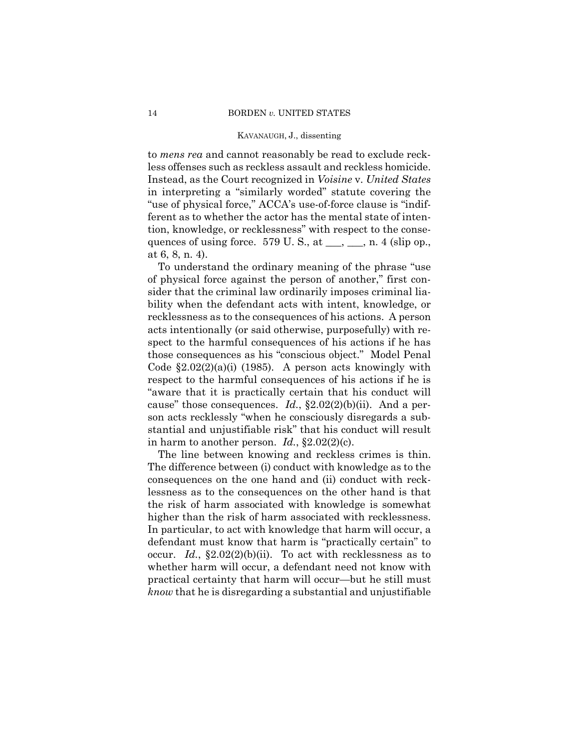to *mens rea* and cannot reasonably be read to exclude reckless offenses such as reckless assault and reckless homicide. Instead, as the Court recognized in *Voisine* v. *United States*  in interpreting a "similarly worded" statute covering the "use of physical force," ACCA's use-of-force clause is "indifferent as to whether the actor has the mental state of intention, knowledge, or recklessness" with respect to the consequences of using force.  $579 \text{ U.S., at } \_\_\_\_\_\_\_\_\_\_\$ n. 4 (slip op., at 6, 8, n. 4).

To understand the ordinary meaning of the phrase "use of physical force against the person of another," first consider that the criminal law ordinarily imposes criminal liability when the defendant acts with intent, knowledge, or recklessness as to the consequences of his actions. A person acts intentionally (or said otherwise, purposefully) with respect to the harmful consequences of his actions if he has those consequences as his "conscious object." Model Penal Code  $\S2.02(2)(a)(i)$  (1985). A person acts knowingly with respect to the harmful consequences of his actions if he is "aware that it is practically certain that his conduct will cause" those consequences. *Id.*, §2.02(2)(b)(ii). And a person acts recklessly "when he consciously disregards a substantial and unjustifiable risk" that his conduct will result in harm to another person. *Id.*, §2.02(2)(c).

 higher than the risk of harm associated with recklessness. The line between knowing and reckless crimes is thin. The difference between (i) conduct with knowledge as to the consequences on the one hand and (ii) conduct with recklessness as to the consequences on the other hand is that the risk of harm associated with knowledge is somewhat In particular, to act with knowledge that harm will occur, a defendant must know that harm is "practically certain" to occur. *Id.*, §2.02(2)(b)(ii). To act with recklessness as to whether harm will occur, a defendant need not know with practical certainty that harm will occur—but he still must *know* that he is disregarding a substantial and unjustifiable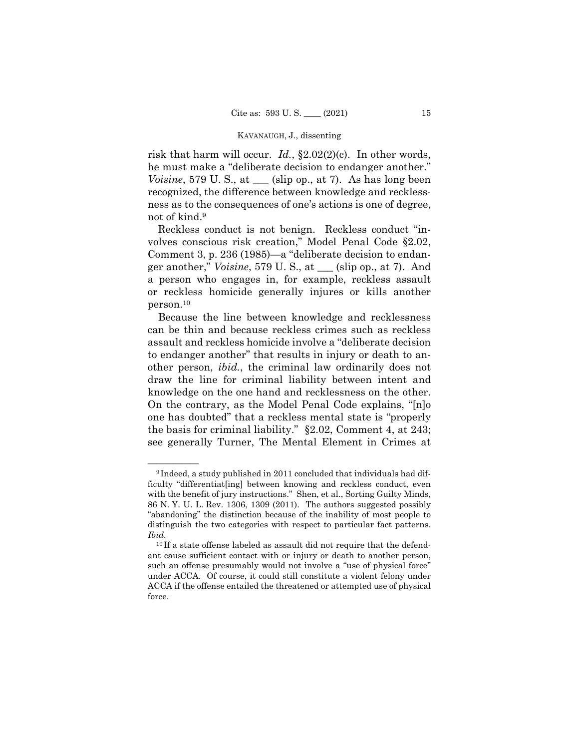*Voisine*, 579 U.S., at  $\_\_$  (slip op., at 7). As has long been risk that harm will occur. *Id.*, §2.02(2)(c). In other words, he must make a "deliberate decision to endanger another." recognized, the difference between knowledge and recklessness as to the consequences of one's actions is one of degree, not of kind.9

 person.10 Reckless conduct is not benign. Reckless conduct "involves conscious risk creation," Model Penal Code §2.02, Comment 3, p. 236 (1985)—a "deliberate decision to endanger another," *Voisine*, 579 U. S., at \_\_\_ (slip op., at 7). And a person who engages in, for example, reckless assault or reckless homicide generally injures or kills another

Because the line between knowledge and recklessness can be thin and because reckless crimes such as reckless assault and reckless homicide involve a "deliberate decision to endanger another" that results in injury or death to another person, *ibid.*, the criminal law ordinarily does not draw the line for criminal liability between intent and knowledge on the one hand and recklessness on the other. On the contrary, as the Model Penal Code explains, "[n]o one has doubted" that a reckless mental state is "properly the basis for criminal liability." §2.02, Comment 4, at 243; see generally Turner, The Mental Element in Crimes at

<sup>&</sup>lt;sup>9</sup> Indeed, a study published in 2011 concluded that individuals had difficulty "differentiat[ing] between knowing and reckless conduct, even with the benefit of jury instructions." Shen, et al., Sorting Guilty Minds, 86 N. Y. U. L. Rev. 1306, 1309 (2011). The authors suggested possibly "abandoning" the distinction because of the inability of most people to distinguish the two categories with respect to particular fact patterns. *Ibid.* 

<sup>&</sup>lt;sup>10</sup> If a state offense labeled as assault did not require that the defendant cause sufficient contact with or injury or death to another person, such an offense presumably would not involve a "use of physical force" under ACCA. Of course, it could still constitute a violent felony under ACCA if the offense entailed the threatened or attempted use of physical force.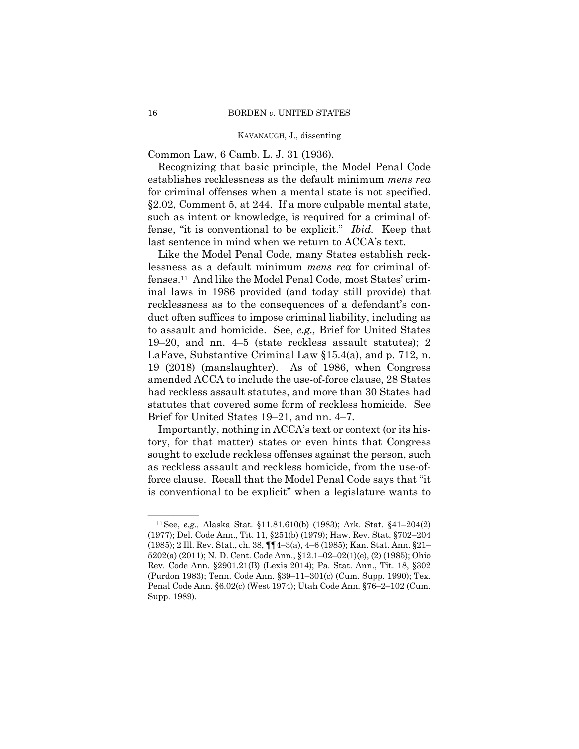Common Law, 6 Camb. L. J. 31 (1936).

Recognizing that basic principle, the Model Penal Code establishes recklessness as the default minimum *mens rea*  for criminal offenses when a mental state is not specified. §2.02, Comment 5, at 244. If a more culpable mental state, such as intent or knowledge, is required for a criminal offense, "it is conventional to be explicit." *Ibid.* Keep that last sentence in mind when we return to ACCA's text.

Like the Model Penal Code, many States establish recklessness as a default minimum *mens rea* for criminal offenses.11 And like the Model Penal Code, most States' criminal laws in 1986 provided (and today still provide) that recklessness as to the consequences of a defendant's conduct often suffices to impose criminal liability, including as to assault and homicide. See, *e.g.,* Brief for United States 19–20, and nn. 4–5 (state reckless assault statutes); 2 LaFave, Substantive Criminal Law §15.4(a), and p. 712, n. 19 (2018) (manslaughter). As of 1986, when Congress amended ACCA to include the use-of-force clause, 28 States had reckless assault statutes, and more than 30 States had statutes that covered some form of reckless homicide. See Brief for United States 19–21, and nn. 4–7.

Importantly, nothing in ACCA's text or context (or its history, for that matter) states or even hints that Congress sought to exclude reckless offenses against the person, such as reckless assault and reckless homicide, from the use-offorce clause. Recall that the Model Penal Code says that "it is conventional to be explicit" when a legislature wants to

<sup>&</sup>lt;sup>11</sup> See, *e.g.*, Alaska Stat. §11.81.610(b) (1983); Ark. Stat. §41-204(2) (1977); Del. Code Ann., Tit. 11, §251(b) (1979); Haw. Rev. Stat. §702–204 (1985); 2 Ill. Rev. Stat., ch. 38, ¶¶4–3(a), 4–6 (1985); Kan. Stat. Ann. §21– 5202(a) (2011); N. D. Cent. Code Ann., §12.1–02–02(1)(e), (2) (1985); Ohio Rev. Code Ann. §2901.21(B) (Lexis 2014); Pa. Stat. Ann., Tit. 18, §302 (Purdon 1983); Tenn. Code Ann. §39–11–301(c) (Cum. Supp. 1990); Tex. Penal Code Ann. §6.02(c) (West 1974); Utah Code Ann. §76–2–102 (Cum. Supp. 1989).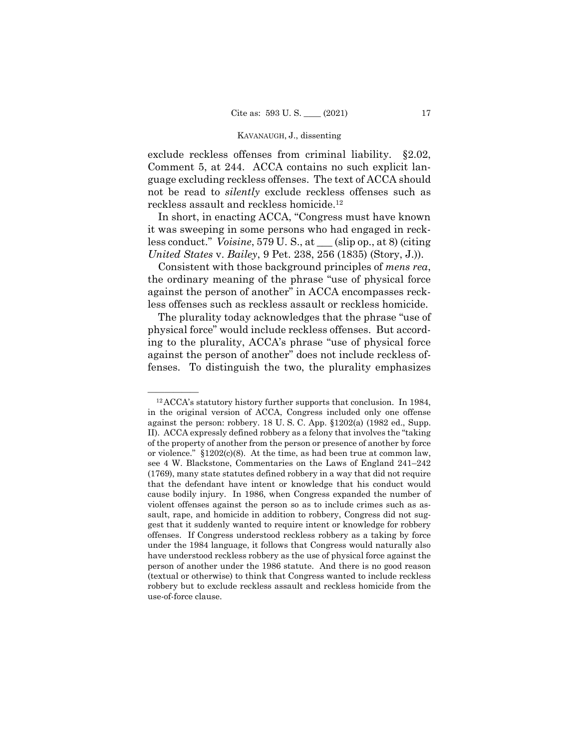exclude reckless offenses from criminal liability. §2.02, Comment 5, at 244. ACCA contains no such explicit language excluding reckless offenses. The text of ACCA should not be read to *silently* exclude reckless offenses such as reckless assault and reckless homicide.12

In short, in enacting ACCA, "Congress must have known it was sweeping in some persons who had engaged in reckless conduct." *Voisine*, 579 U. S., at \_\_\_ (slip op., at 8) (citing *United States* v. *Bailey*, 9 Pet. 238, 256 (1835) (Story, J.)).

Consistent with those background principles of *mens rea*, the ordinary meaning of the phrase "use of physical force against the person of another" in ACCA encompasses reckless offenses such as reckless assault or reckless homicide.

The plurality today acknowledges that the phrase "use of physical force" would include reckless offenses. But according to the plurality, ACCA's phrase "use of physical force against the person of another" does not include reckless offenses. To distinguish the two, the plurality emphasizes

 $^{12}$ ACCA's statutory history further supports that conclusion. In 1984, in the original version of ACCA, Congress included only one offense against the person: robbery. 18 U. S. C. App. §1202(a) (1982 ed., Supp. II). ACCA expressly defined robbery as a felony that involves the "taking of the property of another from the person or presence of another by force or violence." §1202(c)(8). At the time, as had been true at common law, see 4 W. Blackstone, Commentaries on the Laws of England 241–242 (1769), many state statutes defined robbery in a way that did not require that the defendant have intent or knowledge that his conduct would cause bodily injury. In 1986, when Congress expanded the number of violent offenses against the person so as to include crimes such as assault, rape, and homicide in addition to robbery, Congress did not suggest that it suddenly wanted to require intent or knowledge for robbery offenses. If Congress understood reckless robbery as a taking by force under the 1984 language, it follows that Congress would naturally also have understood reckless robbery as the use of physical force against the person of another under the 1986 statute. And there is no good reason (textual or otherwise) to think that Congress wanted to include reckless robbery but to exclude reckless assault and reckless homicide from the use-of-force clause.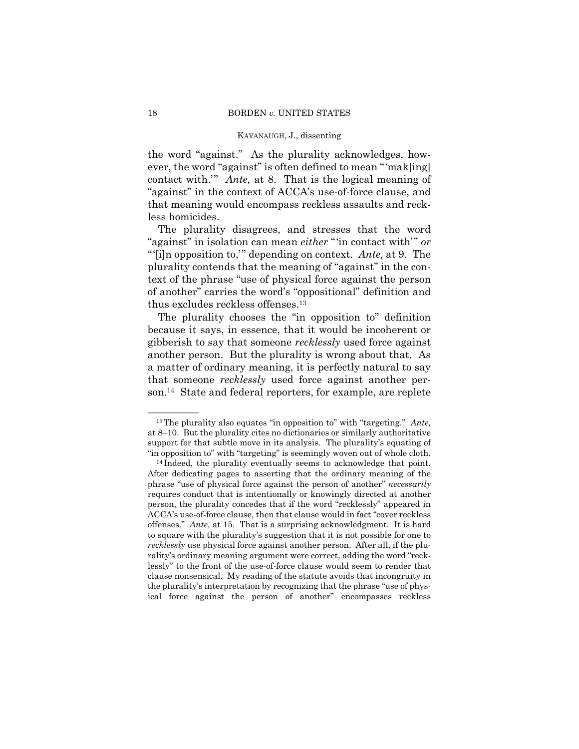the word "against." As the plurality acknowledges, however, the word "against" is often defined to mean "'mak[ing] contact with.'" *Ante,* at 8. That is the logical meaning of "against" in the context of ACCA's use-of-force clause, and that meaning would encompass reckless assaults and reckless homicides.

 thus excludes reckless offenses.13 The plurality disagrees, and stresses that the word "against" in isolation can mean *either* "'in contact with'" *or*  "'[i]n opposition to,'" depending on context. *Ante,* at 9. The plurality contends that the meaning of "against" in the context of the phrase "use of physical force against the person of another" carries the word's "oppositional" definition and

The plurality chooses the "in opposition to" definition because it says, in essence, that it would be incoherent or gibberish to say that someone *recklessly* used force against another person. But the plurality is wrong about that. As a matter of ordinary meaning, it is perfectly natural to say that someone *recklessly* used force against another person.14 State and federal reporters, for example, are replete

<sup>&</sup>lt;sup>13</sup>The plurality also equates "in opposition to" with "targeting." *Ante*, at 8–10. But the plurality cites no dictionaries or similarly authoritative support for that subtle move in its analysis. The plurality's equating of "in opposition to" with "targeting" is seemingly woven out of whole cloth. 14 Indeed, the plurality eventually seems to acknowledge that point.

After dedicating pages to asserting that the ordinary meaning of the phrase "use of physical force against the person of another" *necessarily*  requires conduct that is intentionally or knowingly directed at another person, the plurality concedes that if the word "recklessly" appeared in ACCA's use-of-force clause, then that clause would in fact "cover reckless offenses." *Ante,* at 15. That is a surprising acknowledgment. It is hard to square with the plurality's suggestion that it is not possible for one to *recklessly* use physical force against another person. After all, if the plurality's ordinary meaning argument were correct, adding the word "recklessly" to the front of the use-of-force clause would seem to render that clause nonsensical. My reading of the statute avoids that incongruity in the plurality's interpretation by recognizing that the phrase "use of physical force against the person of another" encompasses reckless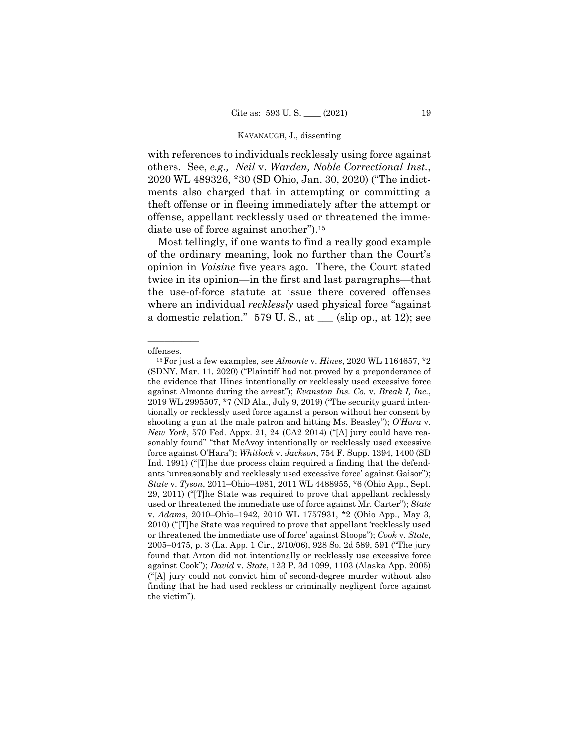others. See, *e.g., Neil* v. *Warden, Noble Correctional Inst.*, diate use of force against another").<sup>15</sup> with references to individuals recklessly using force against 2020 WL 489326, \*30 (SD Ohio, Jan. 30, 2020) ("The indictments also charged that in attempting or committing a theft offense or in fleeing immediately after the attempt or offense, appellant recklessly used or threatened the imme-

Most tellingly, if one wants to find a really good example of the ordinary meaning, look no further than the Court's opinion in *Voisine* five years ago. There, the Court stated twice in its opinion—in the first and last paragraphs—that the use-of-force statute at issue there covered offenses where an individual *recklessly* used physical force "against a domestic relation."  $579 \text{ U.S., at }$  (slip op., at 12); see

——————

 ("[A] jury could not convict him of second-degree murder without also offenses. 15For just a few examples, see *Almonte* v. *Hines*, 2020 WL 1164657, \*2 (SDNY, Mar. 11, 2020) ("Plaintiff had not proved by a preponderance of the evidence that Hines intentionally or recklessly used excessive force against Almonte during the arrest"); *Evanston Ins. Co.* v. *Break I, Inc.*, 2019 WL 2995507, \*7 (ND Ala., July 9, 2019) ("The security guard intentionally or recklessly used force against a person without her consent by shooting a gun at the male patron and hitting Ms. Beasley"); *O'Hara* v. *New York*, 570 Fed. Appx. 21, 24 (CA2 2014) ("[A] jury could have reasonably found" "that McAvoy intentionally or recklessly used excessive force against O'Hara"); *Whitlock* v. *Jackson*, 754 F. Supp. 1394, 1400 (SD Ind. 1991) ("[T]he due process claim required a finding that the defendants 'unreasonably and recklessly used excessive force' against Gaisor"); *State* v. *Tyson*, 2011–Ohio–4981, 2011 WL 4488955, \*6 (Ohio App., Sept. 29, 2011) ("[T]he State was required to prove that appellant recklessly used or threatened the immediate use of force against Mr. Carter"); *State*  v. *Adams*, 2010–Ohio–1942, 2010 WL 1757931, \*2 (Ohio App., May 3, 2010) ("[T]he State was required to prove that appellant 'recklessly used or threatened the immediate use of force' against Stoops"); *Cook* v. *State*, 2005–0475, p. 3 (La. App. 1 Cir., 2/10/06), 928 So. 2d 589, 591 ("The jury found that Arton did not intentionally or recklessly use excessive force against Cook"); *David* v. *State*, 123 P. 3d 1099, 1103 (Alaska App. 2005) finding that he had used reckless or criminally negligent force against the victim").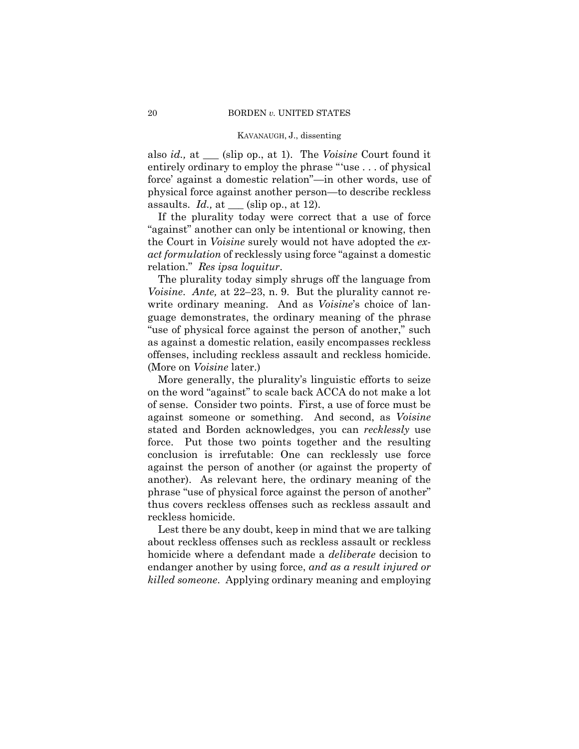also *id.,* at \_\_\_ (slip op., at 1). The *Voisine* Court found it entirely ordinary to employ the phrase "'use . . . of physical force' against a domestic relation"—in other words, use of physical force against another person—to describe reckless assaults. *Id.,* at \_\_\_ (slip op., at 12).

If the plurality today were correct that a use of force "against" another can only be intentional or knowing, then the Court in *Voisine* surely would not have adopted the *exact formulation* of recklessly using force "against a domestic relation." *Res ipsa loquitur*.

The plurality today simply shrugs off the language from *Voisine*. *Ante,* at 22–23, n. 9. But the plurality cannot rewrite ordinary meaning. And as *Voisine*'s choice of language demonstrates, the ordinary meaning of the phrase "use of physical force against the person of another," such as against a domestic relation, easily encompasses reckless offenses, including reckless assault and reckless homicide. (More on *Voisine* later.)

More generally, the plurality's linguistic efforts to seize on the word "against" to scale back ACCA do not make a lot of sense. Consider two points. First, a use of force must be against someone or something. And second, as *Voisine*  stated and Borden acknowledges, you can *recklessly* use force. Put those two points together and the resulting conclusion is irrefutable: One can recklessly use force against the person of another (or against the property of another). As relevant here, the ordinary meaning of the phrase "use of physical force against the person of another" thus covers reckless offenses such as reckless assault and reckless homicide.

Lest there be any doubt, keep in mind that we are talking about reckless offenses such as reckless assault or reckless homicide where a defendant made a *deliberate* decision to endanger another by using force, *and as a result injured or killed someone*. Applying ordinary meaning and employing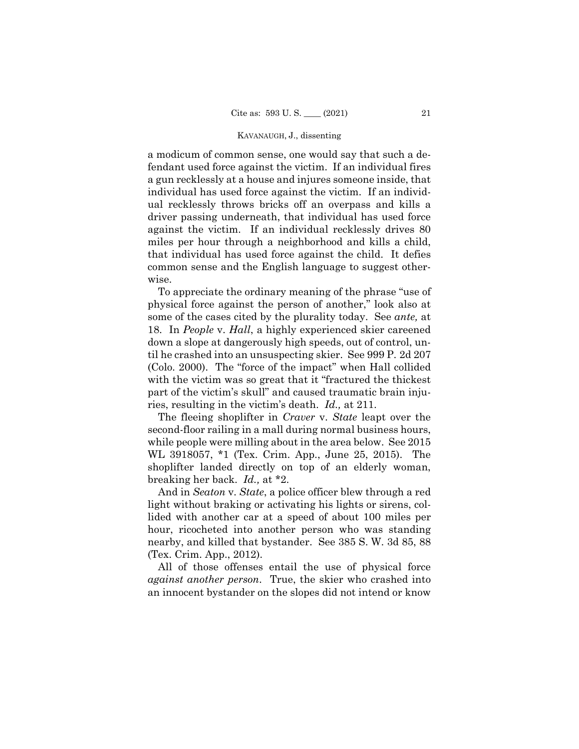a modicum of common sense, one would say that such a defendant used force against the victim. If an individual fires a gun recklessly at a house and injures someone inside, that individual has used force against the victim. If an individual recklessly throws bricks off an overpass and kills a driver passing underneath, that individual has used force against the victim. If an individual recklessly drives 80 miles per hour through a neighborhood and kills a child, that individual has used force against the child. It defies common sense and the English language to suggest otherwise.

To appreciate the ordinary meaning of the phrase "use of physical force against the person of another," look also at some of the cases cited by the plurality today. See *ante,* at 18. In *People* v. *Hall*, a highly experienced skier careened down a slope at dangerously high speeds, out of control, until he crashed into an unsuspecting skier. See 999 P. 2d 207 (Colo. 2000). The "force of the impact" when Hall collided with the victim was so great that it "fractured the thickest" part of the victim's skull" and caused traumatic brain injuries, resulting in the victim's death. *Id.,* at 211.

The fleeing shoplifter in *Craver* v. *State* leapt over the second-floor railing in a mall during normal business hours, while people were milling about in the area below. See 2015 WL 3918057, \*1 (Tex. Crim. App., June 25, 2015). The shoplifter landed directly on top of an elderly woman, breaking her back. *Id.,* at \*2.

 And in *Seaton* v. *State*, a police officer blew through a red light without braking or activating his lights or sirens, collided with another car at a speed of about 100 miles per hour, ricocheted into another person who was standing nearby, and killed that bystander. See 385 S. W. 3d 85, 88 (Tex. Crim. App., 2012).

All of those offenses entail the use of physical force *against another person*. True, the skier who crashed into an innocent bystander on the slopes did not intend or know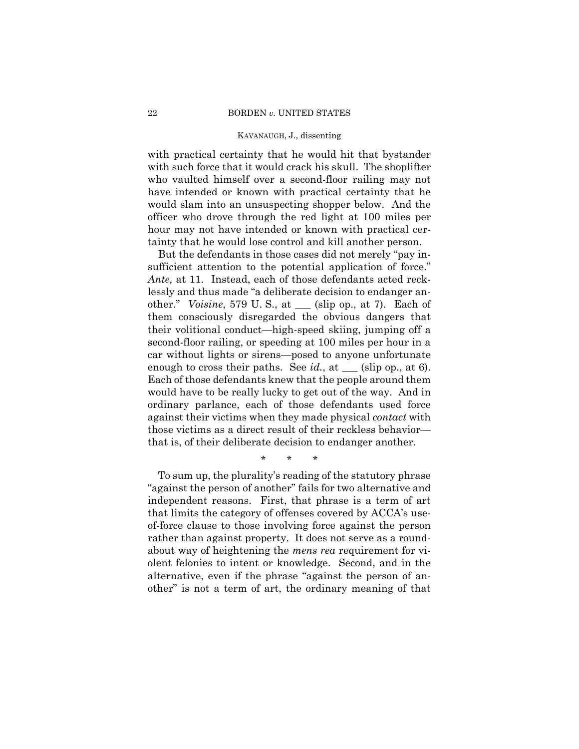with practical certainty that he would hit that bystander with such force that it would crack his skull. The shoplifter who vaulted himself over a second-floor railing may not have intended or known with practical certainty that he would slam into an unsuspecting shopper below. And the officer who drove through the red light at 100 miles per hour may not have intended or known with practical certainty that he would lose control and kill another person.

 other." *Voisine*, 579 U. S., at \_\_\_ (slip op., at 7). Each of But the defendants in those cases did not merely "pay insufficient attention to the potential application of force." *Ante,* at 11. Instead, each of those defendants acted recklessly and thus made "a deliberate decision to endanger anthem consciously disregarded the obvious dangers that their volitional conduct—high-speed skiing, jumping off a second-floor railing, or speeding at 100 miles per hour in a car without lights or sirens—posed to anyone unfortunate enough to cross their paths. See  $id$ , at  $\Box$  (slip op., at 6). Each of those defendants knew that the people around them would have to be really lucky to get out of the way. And in ordinary parlance, each of those defendants used force against their victims when they made physical *contact* with those victims as a direct result of their reckless behavior that is, of their deliberate decision to endanger another.

\* \* \*

To sum up, the plurality's reading of the statutory phrase "against the person of another" fails for two alternative and independent reasons. First, that phrase is a term of art that limits the category of offenses covered by ACCA's useof-force clause to those involving force against the person rather than against property. It does not serve as a roundabout way of heightening the *mens rea* requirement for violent felonies to intent or knowledge. Second, and in the alternative, even if the phrase "against the person of another" is not a term of art, the ordinary meaning of that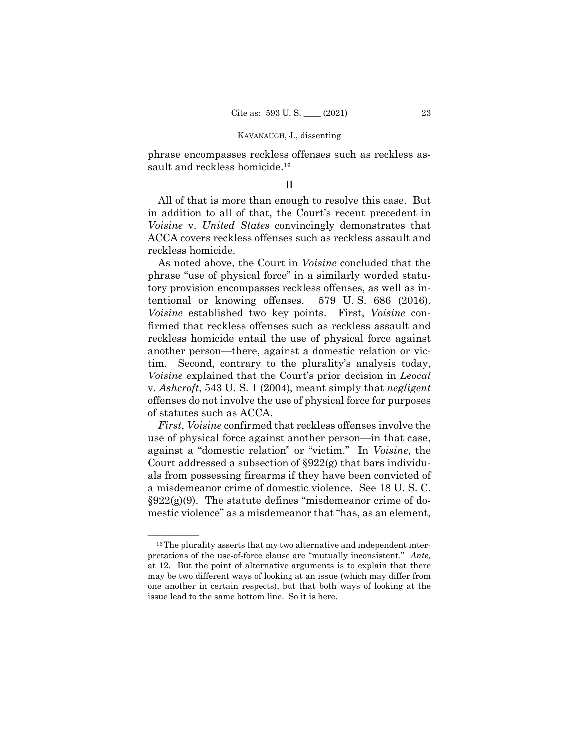sault and reckless homicide.<sup>16</sup> phrase encompasses reckless offenses such as reckless as-

### II

All of that is more than enough to resolve this case. But in addition to all of that, the Court's recent precedent in *Voisine* v. *United States* convincingly demonstrates that ACCA covers reckless offenses such as reckless assault and reckless homicide.

579 U.S. 686 (2016). As noted above, the Court in *Voisine* concluded that the phrase "use of physical force" in a similarly worded statutory provision encompasses reckless offenses, as well as intentional or knowing offenses. *Voisine* established two key points. First, *Voisine* confirmed that reckless offenses such as reckless assault and reckless homicide entail the use of physical force against another person—there, against a domestic relation or victim. Second, contrary to the plurality's analysis today, *Voisine* explained that the Court's prior decision in *Leocal*  v. *Ashcroft*, 543 U. S. 1 (2004), meant simply that *negligent*  offenses do not involve the use of physical force for purposes of statutes such as ACCA.

*First*, *Voisine* confirmed that reckless offenses involve the use of physical force against another person—in that case, against a "domestic relation" or "victim." In *Voisine*, the Court addressed a subsection of §922(g) that bars individuals from possessing firearms if they have been convicted of a misdemeanor crime of domestic violence. See 18 U. S. C.  $\S 922(g)(9)$ . The statute defines "misdemeanor crime of domestic violence" as a misdemeanor that "has, as an element,

 $^{16}$ The plurality asserts that my two alternative and independent interpretations of the use-of-force clause are "mutually inconsistent." *Ante,*  at 12. But the point of alternative arguments is to explain that there may be two different ways of looking at an issue (which may differ from one another in certain respects), but that both ways of looking at the issue lead to the same bottom line. So it is here.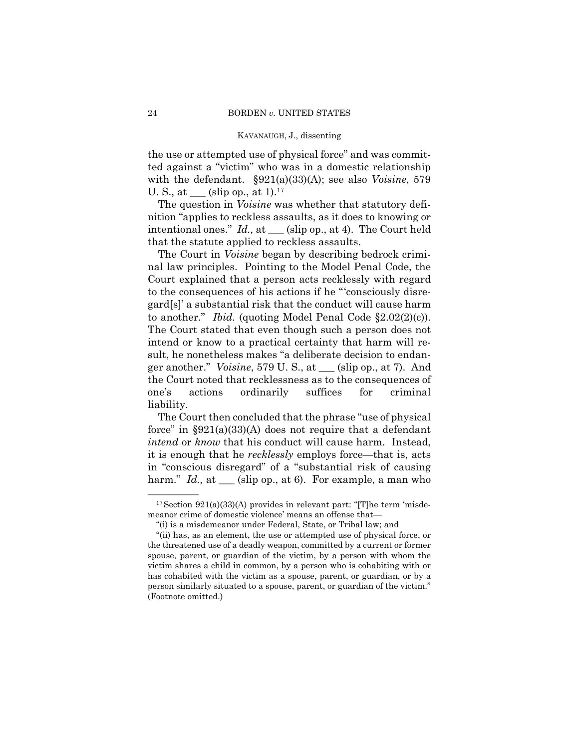the use or attempted use of physical force" and was committed against a "victim" who was in a domestic relationship with the defendant. §921(a)(33)(A); see also *Voisine*, 579 U. S., at  $\_\_$  (slip op., at 1).<sup>17</sup>

The question in *Voisine* was whether that statutory definition "applies to reckless assaults, as it does to knowing or intentional ones." *Id.,* at \_\_\_ (slip op., at 4). The Court held that the statute applied to reckless assaults.

The Court in *Voisine* began by describing bedrock criminal law principles. Pointing to the Model Penal Code, the Court explained that a person acts recklessly with regard to the consequences of his actions if he "'consciously disregard[s]' a substantial risk that the conduct will cause harm to another." *Ibid.* (quoting Model Penal Code §2.02(2)(c)). The Court stated that even though such a person does not intend or know to a practical certainty that harm will result, he nonetheless makes "a deliberate decision to endanger another." *Voisine*, 579 U. S., at \_\_\_ (slip op., at 7). And the Court noted that recklessness as to the consequences of one's actions ordinarily suffices for criminal liability.

in "conscious disregard" of a "substantial risk of causing The Court then concluded that the phrase "use of physical force" in  $\S 921(a)(33)(A)$  does not require that a defendant *intend* or *know* that his conduct will cause harm. Instead, it is enough that he *recklessly* employs force—that is, acts harm." *Id.*, at (slip op., at 6). For example, a man who

 $^{17}$  Section 921(a)(33)(A) provides in relevant part: "[T]he term 'misdemeanor crime of domestic violence' means an offense that—

<sup>&</sup>quot;(i) is a misdemeanor under Federal, State, or Tribal law; and

<sup>&</sup>quot;(ii) has, as an element, the use or attempted use of physical force, or the threatened use of a deadly weapon, committed by a current or former spouse, parent, or guardian of the victim, by a person with whom the victim shares a child in common, by a person who is cohabiting with or has cohabited with the victim as a spouse, parent, or guardian, or by a person similarly situated to a spouse, parent, or guardian of the victim." (Footnote omitted.)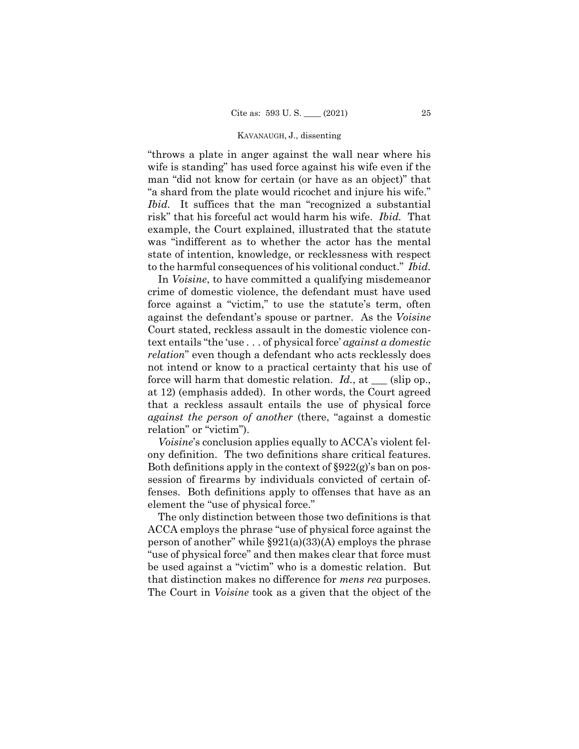"throws a plate in anger against the wall near where his wife is standing" has used force against his wife even if the man "did not know for certain (or have as an object)" that "a shard from the plate would ricochet and injure his wife." *Ibid.* It suffices that the man "recognized a substantial risk" that his forceful act would harm his wife. *Ibid.* That example, the Court explained, illustrated that the statute was "indifferent as to whether the actor has the mental state of intention, knowledge, or recklessness with respect to the harmful consequences of his volitional conduct." *Ibid.*

 In *Voisine*, to have committed a qualifying misdemeanor crime of domestic violence, the defendant must have used force against a "victim," to use the statute's term, often against the defendant's spouse or partner. As the *Voisine*  Court stated, reckless assault in the domestic violence context entails "the 'use . . . of physical force' *against a domestic relation*" even though a defendant who acts recklessly does not intend or know to a practical certainty that his use of force will harm that domestic relation. *Id.*, at \_\_\_ (slip op., at 12) (emphasis added). In other words, the Court agreed that a reckless assault entails the use of physical force *against the person of another* (there, "against a domestic relation" or "victim").

*Voisine*'s conclusion applies equally to ACCA's violent felony definition. The two definitions share critical features. Both definitions apply in the context of §922(g)'s ban on possession of firearms by individuals convicted of certain offenses. Both definitions apply to offenses that have as an element the "use of physical force."

The only distinction between those two definitions is that ACCA employs the phrase "use of physical force against the person of another" while  $\S 921(a)(33)(A)$  employs the phrase "use of physical force" and then makes clear that force must be used against a "victim" who is a domestic relation. But that distinction makes no difference for *mens rea* purposes. The Court in *Voisine* took as a given that the object of the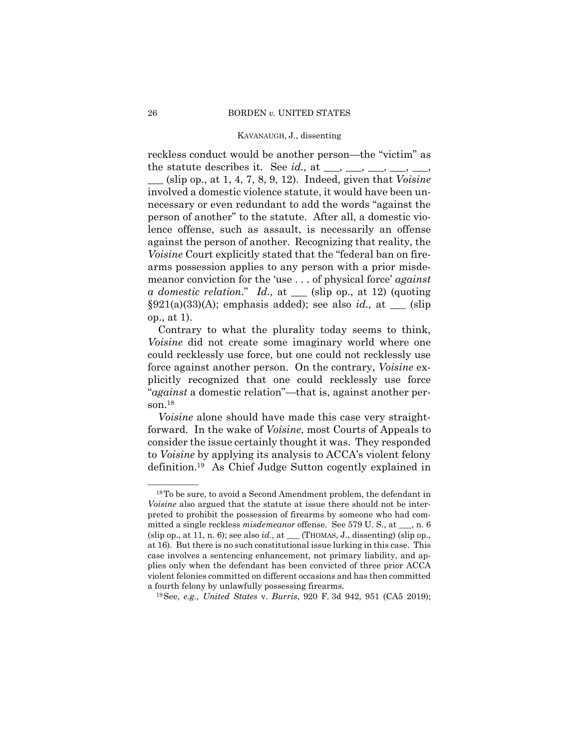reckless conduct would be another person—the "victim" as the statute describes it. See *id.*, at  $\_\_\_\_\_\_\_\_\_\_\_\_\_\_\_\_\_\_$ 

\_\_\_ (slip op., at 1, 4, 7, 8, 9, 12). Indeed, given that *Voisine*  involved a domestic violence statute, it would have been unnecessary or even redundant to add the words "against the person of another" to the statute. After all, a domestic violence offense, such as assault, is necessarily an offense against the person of another. Recognizing that reality, the *Voisine* Court explicitly stated that the "federal ban on firearms possession applies to any person with a prior misdemeanor conviction for the 'use . . . of physical force' *against a domestic relation*." *Id.,* at \_\_\_ (slip op., at 12) (quoting  $\S 921(a)(33)(A);$  emphasis added); see also *id.*, at \_\_\_ (slip op., at 1).

Contrary to what the plurality today seems to think, *Voisine* did not create some imaginary world where one could recklessly use force, but one could not recklessly use force against another person. On the contrary, *Voisine* explicitly recognized that one could recklessly use force "*against* a domestic relation"—that is, against another person.18

*Voisine* alone should have made this case very straightforward. In the wake of *Voisine*, most Courts of Appeals to consider the issue certainly thought it was. They responded to *Voisine* by applying its analysis to ACCA's violent felony definition.19 As Chief Judge Sutton cogently explained in

 $^{18}$ To be sure, to avoid a Second Amendment problem, the defendant in *Voisine* also argued that the statute at issue there should not be interpreted to prohibit the possession of firearms by someone who had committed a single reckless *misdemeanor* offense. See 579 U. S., at \_\_\_, n. 6 (slip op., at 11, n. 6); see also *id.,* at \_\_\_ (THOMAS, J., dissenting) (slip op., at 16). But there is no such constitutional issue lurking in this case. This case involves a sentencing enhancement, not primary liability, and applies only when the defendant has been convicted of three prior ACCA violent felonies committed on different occasions and has then committed

a fourth felony by unlawfully possessing firearms. 19See, *e.g., United States* v. *Burris*, 920 F. 3d 942, 951 (CA5 2019);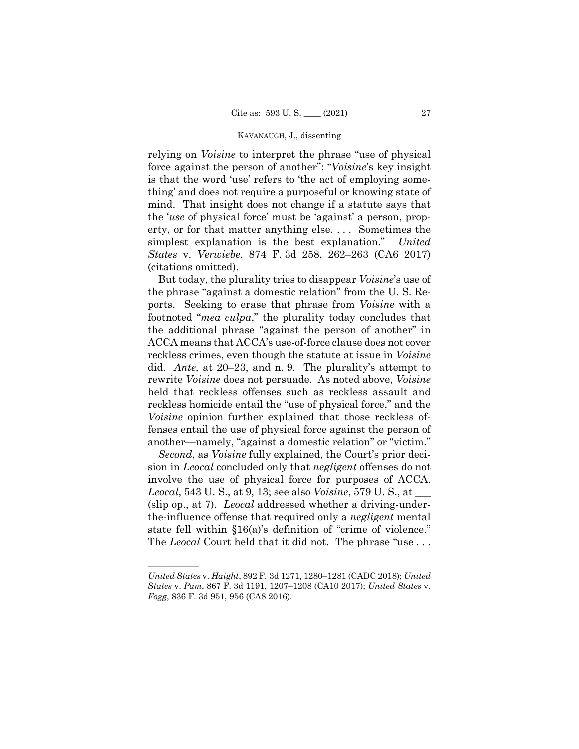relying on *Voisine* to interpret the phrase "use of physical force against the person of another": "*Voisine*'s key insight is that the word 'use' refers to 'the act of employing something' and does not require a purposeful or knowing state of mind. That insight does not change if a statute says that the '*use* of physical force' must be 'against' a person, property, or for that matter anything else. . . . Sometimes the simplest explanation is the best explanation." *United States* v. *Verwiebe*, 874 F. 3d 258, 262–263 (CA6 2017) (citations omitted).

But today, the plurality tries to disappear *Voisine*'s use of the phrase "against a domestic relation" from the U. S. Reports. Seeking to erase that phrase from *Voisine* with a footnoted "*mea culpa*," the plurality today concludes that the additional phrase "against the person of another" in ACCA means that ACCA's use-of-force clause does not cover reckless crimes, even though the statute at issue in *Voisine*  did. *Ante,* at 20–23, and n. 9. The plurality's attempt to rewrite *Voisine* does not persuade. As noted above, *Voisine*  held that reckless offenses such as reckless assault and reckless homicide entail the "use of physical force," and the *Voisine* opinion further explained that those reckless offenses entail the use of physical force against the person of another—namely, "against a domestic relation" or "victim."

*Second*, as *Voisine* fully explained, the Court's prior decision in *Leocal* concluded only that *negligent* offenses do not involve the use of physical force for purposes of ACCA. *Leocal*, 543 U. S., at 9, 13; see also *Voisine*, 579 U. S., at \_\_\_ (slip op., at 7). *Leocal* addressed whether a driving-underthe-influence offense that required only a *negligent* mental state fell within §16(a)'s definition of "crime of violence." The *Leocal* Court held that it did not. The phrase "use ...

——————

*United States* v. *Haight*, 892 F. 3d 1271, 1280–1281 (CADC 2018); *United States* v. *Pam*, 867 F. 3d 1191, 1207–1208 (CA10 2017); *United States* v. *Fogg*, 836 F. 3d 951, 956 (CA8 2016).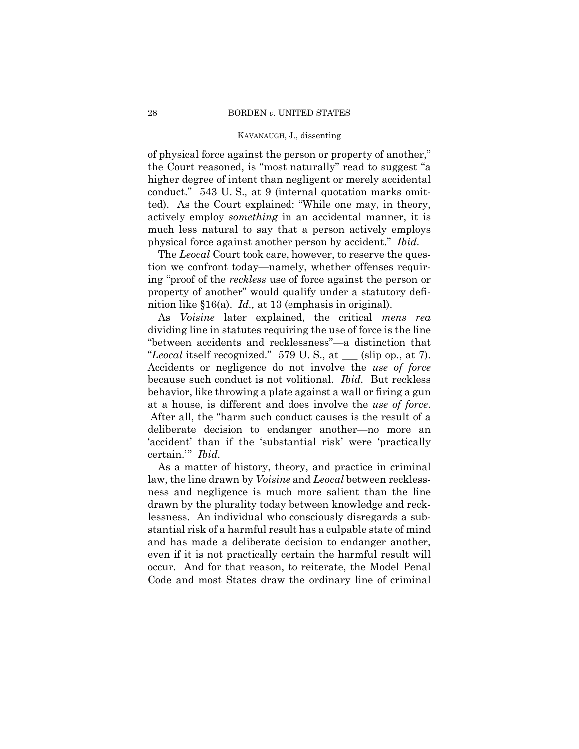of physical force against the person or property of another," the Court reasoned, is "most naturally" read to suggest "a higher degree of intent than negligent or merely accidental conduct." 543 U. S.*,* at 9 (internal quotation marks omitted). As the Court explained: "While one may, in theory, actively employ *something* in an accidental manner, it is much less natural to say that a person actively employs physical force against another person by accident." *Ibid.*

 The *Leocal* Court took care, however, to reserve the question we confront today—namely, whether offenses requiring "proof of the *reckless* use of force against the person or property of another" would qualify under a statutory definition like §16(a). *Id.,* at 13 (emphasis in original).

 "*Leocal* itself recognized." 579 U. S., at \_\_\_ (slip op., at 7). Accidents or negligence do not involve the *use of force*  As *Voisine* later explained, the critical *mens rea*  dividing line in statutes requiring the use of force is the line "between accidents and recklessness"—a distinction that because such conduct is not volitional. *Ibid.* But reckless behavior, like throwing a plate against a wall or firing a gun at a house, is different and does involve the *use of force*. After all, the "harm such conduct causes is the result of a deliberate decision to endanger another—no more an 'accident' than if the 'substantial risk' were 'practically certain.'" *Ibid.* 

As a matter of history, theory, and practice in criminal law, the line drawn by *Voisine* and *Leocal* between recklessness and negligence is much more salient than the line drawn by the plurality today between knowledge and recklessness. An individual who consciously disregards a substantial risk of a harmful result has a culpable state of mind and has made a deliberate decision to endanger another, even if it is not practically certain the harmful result will occur. And for that reason, to reiterate, the Model Penal Code and most States draw the ordinary line of criminal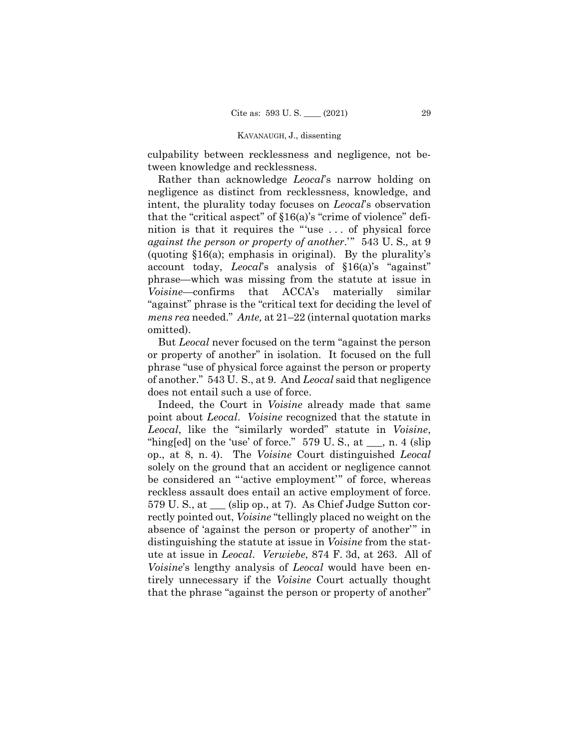culpability between recklessness and negligence, not between knowledge and recklessness.

Rather than acknowledge *Leocal*'s narrow holding on negligence as distinct from recklessness, knowledge, and intent, the plurality today focuses on *Leocal*'s observation that the "critical aspect" of §16(a)'s "crime of violence" definition is that it requires the "'use . . . of physical force *against the person or property of another*.'" 543 U. S.*,* at 9 (quoting §16(a); emphasis in original). By the plurality's account today, *Leocal*'s analysis of §16(a)'s "against" phrase—which was missing from the statute at issue in *Voisine*—confirms that ACCA's materially similar "against" phrase is the "critical text for deciding the level of *mens rea* needed." *Ante,* at 21–22 (internal quotation marks omitted).

But *Leocal* never focused on the term "against the person or property of another" in isolation. It focused on the full phrase "use of physical force against the person or property of another." 543 U. S., at 9. And *Leocal* said that negligence does not entail such a use of force.

Indeed, the Court in *Voisine* already made that same point about *Leocal*. *Voisine* recognized that the statute in *Leocal*, like the "similarly worded" statute in *Voisine*, "hing[ed] on the 'use' of force."  $579 \text{ U.S., at }$ , n. 4 (slip) op., at 8, n. 4). The *Voisine* Court distinguished *Leocal*  solely on the ground that an accident or negligence cannot be considered an "'active employment'" of force, whereas reckless assault does entail an active employment of force. 579 U. S., at \_\_\_ (slip op., at 7). As Chief Judge Sutton correctly pointed out, *Voisine* "tellingly placed no weight on the absence of 'against the person or property of another'" in distinguishing the statute at issue in *Voisine* from the statute at issue in *Leocal*. *Verwiebe*, 874 F. 3d, at 263. All of *Voisine*'s lengthy analysis of *Leocal* would have been entirely unnecessary if the *Voisine* Court actually thought that the phrase "against the person or property of another"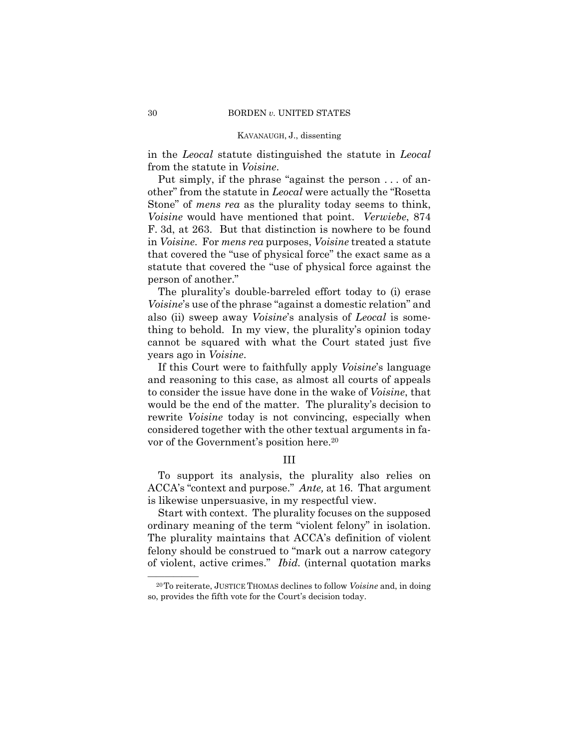in the *Leocal* statute distinguished the statute in *Leocal*  from the statute in *Voisine*.

Put simply, if the phrase "against the person . . . of another" from the statute in *Leocal* were actually the "Rosetta Stone" of *mens rea* as the plurality today seems to think, *Voisine* would have mentioned that point. *Verwiebe*, 874 F. 3d, at 263. But that distinction is nowhere to be found in *Voisine*. For *mens rea* purposes, *Voisine* treated a statute that covered the "use of physical force" the exact same as a statute that covered the "use of physical force against the person of another."

The plurality's double-barreled effort today to (i) erase *Voisine*'s use of the phrase "against a domestic relation" and also (ii) sweep away *Voisine*'s analysis of *Leocal* is something to behold. In my view, the plurality's opinion today cannot be squared with what the Court stated just five years ago in *Voisine*.

If this Court were to faithfully apply *Voisine*'s language and reasoning to this case, as almost all courts of appeals to consider the issue have done in the wake of *Voisine*, that would be the end of the matter. The plurality's decision to rewrite *Voisine* today is not convincing, especially when considered together with the other textual arguments in favor of the Government's position here.20

## III

To support its analysis, the plurality also relies on ACCA's "context and purpose." *Ante,* at 16. That argument is likewise unpersuasive, in my respectful view.

Start with context. The plurality focuses on the supposed ordinary meaning of the term "violent felony" in isolation. The plurality maintains that ACCA's definition of violent felony should be construed to "mark out a narrow category of violent, active crimes." *Ibid.* (internal quotation marks

<sup>&</sup>lt;sup>20</sup>To reiterate, JUSTICE THOMAS declines to follow *Voisine* and, in doing so, provides the fifth vote for the Court's decision today.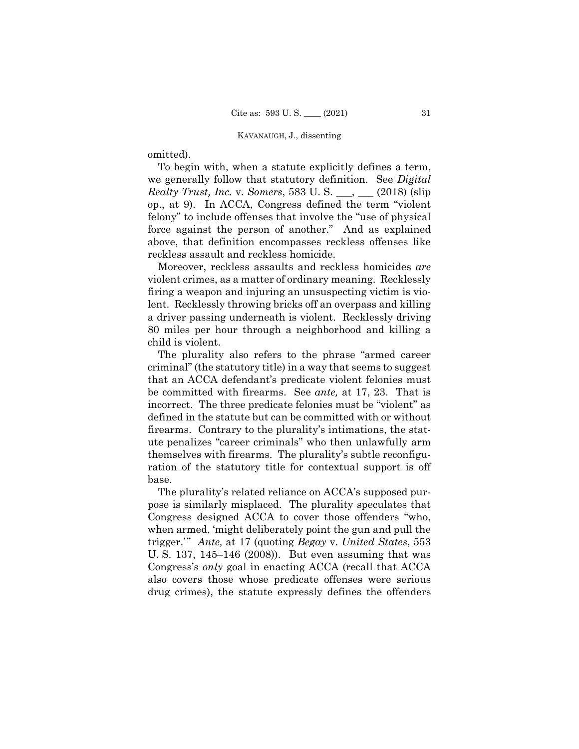omitted).

To begin with, when a statute explicitly defines a term, we generally follow that statutory definition. See *Digital Realty Trust, Inc.* v. *Somers*, 583 U. S. \_\_\_, \_\_\_ (2018) (slip op., at 9). In ACCA, Congress defined the term "violent felony" to include offenses that involve the "use of physical force against the person of another." And as explained above, that definition encompasses reckless offenses like reckless assault and reckless homicide.

Moreover, reckless assaults and reckless homicides *are*  violent crimes, as a matter of ordinary meaning. Recklessly firing a weapon and injuring an unsuspecting victim is violent. Recklessly throwing bricks off an overpass and killing a driver passing underneath is violent. Recklessly driving 80 miles per hour through a neighborhood and killing a child is violent.

The plurality also refers to the phrase "armed career criminal" (the statutory title) in a way that seems to suggest that an ACCA defendant's predicate violent felonies must be committed with firearms. See *ante,* at 17, 23. That is incorrect. The three predicate felonies must be "violent" as defined in the statute but can be committed with or without firearms. Contrary to the plurality's intimations, the statute penalizes "career criminals" who then unlawfully arm themselves with firearms. The plurality's subtle reconfiguration of the statutory title for contextual support is off base.

The plurality's related reliance on ACCA's supposed purpose is similarly misplaced. The plurality speculates that Congress designed ACCA to cover those offenders "who, when armed, 'might deliberately point the gun and pull the trigger.'" *Ante,* at 17 (quoting *Begay* v. *United States*, 553 U. S. 137, 145–146 (2008)). But even assuming that was Congress's *only* goal in enacting ACCA (recall that ACCA also covers those whose predicate offenses were serious drug crimes), the statute expressly defines the offenders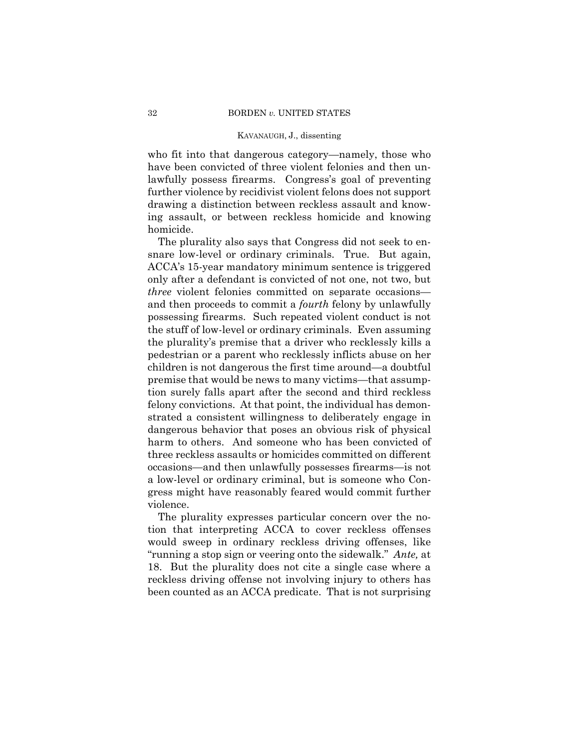who fit into that dangerous category—namely, those who have been convicted of three violent felonies and then unlawfully possess firearms. Congress's goal of preventing further violence by recidivist violent felons does not support drawing a distinction between reckless assault and knowing assault, or between reckless homicide and knowing homicide.

The plurality also says that Congress did not seek to ensnare low-level or ordinary criminals. True. But again, ACCA's 15-year mandatory minimum sentence is triggered only after a defendant is convicted of not one, not two, but *three* violent felonies committed on separate occasions and then proceeds to commit a *fourth* felony by unlawfully possessing firearms. Such repeated violent conduct is not the stuff of low-level or ordinary criminals. Even assuming the plurality's premise that a driver who recklessly kills a pedestrian or a parent who recklessly inflicts abuse on her children is not dangerous the first time around—a doubtful premise that would be news to many victims—that assumption surely falls apart after the second and third reckless felony convictions. At that point, the individual has demonstrated a consistent willingness to deliberately engage in dangerous behavior that poses an obvious risk of physical harm to others. And someone who has been convicted of three reckless assaults or homicides committed on different occasions—and then unlawfully possesses firearms—is not a low-level or ordinary criminal, but is someone who Congress might have reasonably feared would commit further violence.

The plurality expresses particular concern over the notion that interpreting ACCA to cover reckless offenses would sweep in ordinary reckless driving offenses, like "running a stop sign or veering onto the sidewalk." *Ante,* at 18. But the plurality does not cite a single case where a reckless driving offense not involving injury to others has been counted as an ACCA predicate. That is not surprising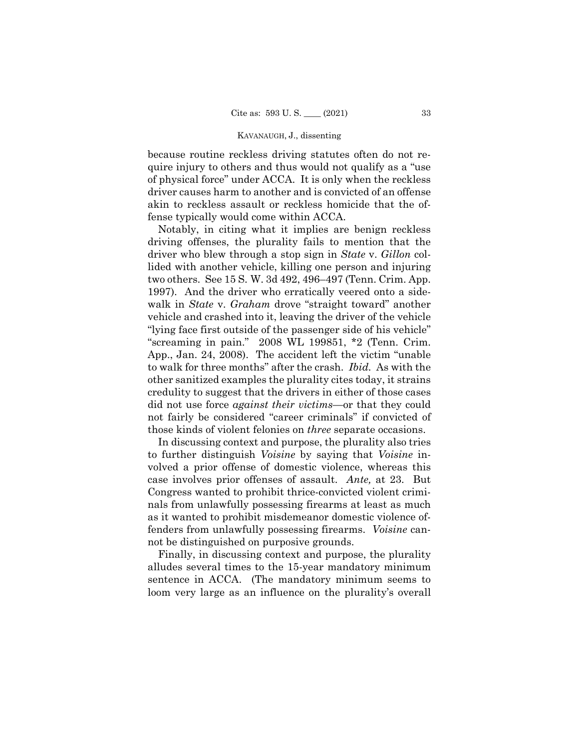because routine reckless driving statutes often do not require injury to others and thus would not qualify as a "use of physical force" under ACCA. It is only when the reckless driver causes harm to another and is convicted of an offense akin to reckless assault or reckless homicide that the offense typically would come within ACCA.

 to walk for three months" after the crash. *Ibid.* As with the Notably, in citing what it implies are benign reckless driving offenses, the plurality fails to mention that the driver who blew through a stop sign in *State* v. *Gillon* collided with another vehicle, killing one person and injuring two others. See 15 S. W. 3d 492, 496–497 (Tenn. Crim. App. 1997). And the driver who erratically veered onto a sidewalk in *State* v. *Graham* drove "straight toward" another vehicle and crashed into it, leaving the driver of the vehicle "lying face first outside of the passenger side of his vehicle" "screaming in pain." 2008 WL 199851, \*2 (Tenn. Crim. App., Jan. 24, 2008). The accident left the victim "unable other sanitized examples the plurality cites today, it strains credulity to suggest that the drivers in either of those cases did not use force *against their victims*—or that they could not fairly be considered "career criminals" if convicted of those kinds of violent felonies on *three* separate occasions.

In discussing context and purpose, the plurality also tries to further distinguish *Voisine* by saying that *Voisine* involved a prior offense of domestic violence, whereas this case involves prior offenses of assault. *Ante,* at 23. But Congress wanted to prohibit thrice-convicted violent criminals from unlawfully possessing firearms at least as much as it wanted to prohibit misdemeanor domestic violence offenders from unlawfully possessing firearms. *Voisine* cannot be distinguished on purposive grounds.

Finally, in discussing context and purpose, the plurality alludes several times to the 15-year mandatory minimum sentence in ACCA. (The mandatory minimum seems to loom very large as an influence on the plurality's overall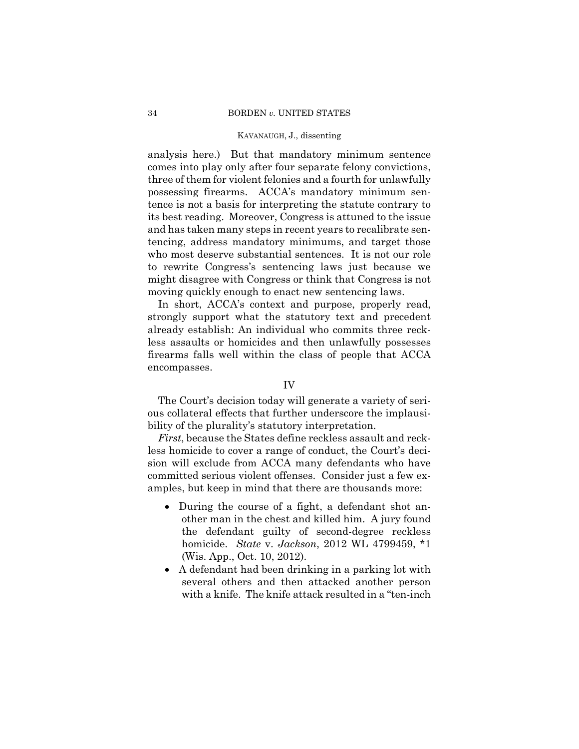analysis here.) But that mandatory minimum sentence comes into play only after four separate felony convictions, three of them for violent felonies and a fourth for unlawfully possessing firearms. ACCA's mandatory minimum sentence is not a basis for interpreting the statute contrary to its best reading. Moreover, Congress is attuned to the issue and has taken many steps in recent years to recalibrate sentencing, address mandatory minimums, and target those who most deserve substantial sentences. It is not our role to rewrite Congress's sentencing laws just because we might disagree with Congress or think that Congress is not moving quickly enough to enact new sentencing laws.

In short, ACCA's context and purpose, properly read, strongly support what the statutory text and precedent already establish: An individual who commits three reckless assaults or homicides and then unlawfully possesses firearms falls well within the class of people that ACCA encompasses.

## IV

The Court's decision today will generate a variety of serious collateral effects that further underscore the implausibility of the plurality's statutory interpretation.

*First*, because the States define reckless assault and reckless homicide to cover a range of conduct, the Court's decision will exclude from ACCA many defendants who have committed serious violent offenses. Consider just a few examples, but keep in mind that there are thousands more:

- During the course of a fight, a defendant shot another man in the chest and killed him. A jury found the defendant guilty of second-degree reckless homicide. *State* v. *Jackson*, 2012 WL 4799459, \*1 (Wis. App., Oct. 10, 2012).
- A defendant had been drinking in a parking lot with several others and then attacked another person with a knife. The knife attack resulted in a "ten-inch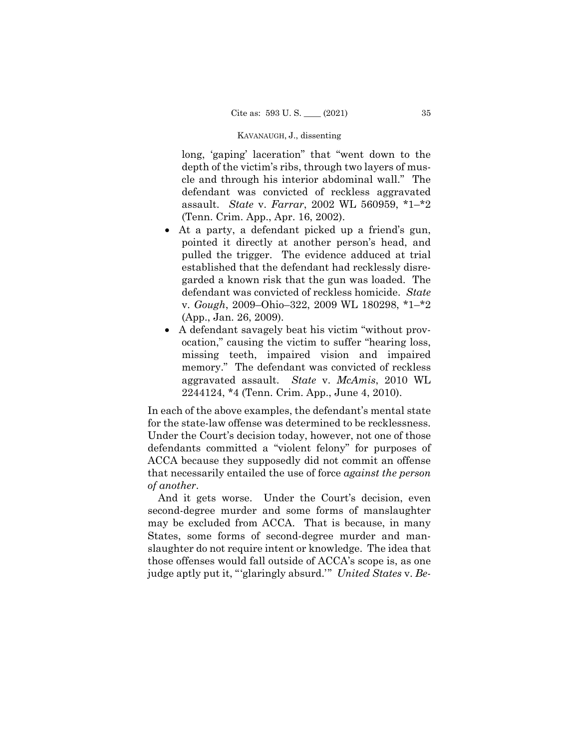long, 'gaping' laceration" that "went down to the depth of the victim's ribs, through two layers of muscle and through his interior abdominal wall." The defendant was convicted of reckless aggravated assault. *State* v. *Farrar*, 2002 WL 560959, \*1–\*2 (Tenn. Crim. App., Apr. 16, 2002).

- At a party, a defendant picked up a friend's gun, pointed it directly at another person's head, and pulled the trigger. The evidence adduced at trial established that the defendant had recklessly disregarded a known risk that the gun was loaded. The defendant was convicted of reckless homicide. *State*  v. *Gough*, 2009–Ohio–322, 2009 WL 180298, \*1–\*2 (App., Jan. 26, 2009).
- A defendant savagely beat his victim "without provocation," causing the victim to suffer "hearing loss, missing teeth, impaired vision and impaired memory." The defendant was convicted of reckless aggravated assault. *State* v. *McAmis*, 2010 WL 2244124, \*4 (Tenn. Crim. App., June 4, 2010).

for the state-law offense was determined to be recklessness. In each of the above examples, the defendant's mental state Under the Court's decision today, however, not one of those defendants committed a "violent felony" for purposes of ACCA because they supposedly did not commit an offense that necessarily entailed the use of force *against the person of another*.

And it gets worse. Under the Court's decision, even second-degree murder and some forms of manslaughter may be excluded from ACCA. That is because, in many States, some forms of second-degree murder and manslaughter do not require intent or knowledge. The idea that those offenses would fall outside of ACCA's scope is, as one judge aptly put it, "'glaringly absurd.'" *United States* v. *Be-*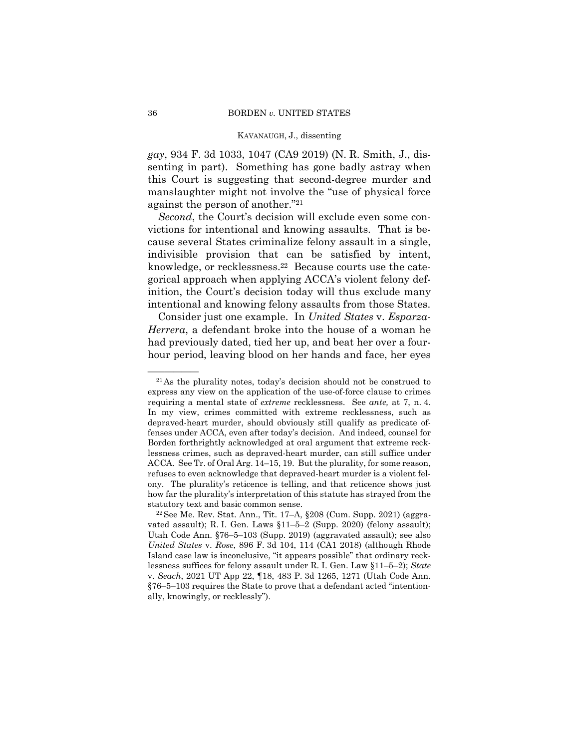*gay*, 934 F. 3d 1033, 1047 (CA9 2019) (N. R. Smith, J., dissenting in part). Something has gone badly astray when this Court is suggesting that second-degree murder and manslaughter might not involve the "use of physical force against the person of another."21

*Second*, the Court's decision will exclude even some convictions for intentional and knowing assaults. That is because several States criminalize felony assault in a single, indivisible provision that can be satisfied by intent, knowledge, or recklessness.22 Because courts use the categorical approach when applying ACCA's violent felony definition, the Court's decision today will thus exclude many intentional and knowing felony assaults from those States.

Consider just one example. In *United States* v. *Esparza-Herrera*, a defendant broke into the house of a woman he had previously dated, tied her up, and beat her over a fourhour period, leaving blood on her hands and face, her eyes

 $21\text{As}$  the plurality notes, today's decision should not be construed to express any view on the application of the use-of-force clause to crimes requiring a mental state of *extreme* recklessness. See *ante,* at 7, n. 4. In my view, crimes committed with extreme recklessness, such as depraved-heart murder, should obviously still qualify as predicate offenses under ACCA, even after today's decision. And indeed, counsel for Borden forthrightly acknowledged at oral argument that extreme recklessness crimes, such as depraved-heart murder, can still suffice under ACCA. See Tr. of Oral Arg. 14–15, 19. But the plurality, for some reason, refuses to even acknowledge that depraved-heart murder is a violent felony. The plurality's reticence is telling, and that reticence shows just how far the plurality's interpretation of this statute has strayed from the

statutory text and basic common sense.<br><sup>22</sup>See Me. Rev. Stat. Ann., Tit. 17–A, §208 (Cum. Supp. 2021) (aggravated assault); R. I. Gen. Laws §11–5–2 (Supp. 2020) (felony assault); Utah Code Ann. §76–5–103 (Supp. 2019) (aggravated assault); see also *United States* v. *Rose*, 896 F. 3d 104, 114 (CA1 2018) (although Rhode Island case law is inconclusive, "it appears possible" that ordinary recklessness suffices for felony assault under R. I. Gen. Law §11–5–2); *State*  v. *Seach*, 2021 UT App 22, ¶18, 483 P. 3d 1265, 1271 (Utah Code Ann. §76–5–103 requires the State to prove that a defendant acted "intentionally, knowingly, or recklessly").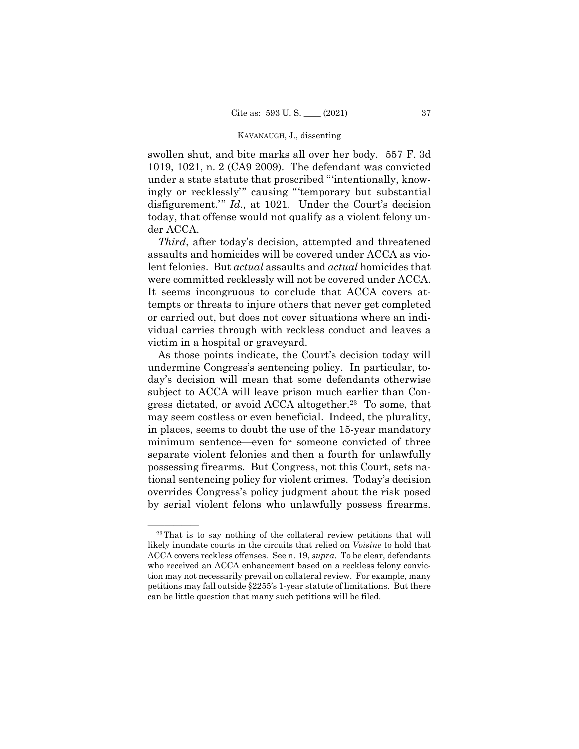swollen shut, and bite marks all over her body. 557 F. 3d 1019, 1021, n. 2 (CA9 2009). The defendant was convicted under a state statute that proscribed "'intentionally, knowingly or recklessly'" causing "'temporary but substantial disfigurement.'" *Id.*, at 1021. Under the Court's decision today, that offense would not qualify as a violent felony under ACCA.

*Third*, after today's decision, attempted and threatened assaults and homicides will be covered under ACCA as violent felonies. But *actual* assaults and *actual* homicides that were committed recklessly will not be covered under ACCA. It seems incongruous to conclude that ACCA covers attempts or threats to injure others that never get completed or carried out, but does not cover situations where an individual carries through with reckless conduct and leaves a victim in a hospital or graveyard.

As those points indicate, the Court's decision today will undermine Congress's sentencing policy. In particular, today's decision will mean that some defendants otherwise subject to ACCA will leave prison much earlier than Congress dictated, or avoid ACCA altogether.<sup>23</sup> To some, that may seem costless or even beneficial. Indeed, the plurality, in places, seems to doubt the use of the 15-year mandatory minimum sentence—even for someone convicted of three separate violent felonies and then a fourth for unlawfully possessing firearms. But Congress, not this Court, sets national sentencing policy for violent crimes. Today's decision overrides Congress's policy judgment about the risk posed by serial violent felons who unlawfully possess firearms.<br> $\frac{1}{23 \text{ That is to say nothing of the collateral review portions that will}$ 

likely inundate courts in the circuits that relied on *Voisine* to hold that ACCA covers reckless offenses. See n. 19, *supra*. To be clear, defendants who received an ACCA enhancement based on a reckless felony conviction may not necessarily prevail on collateral review. For example, many petitions may fall outside §2255's 1-year statute of limitations. But there can be little question that many such petitions will be filed.